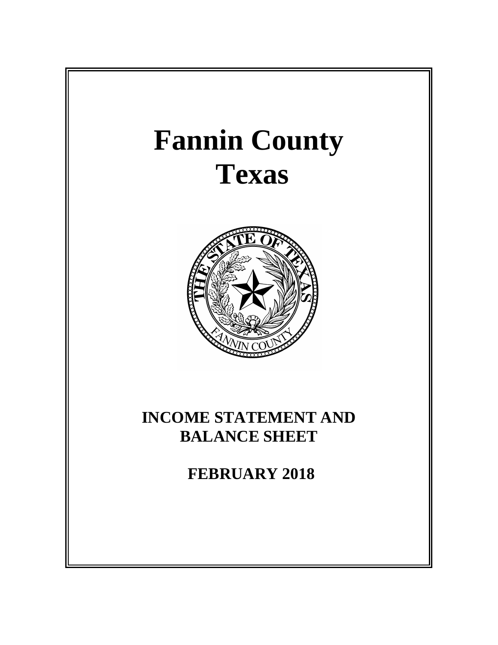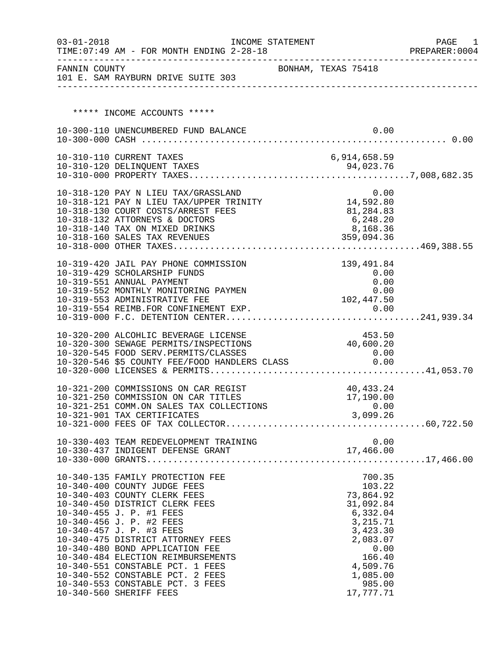| $03 - 01 - 2018$ | TIME: 07:49 AM - FOR MONTH ENDING 2-28-18                                                                                            | INCOME STATEMENT |                     |                        | PAGE<br>1<br>PREPARER: 0004 |
|------------------|--------------------------------------------------------------------------------------------------------------------------------------|------------------|---------------------|------------------------|-----------------------------|
|                  | FANNIN COUNTY<br>101 E. SAM RAYBURN DRIVE SUITE 303                                                                                  |                  | BONHAM, TEXAS 75418 |                        |                             |
|                  |                                                                                                                                      |                  |                     |                        |                             |
|                  |                                                                                                                                      |                  |                     |                        |                             |
|                  | ***** INCOME ACCOUNTS *****                                                                                                          |                  |                     |                        |                             |
|                  | 10-300-110 UNENCUMBERED FUND BALANCE                                                                                                 |                  |                     | 0.00                   |                             |
|                  |                                                                                                                                      |                  |                     |                        |                             |
|                  | 10-310-110 CURRENT TAXES                                                                                                             |                  | 6,914,658.59        |                        |                             |
|                  |                                                                                                                                      |                  |                     |                        |                             |
|                  |                                                                                                                                      |                  |                     |                        |                             |
|                  |                                                                                                                                      |                  |                     |                        |                             |
|                  | 10-318-120 PAY N LIEU TAX/GRASSLAND 0.00<br>10-318-121 PAY N LIEU TAX/UPPER TRINITY 14,592.80                                        |                  |                     |                        |                             |
|                  | 10-318-130 COURT COSTS/ARREST FEES                                                                                                   |                  | 81,284.83           |                        |                             |
|                  | 10-318-132 ATTORNEYS & DOCTORS                                                                                                       |                  |                     | 6,248.20               |                             |
|                  | 10-318-140 TAX ON MIXED DRINKS<br>10-318-160 SALES TAX REVENUES                                                                      |                  |                     | 8,168.36<br>359,094.36 |                             |
|                  |                                                                                                                                      |                  |                     |                        |                             |
|                  |                                                                                                                                      |                  |                     |                        |                             |
|                  | 10-319-420 JAIL PAY PHONE COMMISSION                                                                                                 |                  |                     | 139,491.84             |                             |
|                  | 10-319-429 SCHOLARSHIP FUNDS<br>10-319-551 ANNUAL PAYMENT                                                                            |                  |                     | 0.00<br>0.00           |                             |
|                  | 10-319-552 MONTHLY MONITORING PAYMEN                                                                                                 |                  |                     | 0.00                   |                             |
|                  | 10-319-553 ADMINISTRATIVE FEE                                                                                                        |                  | 102,447.50          |                        |                             |
|                  |                                                                                                                                      |                  |                     |                        |                             |
|                  |                                                                                                                                      |                  |                     |                        |                             |
|                  | 10-320-200 ALCOHLIC BEVERAGE LICENSE                                                                                                 |                  |                     | 453.50                 |                             |
|                  | 10-320-300 SEWAGE PERMITS/INSPECTIONS                                                                                                |                  | 40,600.20           |                        |                             |
|                  | 10-320-545 FOOD SERV.PERMITS/CLASSES<br>10-320-545 FOOD SERV.PERMITS/CLASSES<br>10-320-546 \$5 COUNTY FEE/FOOD HANDLERS CLASS 6 0.00 |                  |                     | 0.00                   |                             |
|                  |                                                                                                                                      |                  |                     |                        |                             |
|                  |                                                                                                                                      |                  |                     |                        |                             |
|                  | 10-321-200 COMMISSIONS ON CAR REGIST                                                                                                 |                  |                     | 40,433.24              |                             |
|                  | 10-321-250 COMMISSION ON CAR TITLES                                                                                                  |                  |                     | 17,190.00              |                             |
|                  | 10-321-251 COMM.ON SALES TAX COLLECTIONS                                                                                             |                  |                     | 0.00                   |                             |
|                  | 10-321-901 TAX CERTIFICATES                                                                                                          |                  | 3,099.26            |                        |                             |
|                  |                                                                                                                                      |                  |                     |                        |                             |
|                  |                                                                                                                                      |                  |                     |                        |                             |
|                  |                                                                                                                                      |                  |                     |                        |                             |
|                  |                                                                                                                                      |                  |                     |                        |                             |
|                  | 10-340-135 FAMILY PROTECTION FEE                                                                                                     |                  |                     | 700.35                 |                             |
|                  | 10-340-400 COUNTY JUDGE FEES                                                                                                         |                  |                     | 103.22                 |                             |
|                  | 10-340-403 COUNTY CLERK FEES                                                                                                         |                  |                     | 73,864.92              |                             |
|                  | 10-340-450 DISTRICT CLERK FEES<br>10-340-455 J. P. #1 FEES                                                                           |                  |                     | 31,092.84<br>6,332.04  |                             |
|                  | 10-340-456 J. P. #2 FEES                                                                                                             |                  |                     | 3,215.71               |                             |
|                  | 10-340-457 J. P. #3 FEES                                                                                                             |                  |                     | 3,423.30               |                             |
|                  | 10-340-475 DISTRICT ATTORNEY FEES                                                                                                    |                  |                     | 2,083.07               |                             |
|                  | 10-340-480 BOND APPLICATION FEE                                                                                                      |                  |                     | 0.00                   |                             |
|                  | 10-340-484 ELECTION REIMBURSEMENTS                                                                                                   |                  |                     | 166.40                 |                             |
|                  | 10-340-551 CONSTABLE PCT. 1 FEES<br>10-340-552 CONSTABLE PCT. 2 FEES                                                                 |                  |                     | 4,509.76<br>1,085.00   |                             |
|                  | 10-340-553 CONSTABLE PCT. 3 FEES                                                                                                     |                  |                     | 985.00                 |                             |
|                  | 10-340-560 SHERIFF FEES                                                                                                              |                  |                     | 17,777.71              |                             |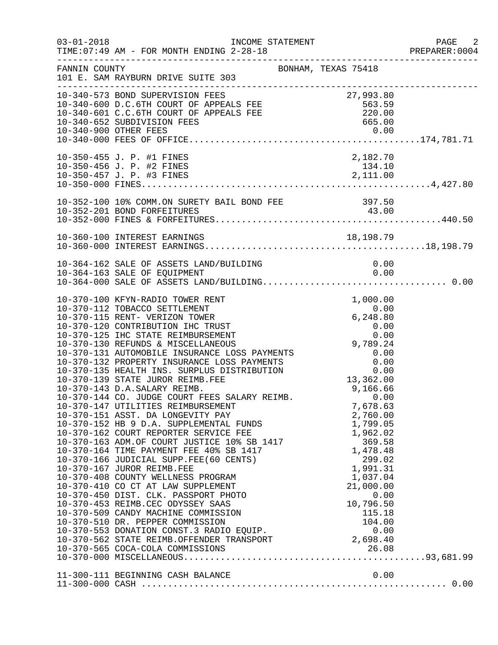| $03 - 01 - 2018$ | INCOME STATEMENT<br>TIME: 07:49 AM - FOR MONTH ENDING 2-28-18                                                                                                                                                                                                                                                                                                                                                                                                                                                                                                                                                                                                                                                                                                                                                                                                                                                                                                                                                                                                                                                                                                                                                                                                                                         |                                                                                                                       | $\overline{\phantom{0}}$ 2<br>PREPARER: 0004 |
|------------------|-------------------------------------------------------------------------------------------------------------------------------------------------------------------------------------------------------------------------------------------------------------------------------------------------------------------------------------------------------------------------------------------------------------------------------------------------------------------------------------------------------------------------------------------------------------------------------------------------------------------------------------------------------------------------------------------------------------------------------------------------------------------------------------------------------------------------------------------------------------------------------------------------------------------------------------------------------------------------------------------------------------------------------------------------------------------------------------------------------------------------------------------------------------------------------------------------------------------------------------------------------------------------------------------------------|-----------------------------------------------------------------------------------------------------------------------|----------------------------------------------|
| FANNIN COUNTY    | BONHAM, TEXAS 75418<br>101 E. SAM RAYBURN DRIVE SUITE 303                                                                                                                                                                                                                                                                                                                                                                                                                                                                                                                                                                                                                                                                                                                                                                                                                                                                                                                                                                                                                                                                                                                                                                                                                                             |                                                                                                                       |                                              |
|                  | 10-340-573 BOND SUPERVISION FEES<br>10-340-600 D.C.6TH COURT OF APPEALS FEE 563.59<br>10-340-601 C.C.6TH COURT OF APPEALS FEE 563.59<br>10-340-652 SUBDIVISION FEES 665.00<br>10-340-652 SUBDIVISION FEES 665.00<br>10-340-652 SUBDIVISI                                                                                                                                                                                                                                                                                                                                                                                                                                                                                                                                                                                                                                                                                                                                                                                                                                                                                                                                                                                                                                                              |                                                                                                                       |                                              |
|                  | 10-350-455 J. P. #1 FINES<br>10-350-456 J. P. #2 FINES                                                                                                                                                                                                                                                                                                                                                                                                                                                                                                                                                                                                                                                                                                                                                                                                                                                                                                                                                                                                                                                                                                                                                                                                                                                | 2,182.70<br>134.10                                                                                                    |                                              |
|                  |                                                                                                                                                                                                                                                                                                                                                                                                                                                                                                                                                                                                                                                                                                                                                                                                                                                                                                                                                                                                                                                                                                                                                                                                                                                                                                       |                                                                                                                       |                                              |
|                  |                                                                                                                                                                                                                                                                                                                                                                                                                                                                                                                                                                                                                                                                                                                                                                                                                                                                                                                                                                                                                                                                                                                                                                                                                                                                                                       |                                                                                                                       |                                              |
|                  |                                                                                                                                                                                                                                                                                                                                                                                                                                                                                                                                                                                                                                                                                                                                                                                                                                                                                                                                                                                                                                                                                                                                                                                                                                                                                                       |                                                                                                                       |                                              |
|                  | 10-370-100 KFYN-RADIO TOWER RENT<br>10-370-112 TOBACCO SETTLEMENT<br>$\begin{tabular}{lllllllllllllllllllll} & & & & & & 0.00 \\ 10-370-115 & RENT- VERTZON TOWER && 6,248.80 \\ 10-370-120 & CONTREBUTION IHC TRUST && 6,248.80 \\ 10-370-125 & IHC STATE REIMBURSEMENT && 0.00 \\ 10-370-130 REFUNDS & MISCELLLANEOUS && 9,789.24 \\ 10-370-131 & AUTOMOBILE INSURANCE LOSS PAYMENTS && 0.00 \\ 10-370-132 PROPERTIES INSURANCE LOSS PAYMENTS && 0.00 \\ 10-37$<br>10-370-139 STATE JUROR REIMB.FEE<br>10-370-143 D.A.SALARY REIMB.<br>10-370-143 D.A.SALARY REIMB.<br>10-370-144 CO. JUDGE COURT FEES SALARY REIMB.<br>10-370-147 UTILITIES REIMBURSEMENT<br>10-370-151 ASST. DA LONGEVITY PAY<br>2,760.00<br>10-370-162 COURT REPORTER SERVICE FEE<br>1,799.05<br>10-370-163 ADM.OF COURT JUSTICE 10% SB 1417<br>10-370-164 TIME PAYMENT FEE 40% SB 1417<br>10-370-166 JUDICIAL SUPP.FEE(60 CENTS)<br>10-370-167 JUROR REIMB.FEE<br>1,991.31<br><br>10-370-410 CO CT AT LAW SUPPLEMENT<br>10-370-450 DIST. CLK. PASSPORT PHOTO<br>10-370-453 REIMB.CEC ODYSSEY SAAS<br>10-370-509 CANDY MACHINE COMMISSION<br>10-370-510 DR. PEPPER COMMISSION 10-370-553 DONATION CONST.3 RADIO EQUIP. (101.00)<br>10-370-553 DONATION CONST.3 RADIO EQUIP. (10-370-562 STATE REIMB.OFFENDER TRANSPORT 2,698.40) | 1,000.00<br>0.00<br>13,362.00<br>9,166.66<br>0.00<br>7,678.63<br>2,760.00<br>21,000.00<br>0.00<br>10,796.50<br>115.18 |                                              |
|                  |                                                                                                                                                                                                                                                                                                                                                                                                                                                                                                                                                                                                                                                                                                                                                                                                                                                                                                                                                                                                                                                                                                                                                                                                                                                                                                       |                                                                                                                       |                                              |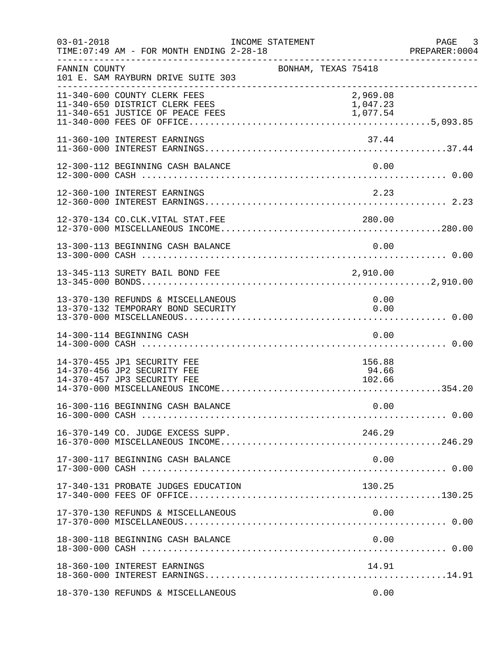| $03 - 01 - 2018$ | TIME: 07:49 AM - FOR MONTH ENDING 2-28-18                                                          | INCOME STATEMENT |                     |                                  | PAGE 3<br>PREPARER:0004 |
|------------------|----------------------------------------------------------------------------------------------------|------------------|---------------------|----------------------------------|-------------------------|
| FANNIN COUNTY    | 101 E. SAM RAYBURN DRIVE SUITE 303                                                                 |                  | BONHAM, TEXAS 75418 |                                  |                         |
|                  | 11-340-600 COUNTY CLERK FEES<br>11-340-650 DISTRICT CLERK FEES<br>11-340-651 JUSTICE OF PEACE FEES |                  |                     | 2,969.08<br>1,047.23<br>1,077.54 |                         |
|                  | 11-360-100 INTEREST EARNINGS                                                                       |                  |                     | 37.44                            |                         |
|                  | 12-300-112 BEGINNING CASH BALANCE                                                                  |                  |                     | 0.00                             |                         |
|                  | 12-360-100 INTEREST EARNINGS                                                                       |                  |                     | 2.23                             |                         |
|                  | 12-370-134 CO.CLK.VITAL STAT.FEE                                                                   |                  |                     | 280.00                           |                         |
|                  | 13-300-113 BEGINNING CASH BALANCE                                                                  |                  |                     | 0.00                             |                         |
|                  | 13-345-113 SURETY BAIL BOND FEE                                                                    |                  |                     | 2,910.00                         |                         |
|                  | 13-370-130 REFUNDS & MISCELLANEOUS<br>13-370-132 TEMPORARY BOND SECURITY                           |                  |                     | 0.00<br>0.00                     |                         |
|                  | 14-300-114 BEGINNING CASH                                                                          |                  |                     | 0.00                             |                         |
|                  | 14-370-455 JP1 SECURITY FEE<br>14-370-456 JP2 SECURITY FEE<br>14-370-457 JP3 SECURITY FEE          |                  |                     | 156.88<br>94.66<br>102.66        |                         |
|                  |                                                                                                    |                  |                     | 0.00                             |                         |
|                  | 16-370-149 CO. JUDGE EXCESS SUPP.                                                                  |                  |                     | 246.29                           |                         |
|                  | 17-300-117 BEGINNING CASH BALANCE                                                                  |                  |                     | 0.00                             |                         |
|                  | 17-340-131 PROBATE JUDGES EDUCATION                                                                |                  |                     | 130.25                           |                         |
|                  | 17-370-130 REFUNDS & MISCELLANEOUS                                                                 |                  |                     | 0.00                             |                         |
|                  | 18-300-118 BEGINNING CASH BALANCE                                                                  |                  |                     | 0.00                             |                         |
|                  | 18-360-100 INTEREST EARNINGS                                                                       |                  |                     | 14.91                            |                         |
|                  | 18-370-130 REFUNDS & MISCELLANEOUS                                                                 |                  |                     | 0.00                             |                         |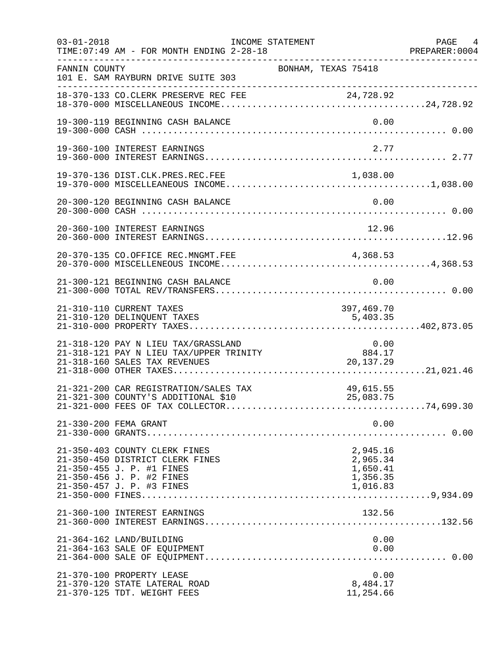| $03 - 01 - 2018$<br>________________ | TIME: 07:49 AM - FOR MONTH ENDING 2-28-18                                                                                                               | INCOME STATEMENT |                                                          | PAGE 4<br>PREPARER: 0004 |
|--------------------------------------|---------------------------------------------------------------------------------------------------------------------------------------------------------|------------------|----------------------------------------------------------|--------------------------|
| FANNIN COUNTY                        | 101 E. SAM RAYBURN DRIVE SUITE 303                                                                                                                      |                  | BONHAM, TEXAS 75418                                      |                          |
|                                      |                                                                                                                                                         |                  |                                                          |                          |
|                                      | 19-300-119 BEGINNING CASH BALANCE                                                                                                                       |                  | 0.00                                                     |                          |
|                                      | 19-360-100 INTEREST EARNINGS                                                                                                                            |                  | 2.77                                                     |                          |
|                                      |                                                                                                                                                         |                  |                                                          |                          |
|                                      | 20-300-120 BEGINNING CASH BALANCE                                                                                                                       |                  | 0.00                                                     |                          |
|                                      | 20-360-100 INTEREST EARNINGS                                                                                                                            |                  | 12.96                                                    |                          |
|                                      | 20-370-135 CO.OFFICE REC.MNGMT.FEE                                                                                                                      |                  | 4,368.53                                                 |                          |
|                                      | 21-300-121 BEGINNING CASH BALANCE                                                                                                                       |                  | 0.00                                                     |                          |
|                                      | 21-310-110 CURRENT TAXES<br>21-310-120 DELINQUENT TAXES                                                                                                 |                  | 397,469.70<br>5,403.35                                   |                          |
|                                      | 21-318-120 PAY N LIEU TAX/GRASSLAND<br>21-318-121 PAY N LIEU TAX/UPPER TRINITY<br>21-318-160 SALES TAX REVENUES                                         | INITY<br>INITY   | 0.00<br>884.17<br>20,137.29                              |                          |
|                                      | 21-321-200 CAR REGISTRATION/SALES TAX<br>21-321-300 COUNTY'S ADDITIONAL \$10                                                                            |                  | 49,615.55<br>25,083.75                                   |                          |
|                                      | 21-330-200 FEMA GRANT                                                                                                                                   |                  | 0.00                                                     |                          |
|                                      | 21-350-403 COUNTY CLERK FINES<br>21-350-450 DISTRICT CLERK FINES<br>21-350-455 J. P. #1 FINES<br>21-350-456 J. P. #2 FINES<br>21-350-457 J. P. #3 FINES |                  | 2,945.16<br>2,965.34<br>1,650.41<br>1,356.35<br>1,016.83 |                          |
|                                      | 21-360-100 INTEREST EARNINGS                                                                                                                            |                  | 132.56                                                   |                          |
|                                      | 21-364-162 LAND/BUILDING<br>21-364-163 SALE OF EQUIPMENT                                                                                                |                  | 0.00<br>0.00                                             |                          |
|                                      | 21-370-100 PROPERTY LEASE<br>21-370-120 STATE LATERAL ROAD<br>21-370-125 TDT. WEIGHT FEES                                                               |                  | 0.00<br>8,484.17<br>11,254.66                            |                          |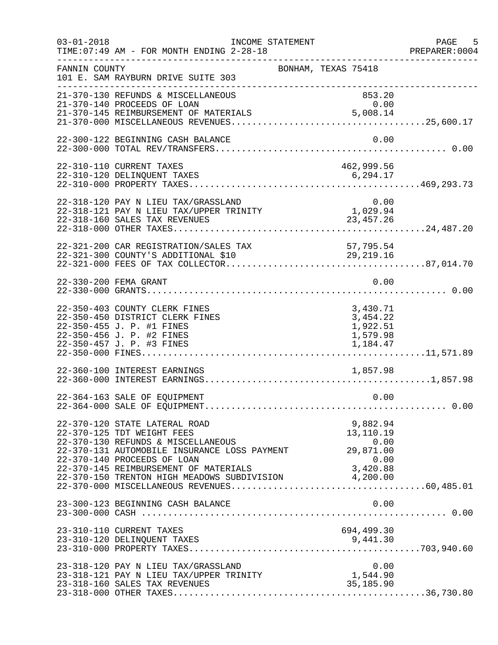| $03 - 01 - 2018$ | INCOME STATEMENT<br>TIME: 07:49 AM - FOR MONTH ENDING 2-28-18                                                                                                                                                                                                                              |                                                          | PAGE 5<br>PREPARER:0004 |
|------------------|--------------------------------------------------------------------------------------------------------------------------------------------------------------------------------------------------------------------------------------------------------------------------------------------|----------------------------------------------------------|-------------------------|
| FANNIN COUNTY    | 101 E. SAM RAYBURN DRIVE SUITE 303                                                                                                                                                                                                                                                         | BONHAM, TEXAS 75418                                      |                         |
|                  | 21-370-130 REFUNDS & MISCELLANEOUS<br>21-370-140 PROCEEDS OF LOAN                                                                                                                                                                                                                          | 853.20<br>0.00                                           |                         |
|                  | 22-300-122 BEGINNING CASH BALANCE                                                                                                                                                                                                                                                          | 0.00                                                     |                         |
|                  | 22-310-110 CURRENT TAXES                                                                                                                                                                                                                                                                   | 462,999.56                                               |                         |
|                  | 22-318-120 PAY N LIEU TAX/GRASSLAND<br>$22-318-121$ PAY N LIEU TAX/UPPER TRINITY<br>22-318-160 SALES TAX REVENUES                                                                                                                                                                          | $0.00$<br>$1,029.94$<br>23, 457. 26                      |                         |
|                  | 22-321-200 CAR REGISTRATION/SALES TAX<br>22-321-300 COUNTY'S ADDITIONAL \$10<br>22-321-300 COUNTY'S ADDITIONAL \$10                                                                                                                                                                        | 57,795.54<br>29,219.16                                   |                         |
|                  | 22-330-200 FEMA GRANT                                                                                                                                                                                                                                                                      | 0.00                                                     |                         |
|                  | 22-350-403 COUNTY CLERK FINES<br>22-350-450 DISTRICT CLERK FINES<br>22-350-455 J. P. #1 FINES<br>22-350-456 J. P. #2 FINES<br>22-350-457 J. P. #3 FINES                                                                                                                                    | 3,430.71<br>3,454.22<br>1,922.51<br>1,579.98<br>1,184.47 |                         |
|                  | 22-360-100 INTEREST EARNINGS                                                                                                                                                                                                                                                               | 1,857.98                                                 |                         |
|                  | 22-364-163 SALE OF EQUIPMENT                                                                                                                                                                                                                                                               | 0.00                                                     |                         |
|                  | 22-370-120 STATE LATERAL ROAD<br>22-370-125 TDT WEIGHT FEES<br>22-370-130 REFUNDS & MISCELLANEOUS<br>22-370-131 AUTOMOBILE INSURANCE LOSS PAYMENT<br>22-370-140 PROCEEDS OF LOAN<br>22-370-145 REIMBURSEMENT OF MATERIALS 3,420.88<br>22-370-150 TRENTON HIGH MEADOWS SUBDIVISION 4,200.00 | 9,882.94<br>13,110.19<br>0.00<br>29,871.00<br>0.00       |                         |
|                  | 23-300-123 BEGINNING CASH BALANCE                                                                                                                                                                                                                                                          | 0.00                                                     |                         |
|                  | 23-310-110 CURRENT TAXES<br>23-310-120 DELINQUENT TAXES                                                                                                                                                                                                                                    | 694,499.30                                               |                         |
|                  | 23-318-120 PAY N LIEU TAX/GRASSLAND<br>23-318-121 PAY N LIEU TAX/UPPER TRINITY<br>23-318-160 SALES TAX REVENUES                                                                                                                                                                            | 0.00<br>1,544.90<br>35,185.90                            |                         |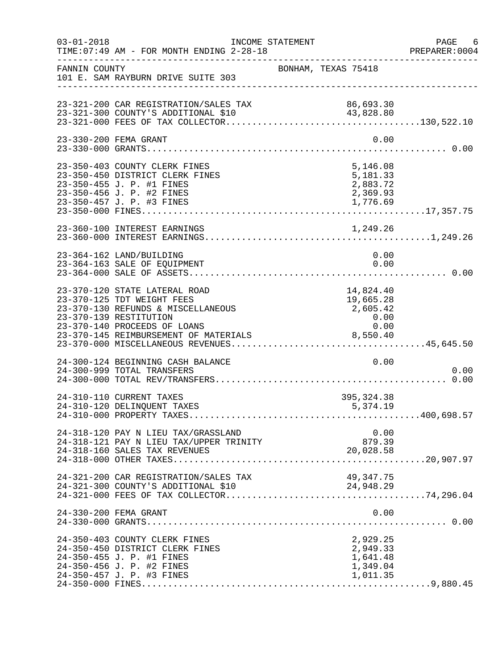| $03 - 01 - 2018$ | INCOME STATEMENT<br>TIME: 07:49 AM - FOR MONTH ENDING 2-28-18                                                                                                                                        |  |                                                             |              | PAGE 6<br>PREPARER: 0004 |
|------------------|------------------------------------------------------------------------------------------------------------------------------------------------------------------------------------------------------|--|-------------------------------------------------------------|--------------|--------------------------|
| FANNIN COUNTY    | 101 E. SAM RAYBURN DRIVE SUITE 303                                                                                                                                                                   |  | ------------------------------------<br>BONHAM, TEXAS 75418 |              |                          |
|                  | 23-321-200 CAR REGISTRATION/SALES TAX<br>23-321-300 COUNTY'S ADDITIONAL \$10                                                                                                                         |  | 86,693.30                                                   |              |                          |
|                  | 23-330-200 FEMA GRANT                                                                                                                                                                                |  |                                                             | 0.00         |                          |
|                  | 23-350-403 COUNTY CLERK FINES<br>23-350-450 DISTRICT CLERK FINES<br>23-350-455 J. P. #1 FINES<br>23-350-456 J. P. #2 FINES                                                                           |  | 5,146.08<br>5,181.33<br>2,883.72<br>2,369.93                |              |                          |
|                  | 23-360-100 INTEREST EARNINGS                                                                                                                                                                         |  |                                                             |              |                          |
|                  | 23-364-162 LAND/BUILDING<br>23-364-163 SALE OF EQUIPMENT                                                                                                                                             |  |                                                             | 0.00<br>0.00 |                          |
|                  | 23-370-120 STATE LATERAL ROAD<br>23-370-125 TDT WEIGHT FEES<br>23-370-130 REFUNDS & MISCELLANEOUS<br>23-370-139 RESTITUTION<br>23-370-140 PROCEEDS OF LOANS<br>23-370-145 REIMBURSEMENT OF MATERIALS |  | 14,824.40<br>19,665.28<br>2,605.42<br>0.00<br>0.00          |              |                          |
|                  | 24-300-124 BEGINNING CASH BALANCE<br>24-300-999 TOTAL TRANSFERS                                                                                                                                      |  |                                                             | 0.00         | 0.00                     |
|                  | 24-310-110 CURRENT TAXES<br>24-310-120 DELINQUENT TAXES                                                                                                                                              |  | 395, 324.38<br>5,374.19                                     |              |                          |
|                  | 24-318-120 PAY N LIEU TAX/GRASSLAND<br>0.00 0.00<br>24-318-121 PAY N LIEU TAX/UPPER TRINITY 879.39<br>24-318-160 SALES TAX REVENUES                                                                  |  | 20,028.58                                                   | 0.00         |                          |
|                  | 24-321-200 CAR REGISTRATION/SALES TAX                                                                                                                                                                |  | 49, 347. 75                                                 |              |                          |
|                  | 24-330-200 FEMA GRANT                                                                                                                                                                                |  |                                                             | 0.00         |                          |
|                  | 24-350-403 COUNTY CLERK FINES<br>24-350-450 DISTRICT CLERK FINES<br>24-350-455 J. P. #1 FINES<br>24-350-456 J. P. #2 FINES<br>24-350-457 J. P. #3 FINES                                              |  | 2,929.25<br>2,949.33<br>1,641.48<br>1,349.04<br>1,011.35    |              |                          |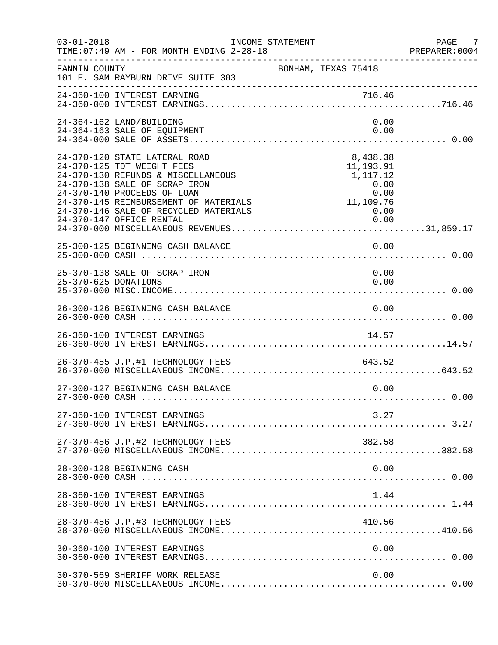| $03 - 01 - 2018$     | INCOME STATEMENT<br>TIME: 07:49 AM - FOR MONTH ENDING 2-28-18                                                                                                                                                                                                                   |                                                                                | PAGE 7<br>PREPARER:0004 |
|----------------------|---------------------------------------------------------------------------------------------------------------------------------------------------------------------------------------------------------------------------------------------------------------------------------|--------------------------------------------------------------------------------|-------------------------|
| FANNIN COUNTY        | 101 E. SAM RAYBURN DRIVE SUITE 303                                                                                                                                                                                                                                              | BONHAM, TEXAS 75418                                                            |                         |
|                      | 716.46   716.46   716.46   716.46   716.46   716.46   716.46   716.46   716.46   716.46   716.46   716.46   7                                                                                                                                                                   |                                                                                |                         |
|                      | 24-364-162 LAND/BUILDING<br>24-364-163 SALE OF EQUIPMENT                                                                                                                                                                                                                        | 0.00<br>0.00                                                                   |                         |
|                      | 24-370-120 STATE LATERAL ROAD<br>24-370-125 TDT WEIGHT FEES<br>24-370-130 REFUNDS & MISCELLANEOUS<br>24-370-138 SALE OF SCRAP IRON<br>24-370-140 PROCEEDS OF LOAN<br>24-370-145 REIMBURSEMENT OF MATERIALS<br>24-370-146 SALE OF RECYCLED MATERIALS<br>24-370-147 OFFICE RENTAL | 8,438.38<br>11,193.91<br>1,117.12<br>0.00<br>0.00<br>11,109.76<br>0.00<br>0.00 |                         |
|                      | 25-300-125 BEGINNING CASH BALANCE                                                                                                                                                                                                                                               | 0.00                                                                           |                         |
| 25-370-625 DONATIONS | 25-370-138 SALE OF SCRAP IRON                                                                                                                                                                                                                                                   | 0.00<br>0.00                                                                   |                         |
|                      | 26-300-126 BEGINNING CASH BALANCE                                                                                                                                                                                                                                               | 0.00                                                                           |                         |
|                      | 26-360-100 INTEREST EARNINGS                                                                                                                                                                                                                                                    | 14.57                                                                          |                         |
|                      | 26-370-455 J.P.#1 TECHNOLOGY FEES                                                                                                                                                                                                                                               | 643.52                                                                         |                         |
|                      | 27-300-127 BEGINNING CASH BALANCE                                                                                                                                                                                                                                               | 0.00                                                                           |                         |
|                      | 27-360-100 INTEREST EARNINGS                                                                                                                                                                                                                                                    | 3.27                                                                           |                         |
|                      | 27-370-456 J.P.#2 TECHNOLOGY FEES                                                                                                                                                                                                                                               | 382.58                                                                         |                         |
|                      | 28-300-128 BEGINNING CASH                                                                                                                                                                                                                                                       | 0.00                                                                           |                         |
|                      | 28-360-100 INTEREST EARNINGS                                                                                                                                                                                                                                                    | 1.44                                                                           |                         |
|                      | 28-370-456 J.P.#3 TECHNOLOGY FEES                                                                                                                                                                                                                                               | 410.56                                                                         |                         |
|                      | 30-360-100 INTEREST EARNINGS                                                                                                                                                                                                                                                    | 0.00                                                                           |                         |
|                      | 30-370-569 SHERIFF WORK RELEASE                                                                                                                                                                                                                                                 | 0.00                                                                           |                         |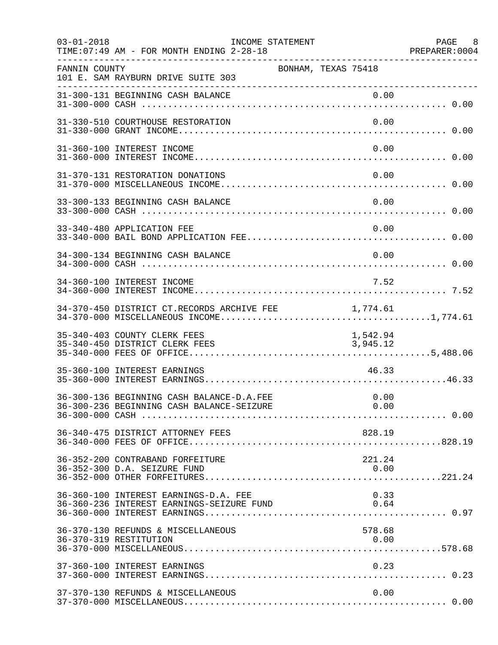| $03 - 01 - 2018$ | TIME: 07:49 AM - FOR MONTH ENDING 2-28-18                                          | INCOME STATEMENT |                      | PAGE 8<br>PREPARER: 0004 |
|------------------|------------------------------------------------------------------------------------|------------------|----------------------|--------------------------|
| FANNIN COUNTY    | 101 E. SAM RAYBURN DRIVE SUITE 303                                                 |                  | BONHAM, TEXAS 75418  |                          |
|                  |                                                                                    |                  |                      |                          |
|                  | 31-330-510 COURTHOUSE RESTORATION                                                  |                  | 0.00                 |                          |
|                  | 31-360-100 INTEREST INCOME                                                         |                  | 0.00                 |                          |
|                  | 31-370-131 RESTORATION DONATIONS                                                   |                  | 0.00                 |                          |
|                  | 33-300-133 BEGINNING CASH BALANCE                                                  |                  | 0.00                 |                          |
|                  | 33-340-480 APPLICATION FEE                                                         |                  | 0.00                 |                          |
|                  | 34-300-134 BEGINNING CASH BALANCE                                                  |                  | 0.00                 |                          |
|                  | 34-360-100 INTEREST INCOME                                                         |                  | 7.52                 |                          |
|                  | 34-370-450 DISTRICT CT.RECORDS ARCHIVE FEE                                         |                  | 1,774.61             |                          |
|                  | 35-340-403 COUNTY CLERK FEES<br>35-340-450 DISTRICT CLERK FEES                     |                  | 1,542.94<br>3,945.12 |                          |
|                  | 35-360-100 INTEREST EARNINGS                                                       |                  | 46.33                |                          |
|                  | 36-300-136 BEGINNING CASH BALANCE-D.A.FEE                                          |                  | 0.00                 |                          |
|                  | 36-340-475 DISTRICT ATTORNEY FEES                                                  |                  | 828.19               |                          |
|                  | 36-352-200 CONTRABAND FORFEITURE<br>36-352-300 D.A. SEIZURE FUND                   |                  | 221.24<br>0.00       |                          |
|                  | 36-360-100 INTEREST EARNINGS-D.A. FEE<br>36-360-236 INTEREST EARNINGS-SEIZURE FUND |                  | 0.33<br>0.64         |                          |
|                  | 36-370-130 REFUNDS & MISCELLANEOUS<br>36-370-319 RESTITUTION                       |                  | 578.68<br>0.00       |                          |
|                  | 37-360-100 INTEREST EARNINGS                                                       |                  | 0.23                 |                          |
|                  | 37-370-130 REFUNDS & MISCELLANEOUS                                                 |                  | 0.00                 |                          |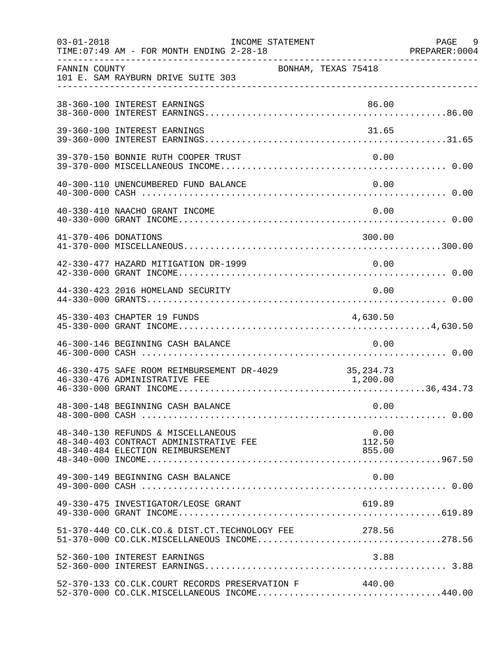| $03 - 01 - 2018$     | TIME: 07:49 AM - FOR MONTH ENDING 2-28-18                                                                         | INCOME STATEMENT    |                          | PAGE 9<br>PREPARER: 0004 |
|----------------------|-------------------------------------------------------------------------------------------------------------------|---------------------|--------------------------|--------------------------|
| FANNIN COUNTY        | 101 E. SAM RAYBURN DRIVE SUITE 303                                                                                | BONHAM, TEXAS 75418 |                          |                          |
|                      | 38-360-100 INTEREST EARNINGS                                                                                      |                     | 86.00                    |                          |
|                      | 39-360-100 INTEREST EARNINGS                                                                                      |                     | 31.65                    |                          |
|                      | 39-370-150 BONNIE RUTH COOPER TRUST                                                                               |                     | 0.00                     |                          |
|                      | 40-300-110 UNENCUMBERED FUND BALANCE                                                                              |                     | 0.00                     |                          |
|                      | 40-330-410 NAACHO GRANT INCOME                                                                                    |                     | 0.00                     |                          |
| 41-370-406 DONATIONS |                                                                                                                   |                     | 300.00                   |                          |
|                      | 42-330-477 HAZARD MITIGATION DR-1999                                                                              |                     | 0.00                     |                          |
|                      | 44-330-423 2016 HOMELAND SECURITY                                                                                 |                     | 0.00                     |                          |
|                      | 45-330-403 CHAPTER 19 FUNDS                                                                                       |                     | 4,630.50                 |                          |
|                      | 46-300-146 BEGINNING CASH BALANCE                                                                                 |                     | 0.00                     |                          |
|                      | 46-330-475 SAFE ROOM REIMBURSEMENT DR-4029 35,234.73<br>46-330-476 ADMINISTRATIVE FEE                             |                     | 1,200.00                 |                          |
|                      | 48-300-148 BEGINNING CASH BALANCE                                                                                 |                     | 0.00                     |                          |
|                      | 48-340-130 REFUNDS & MISCELLANEOUS<br>48-340-403 CONTRACT ADMINISTRATIVE FEE<br>48-340-484 ELECTION REIMBURSEMENT |                     | 0.00<br>112.50<br>855.00 |                          |
|                      | 49-300-149 BEGINNING CASH BALANCE                                                                                 |                     | 0.00                     |                          |
|                      | 49-330-475 INVESTIGATOR/LEOSE GRANT                                                                               |                     | 619.89                   |                          |
|                      | 51-370-440 CO.CLK.CO.& DIST.CT.TECHNOLOGY FEE 278.56                                                              |                     |                          |                          |
|                      | 52-360-100 INTEREST EARNINGS                                                                                      |                     | 3.88                     |                          |
|                      | 52-370-133 CO.CLK.COURT RECORDS PRESERVATION F 40.00<br>52-370-000 CO.CLK.MISCELLANEOUS INCOME440.00              |                     |                          |                          |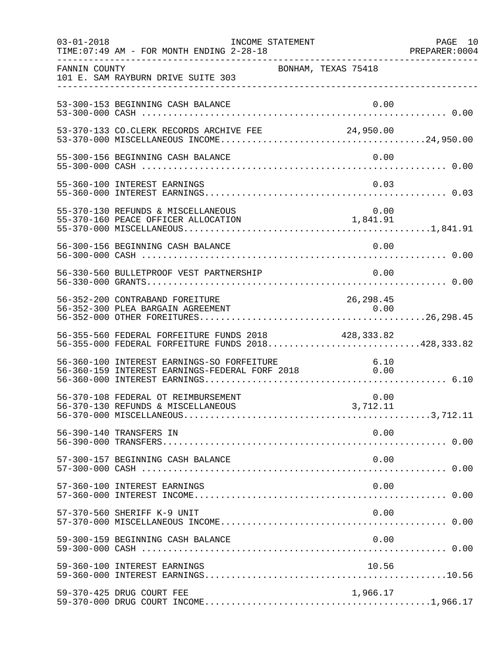| $03 - 01 - 2018$ | INCOME STATEMENT<br>TIME: 07:49 AM - FOR MONTH ENDING 2-28-18                                     |                     | PAGE 10<br>PREPARER: 0004 |
|------------------|---------------------------------------------------------------------------------------------------|---------------------|---------------------------|
| FANNIN COUNTY    | 101 E. SAM RAYBURN DRIVE SUITE 303                                                                | BONHAM, TEXAS 75418 |                           |
|                  | 53-300-153 BEGINNING CASH BALANCE                                                                 | 0.00                |                           |
|                  | 53-370-133 CO.CLERK RECORDS ARCHIVE FEE 24,950.00                                                 |                     |                           |
|                  | 55-300-156 BEGINNING CASH BALANCE                                                                 | 0.00                |                           |
|                  | 55-360-100 INTEREST EARNINGS                                                                      | 0.03                |                           |
|                  | 55-370-130 REFUNDS & MISCELLANEOUS                                                                |                     |                           |
|                  | 56-300-156 BEGINNING CASH BALANCE                                                                 | 0.00                |                           |
|                  | 56-330-560 BULLETPROOF VEST PARTNERSHIP                                                           | 0.00                |                           |
|                  | 56-352-200 CONTRABAND FOREITURE<br>56-352-300 PLEA BARGAIN AGREEMENT                              | 26, 298.45<br>0.00  |                           |
|                  | 56-355-560 FEDERAL FORFEITURE FUNDS 2018<br>56-355-000 FEDERAL FORFEITURE FUNDS 2018428,333.82    | 428,333.82          |                           |
|                  | 56-360-100 INTEREST EARNINGS-SO FORFEITURE<br>56-360-159 INTEREST EARNINGS-FEDERAL FORF 2018 0.00 |                     |                           |
|                  | 56-370-108 FEDERAL OT REIMBURSEMENT                                                               | 0.00                |                           |
|                  | 56-390-140 TRANSFERS IN                                                                           | 0.00                |                           |
|                  | 57-300-157 BEGINNING CASH BALANCE                                                                 | 0.00                |                           |
|                  | 57-360-100 INTEREST EARNINGS                                                                      | 0.00                |                           |
|                  | 57-370-560 SHERIFF K-9 UNIT                                                                       | 0.00                |                           |
|                  | 59-300-159 BEGINNING CASH BALANCE                                                                 | 0.00                |                           |
|                  | 59-360-100 INTEREST EARNINGS                                                                      | 10.56               |                           |
|                  | 59-370-425 DRUG COURT FEE                                                                         | 1,966.17            |                           |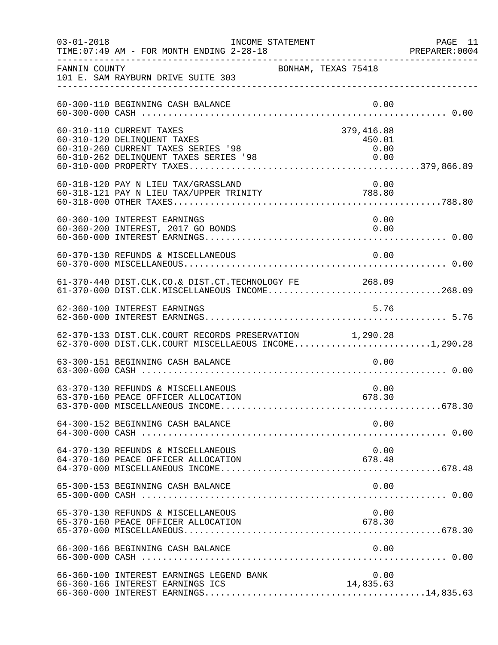| $03 - 01 - 2018$ | INCOME STATEMENT<br>TIME: 07:49 AM - FOR MONTH ENDING 2-28-18                                                                            |                                      | PAGE 11<br>PREPARER: 0004 |
|------------------|------------------------------------------------------------------------------------------------------------------------------------------|--------------------------------------|---------------------------|
| FANNIN COUNTY    | BONHAM, TEXAS 75418<br>101 E. SAM RAYBURN DRIVE SUITE 303                                                                                |                                      |                           |
|                  | 60-300-110 BEGINNING CASH BALANCE                                                                                                        | 0.00                                 |                           |
|                  | 60-310-110 CURRENT TAXES<br>60-310-120 DELINQUENT TAXES<br>60-310-260 CURRENT TAXES SERIES '98<br>60-310-262 DELINQUENT TAXES SERIES '98 | 379,416.88<br>450.01<br>0.00<br>0.00 |                           |
|                  | 60-318-120 PAY N LIEU TAX/GRASSLAND 0.00<br>60-318-121 PAY N LIEU TAX/UPPER TRINITY 788.80                                               |                                      |                           |
|                  | 60-360-100 INTEREST EARNINGS<br>60-360-200 INTEREST, 2017 GO BONDS                                                                       | 0.00<br>0.00                         |                           |
|                  | 60-370-130 REFUNDS & MISCELLANEOUS                                                                                                       | 0.00                                 |                           |
|                  | 61-370-440 DIST.CLK.CO.& DIST.CT.TECHNOLOGY FE 268.09<br>61-370-000 DIST.CLK.MISCELLANEOUS INCOME268.09                                  |                                      |                           |
|                  | 62-360-100 INTEREST EARNINGS                                                                                                             | 5.76                                 |                           |
|                  | 62-370-133 DIST.CLK.COURT RECORDS PRESERVATION 1,290.28<br>62-370-000 DIST.CLK.COURT MISCELLAEOUS INCOME1,290.28                         |                                      |                           |
|                  | 63-300-151 BEGINNING CASH BALANCE                                                                                                        | 0.00                                 |                           |
|                  | 63-370-130 REFUNDS & MISCELLANEOUS<br>63-370-160 PEACE OFFICER ALLOCATION                                                                | 0.00<br>678.30                       |                           |
|                  | 64-300-152 BEGINNING CASH BALANCE                                                                                                        | 0.00                                 |                           |
|                  | 64-370-130 REFUNDS & MISCELLANEOUS<br>64-370-160 PEACE OFFICER ALLOCATION                                                                | 0.00<br>678.48                       |                           |
|                  |                                                                                                                                          |                                      |                           |
|                  | 65-370-130 REFUNDS & MISCELLANEOUS<br>65-370-160 PEACE OFFICER ALLOCATION                                                                | 0.00<br>678.30                       |                           |
|                  | 66-300-166 BEGINNING CASH BALANCE                                                                                                        | 0.00                                 |                           |
|                  | 66-360-100 INTEREST EARNINGS LEGEND BANK<br>66-360-166 INTEREST EARNINGS ICS                                                             | 0.00<br>14,835.63                    |                           |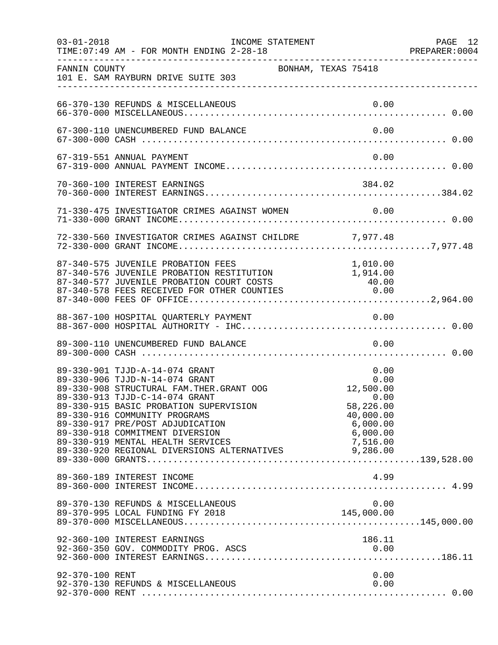| $03 - 01 - 2018$ | INCOME STATEMENT<br>TIME: 07:49 AM - FOR MONTH ENDING 2-28-18                                                                                                                                                                                                                                                                                                                                 |                                                                                                  | PAGE 12 |
|------------------|-----------------------------------------------------------------------------------------------------------------------------------------------------------------------------------------------------------------------------------------------------------------------------------------------------------------------------------------------------------------------------------------------|--------------------------------------------------------------------------------------------------|---------|
| FANNIN COUNTY    | 101 E. SAM RAYBURN DRIVE SUITE 303                                                                                                                                                                                                                                                                                                                                                            | BONHAM, TEXAS 75418                                                                              |         |
|                  | 66-370-130 REFUNDS & MISCELLANEOUS                                                                                                                                                                                                                                                                                                                                                            | 0.00                                                                                             |         |
|                  | 67-300-110 UNENCUMBERED FUND BALANCE                                                                                                                                                                                                                                                                                                                                                          | 0.00                                                                                             |         |
|                  | 67-319-551 ANNUAL PAYMENT                                                                                                                                                                                                                                                                                                                                                                     | 0.00                                                                                             |         |
|                  | 70-360-100 INTEREST EARNINGS                                                                                                                                                                                                                                                                                                                                                                  | 384.02                                                                                           |         |
|                  |                                                                                                                                                                                                                                                                                                                                                                                               |                                                                                                  |         |
|                  | 72-330-560 INVESTIGATOR CRIMES AGAINST CHILDRE 7,977.48                                                                                                                                                                                                                                                                                                                                       |                                                                                                  |         |
|                  | 87-340-575 JUVENILE PROBATION FEES<br>87-340-576 JUVENILE PROBATION RESTITUTION 1,914.00<br>87-340-577 JUVENILE PROBATION COURT COSTS 40.00<br>87-340-578 FEES RECEIVED FOR OTHER COUNTIES 0.00                                                                                                                                                                                               | 1,010.00                                                                                         |         |
|                  | 88-367-100 HOSPITAL QUARTERLY PAYMENT                                                                                                                                                                                                                                                                                                                                                         | 0.00                                                                                             |         |
|                  | 89-300-110 UNENCUMBERED FUND BALANCE                                                                                                                                                                                                                                                                                                                                                          | 0.00                                                                                             |         |
|                  | 89-330-901 TJJD-A-14-074 GRANT<br>89-330-906 TJJD-N-14-074 GRANT<br>89-330-908 STRUCTURAL FAM.THER.GRANT OOG<br>89-330-913 TJJD-C-14-074 GRANT<br>89-330-915 BASIC PROBATION SUPERVISION<br>89-330-916 COMMUNITY PROGRAMS<br>89-330-917 PRE/POST ADJUDICATION<br>89-330-918 COMMITMENT DIVERSION<br>89-330-919 MENTAL HEALTH SERVICES<br>89-330-920 REGIONAL DIVERSIONS ALTERNATIVES 9,286.00 | 0.00<br>0.00<br>0.00<br>12,500.00<br>58, 226.00<br>40,000.00<br>6,000.00<br>6,000.00<br>7,516.00 |         |
|                  | 89-360-189 INTEREST INCOME                                                                                                                                                                                                                                                                                                                                                                    | 4.99                                                                                             |         |
|                  | 89-370-130 REFUNDS & MISCELLANEOUS                                                                                                                                                                                                                                                                                                                                                            | 0.00                                                                                             |         |
|                  | 92-360-100 INTEREST EARNINGS<br>92-360-350 GOV. COMMODITY PROG. ASCS                                                                                                                                                                                                                                                                                                                          | 186.11<br>0.00                                                                                   |         |
| 92-370-100 RENT  | 92-370-130 REFUNDS & MISCELLANEOUS                                                                                                                                                                                                                                                                                                                                                            | 0.00<br>0.00                                                                                     |         |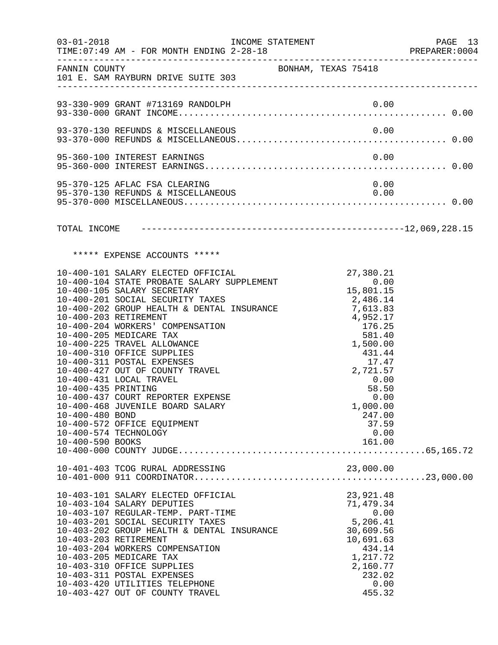| $03 - 01 - 2018$                                           | INCOME STATEMENT<br>TIME: 07:49 AM - FOR MONTH ENDING 2-28-18                                                                                                                                                                                                                                                                                                                                                                                                                                                                                                                       |                     |                                                                                                                                                                                                                                                 | PAGE 13<br>PREPARER: 0004 |
|------------------------------------------------------------|-------------------------------------------------------------------------------------------------------------------------------------------------------------------------------------------------------------------------------------------------------------------------------------------------------------------------------------------------------------------------------------------------------------------------------------------------------------------------------------------------------------------------------------------------------------------------------------|---------------------|-------------------------------------------------------------------------------------------------------------------------------------------------------------------------------------------------------------------------------------------------|---------------------------|
|                                                            | FANNIN COUNTY<br>101 E. SAM RAYBURN DRIVE SUITE 303                                                                                                                                                                                                                                                                                                                                                                                                                                                                                                                                 | BONHAM, TEXAS 75418 |                                                                                                                                                                                                                                                 |                           |
|                                                            | 93-330-909 GRANT #713169 RANDOLPH                                                                                                                                                                                                                                                                                                                                                                                                                                                                                                                                                   |                     |                                                                                                                                                                                                                                                 |                           |
|                                                            | 93-370-130 REFUNDS & MISCELLANEOUS                                                                                                                                                                                                                                                                                                                                                                                                                                                                                                                                                  |                     | 0.00                                                                                                                                                                                                                                            |                           |
|                                                            | 95-360-100 INTEREST EARNINGS                                                                                                                                                                                                                                                                                                                                                                                                                                                                                                                                                        |                     | 0.00                                                                                                                                                                                                                                            |                           |
|                                                            | 95-370-125 AFLAC FSA CLEARING<br>95-370-130 REFUNDS & MISCELLANEOUS                                                                                                                                                                                                                                                                                                                                                                                                                                                                                                                 |                     | 0.00<br>0.00                                                                                                                                                                                                                                    |                           |
|                                                            |                                                                                                                                                                                                                                                                                                                                                                                                                                                                                                                                                                                     |                     |                                                                                                                                                                                                                                                 |                           |
|                                                            | ***** EXPENSE ACCOUNTS *****                                                                                                                                                                                                                                                                                                                                                                                                                                                                                                                                                        |                     |                                                                                                                                                                                                                                                 |                           |
| 10-400-435 PRINTING<br>10-400-480 BOND<br>10-400-590 BOOKS | 10-400-101 SALARY ELECTED OFFICIAL<br>10-400-104 STATE PROBATE SALARY SUPPLEMENT<br>10-400-105 SALARY SECRETARY<br>10-400-201 SOCIAL SECURITY TAXES<br>10-400-202 GROUP HEALTH & DENTAL INSURANCE<br>10-400-203 RETIREMENT<br>10-400-204 WORKERS' COMPENSATION<br>10-400-205 MEDICARE TAX<br>10-400-225 TRAVEL ALLOWANCE<br>10-400-310 OFFICE SUPPLIES<br>10-400-311 POSTAL EXPENSES<br>10-400-427 OUT OF COUNTY TRAVEL<br>10-400-431 LOCAL TRAVEL<br>10-400-437 COURT REPORTER EXPENSE<br>10-400-468 JUVENILE BOARD SALARY<br>10-400-572 OFFICE EQUIPMENT<br>10-400-574 TECHNOLOGY |                     | 27,380.21<br>$\frac{27}{15,801.15}$<br>2,486.14<br>7,613.83<br>4,952.17<br>176.25<br>581.40<br>1,500.00<br>431.44<br>$\begin{array}{c} 1/1.5 \\ 2,721.57 \\ 0.00 \end{array}$<br>58.50<br>0.00<br>1,000.00<br>247.00<br>37.59<br>0.00<br>161.00 |                           |
|                                                            | 10-401-403 TCOG RURAL ADDRESSING                                                                                                                                                                                                                                                                                                                                                                                                                                                                                                                                                    |                     | 23,000.00                                                                                                                                                                                                                                       |                           |
|                                                            | 10-403-101 SALARY ELECTED OFFICIAL<br>10-403-104 SALARY DEPUTIES<br>10-403-107 REGULAR-TEMP. PART-TIME<br>10-403-201 SOCIAL SECURITY TAXES<br>10-403-202 GROUP HEALTH & DENTAL INSURANCE<br>10-403-203 RETIREMENT<br>10-403-204 WORKERS COMPENSATION<br>10-403-205 MEDICARE TAX<br>10-403-310 OFFICE SUPPLIES<br>10-403-311 POSTAL EXPENSES<br>10-403-420 UTILITIES TELEPHONE<br>10-403-427 OUT OF COUNTY TRAVEL                                                                                                                                                                    |                     | 23,921.48<br>71,479.34<br>0.00<br>5,206.41<br>30,609.56<br>10,691.63<br>434.14<br>1,217.72<br>2,160.77<br>232.02<br>0.00<br>455.32                                                                                                              |                           |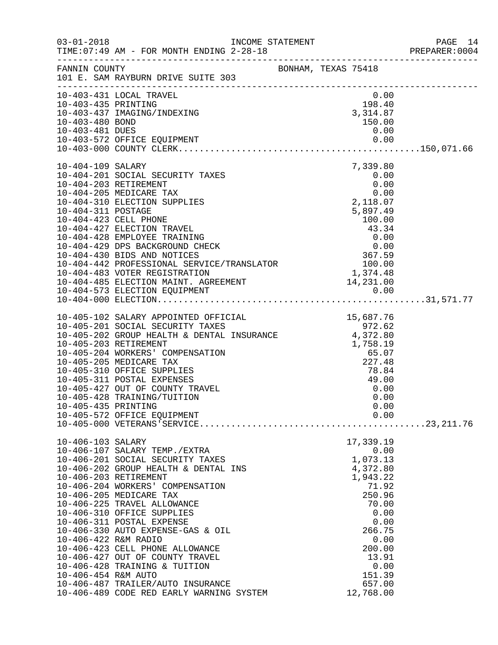|                                                                  |                                                                                                                                                                                                                                                                                                                                                                                                                                                                                                                          |  |                                                                                                                                                                                                         | PAGE 14<br>PREPARER: 0004 |
|------------------------------------------------------------------|--------------------------------------------------------------------------------------------------------------------------------------------------------------------------------------------------------------------------------------------------------------------------------------------------------------------------------------------------------------------------------------------------------------------------------------------------------------------------------------------------------------------------|--|---------------------------------------------------------------------------------------------------------------------------------------------------------------------------------------------------------|---------------------------|
|                                                                  | FANNIN COUNTY<br>101 E. SAM RAYBURN DRIVE SUITE 303                                                                                                                                                                                                                                                                                                                                                                                                                                                                      |  |                                                                                                                                                                                                         |                           |
| 10-403-435 PRINTING<br>10-403-480 BOND<br>10-403-481 DUES        | 10-403-431 LOCAL TRAVEL<br>10-403-437 IMAGING/INDEXING                                                                                                                                                                                                                                                                                                                                                                                                                                                                   |  | 0.00<br>198.40<br>3, 314.87<br>150.00<br>0.00                                                                                                                                                           |                           |
| 10-404-109 SALARY<br>10-404-311 POSTAGE                          | 10-404-201 SOCIAL SECURITY TAXES<br>10-404-203 RETIREMENT<br>10-404-205 MEDICARE TAX<br>10-404-310 ELECTION SUPPLIES<br>10-404-423 CELL PHONE<br>10-404-427 ELECTION TRAVEL<br>10-404-428 EMPLOYEE TRAINING<br>10-404-429 DPS BACKGROUND CHECK 0.00<br>10-404-430 BIDS AND NOTICES 367.59<br>10-404-442 PROFESSIONAL SERVICE/TRANSLATOR 100.00<br>10-404-483 VOTER REGISTRATION 1,374.48<br>10-404-485 ELECTION MAINT. AGREEMENT 14,231.00                                                                               |  | 7,339.80<br>0.00<br>0.00<br>$\begin{array}{c} 0.00 \\ 2,118.07 \end{array}$<br>5,897.49<br>100.00<br>$\begin{array}{r} 43.34 \\ 43.34 \\ 0.00 \\ 0.00 \\ 367.59 \end{array}$<br>1, 374.48<br>14, 231.00 |                           |
| 10-405-435 PRINTING                                              | 10-405-102 SALARY APPOINTED OFFICIAL<br>972.62<br>10-405-202 GROUP HEALTH & DENTAL INSURANCE 4,372.80<br>10-405-203 RETIREMENT<br>10-405-204 WORKERS' COMPENSATION<br>10-405-205 MEDICARE TAX<br>10-405-310 OFFICE SUPPLIES<br>10-405-311 POSTAL EXPENSES<br>10-405-427 OUT OF COUNTY TRAVEL<br>10-405-428 TRAINING/TUITION                                                                                                                                                                                              |  | 15,687.76<br>1,758.19<br>65.07<br>227.48<br>78.84<br>49.00<br>0.00<br>0.00<br>0.00                                                                                                                      |                           |
| 10-406-103 SALARY<br>10-406-422 R&M RADIO<br>10-406-454 R&M AUTO | 10-406-107 SALARY TEMP./EXTRA<br>10-406-201 SOCIAL SECURITY TAXES<br>10-406-202 GROUP HEALTH & DENTAL INS<br>10-406-203 RETIREMENT<br>10-406-204 WORKERS' COMPENSATION<br>10-406-205 MEDICARE TAX<br>10-406-225 TRAVEL ALLOWANCE<br>10-406-310 OFFICE SUPPLIES<br>10-406-311 POSTAL EXPENSE<br>10-406-330 AUTO EXPENSE-GAS & OIL<br>10-406-423 CELL PHONE ALLOWANCE<br>10-406-427 OUT OF COUNTY TRAVEL<br>10-406-428 TRAINING & TUITION<br>10-406-487 TRAILER/AUTO INSURANCE<br>10-406-489 CODE RED EARLY WARNING SYSTEM |  | 17,339.19<br>0.00<br>1,073.13<br>4,372.80<br>1,943.22<br>71.92<br>250.96<br>70.00<br>0.00<br>0.00<br>266.75<br>0.00<br>200.00<br>13.91<br>0.00<br>151.39<br>657.00<br>12,768.00                         |                           |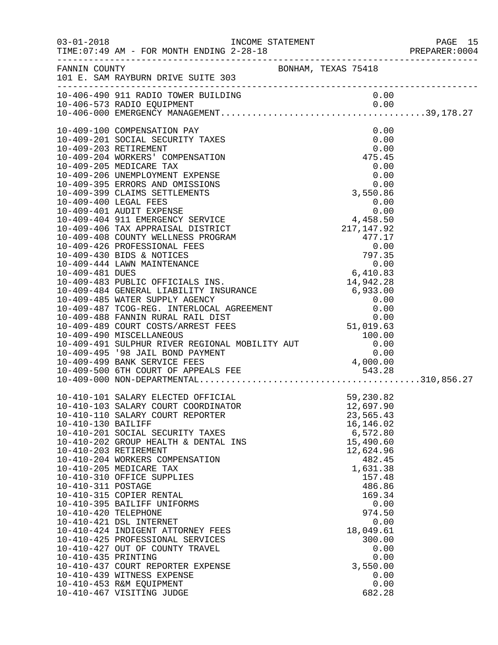| $03 - 01 - 2018$                                                                        | TIME: 07:49 AM - FOR MONTH ENDING 2-28-18                                                                                                                                                                                                                                                                                                                                                                                                                                                                                                                                                                                                    |  |                                                                                                                                                                                                   |                                              | PAGE 15 |
|-----------------------------------------------------------------------------------------|----------------------------------------------------------------------------------------------------------------------------------------------------------------------------------------------------------------------------------------------------------------------------------------------------------------------------------------------------------------------------------------------------------------------------------------------------------------------------------------------------------------------------------------------------------------------------------------------------------------------------------------------|--|---------------------------------------------------------------------------------------------------------------------------------------------------------------------------------------------------|----------------------------------------------|---------|
|                                                                                         | FANNIN COUNTY BONHAM, TEXAS 75418<br>101 E. SAM RAYBURN DRIVE SUITE 303                                                                                                                                                                                                                                                                                                                                                                                                                                                                                                                                                                      |  |                                                                                                                                                                                                   |                                              |         |
|                                                                                         | 10-406-490 911 RADIO TOWER BUILDING                                                                                                                                                                                                                                                                                                                                                                                                                                                                                                                                                                                                          |  |                                                                                                                                                                                                   | 0.00                                         |         |
|                                                                                         | 10-409-100 COMPENSATION PAY<br>10-409-201 SOCIAL SECURITY TAXES<br>10-409-203 RETIREMENT<br>10-409-204 WORKERS' COMPENSATION<br>10-409-205 MEDICARE TAX<br>10-409-206 UNEMPLOYMENT EXPENSE<br>10-409-395 ERRORS AND OMISSIONS<br>10-409-399 CLAIMS SETTLEMENTS                                                                                                                                                                                                                                                                                                                                                                               |  | 0.00<br>475.45<br>$0.00$<br>0.00<br>0.00<br>0.00<br>3,550.86                                                                                                                                      | 0.00<br>0.00                                 |         |
| 10-410-130 BAILIFF<br>10-410-311 POSTAGE<br>10-410-420 TELEPHONE<br>10-410-435 PRINTING | 10-410-101 SALARY ELECTED OFFICIAL<br>10-410-103 SALARY COURT COORDINATOR<br>10-410-110 SALARY COURT REPORTER<br>10-410-201 SOCIAL SECURITY TAXES<br>10-410-202 GROUP HEALTH & DENTAL INS<br>10-410-203 RETIREMENT<br>10-410-204 WORKERS COMPENSATION<br>10-410-205 MEDICARE TAX<br>10-410-310 OFFICE SUPPLIES<br>10-410-315 COPIER RENTAL<br>10-410-395 BAILIFF UNIFORMS<br>10-410-421 DSL INTERNET<br>10-410-424 INDIGENT ATTORNEY FEES<br>10-410-425 PROFESSIONAL SERVICES<br>10-410-427 OUT OF COUNTY TRAVEL<br>10-410-437 COURT REPORTER EXPENSE<br>10-410-439 WITNESS EXPENSE<br>10-410-453 R&M EQUIPMENT<br>10-410-467 VISITING JUDGE |  | 59,230.82<br>12,697.90<br>23,565.43<br>16,146.02<br>6,572.80<br>15,490.60<br>12,624.96<br>482.45<br>1,631.38<br>157.48<br>486.86<br>169.34<br>974.50<br>18,049.61<br>300.00<br>3,550.00<br>682.28 | 0.00<br>0.00<br>0.00<br>0.00<br>0.00<br>0.00 |         |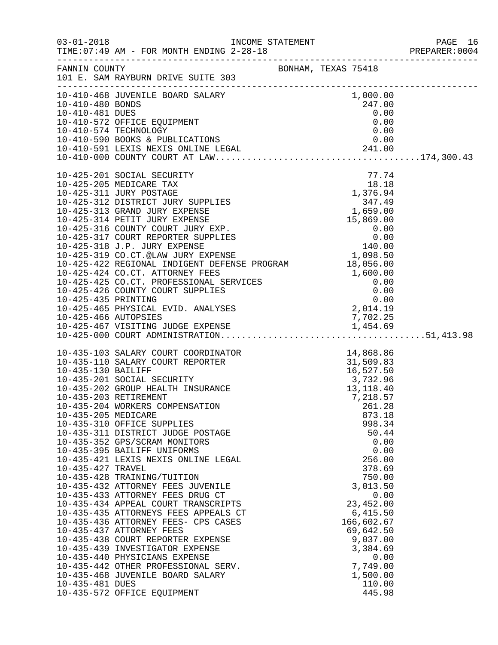|                                                             |                                                                                                                                                                                                                                                                                                                                                                                                                                                                                                                                                                                                                                                                                                                                                                                                                                                                                                                                                    |                     |                                                                                                                                                                                                                                                                                                           | PREPARER: 0004 |
|-------------------------------------------------------------|----------------------------------------------------------------------------------------------------------------------------------------------------------------------------------------------------------------------------------------------------------------------------------------------------------------------------------------------------------------------------------------------------------------------------------------------------------------------------------------------------------------------------------------------------------------------------------------------------------------------------------------------------------------------------------------------------------------------------------------------------------------------------------------------------------------------------------------------------------------------------------------------------------------------------------------------------|---------------------|-----------------------------------------------------------------------------------------------------------------------------------------------------------------------------------------------------------------------------------------------------------------------------------------------------------|----------------|
|                                                             | FANNIN COUNTY<br>101 E. SAM RAYBURN DRIVE SUITE 303                                                                                                                                                                                                                                                                                                                                                                                                                                                                                                                                                                                                                                                                                                                                                                                                                                                                                                | BONHAM, TEXAS 75418 |                                                                                                                                                                                                                                                                                                           |                |
|                                                             |                                                                                                                                                                                                                                                                                                                                                                                                                                                                                                                                                                                                                                                                                                                                                                                                                                                                                                                                                    |                     |                                                                                                                                                                                                                                                                                                           |                |
|                                                             | 10-425-201 SOCIAL SECURITY<br>10-425-205 MEDICARE TAX<br>10-425-311 JURY POSTAGE<br>10-425-312 DISTRICT JURY SUPPLIES<br>10-425-313 GRAND JURY EXPENSE<br>10-425-314 PETIT JURY EXPENSE<br>10-425-316 COUNTY COURT JURY EXP.<br>10-425-317 COURT REPORTER SUPPLIES<br>10-425-318 J.P. JURY EXPENSE<br>10-425-319 CO.CT.@LAW JURY EXPENSE<br>10-425-313 CO.CI. SIAN USIN INFERE PROGRAM 18,056.00<br>10-425-424 CO.CT. ATTORNEY FEES<br>1,600.00<br>10-425-425 CO.CT. PROFESSIONAL SERVICES<br>1,600.00<br>10-425-426 COUNTY COURT SUPPLIES<br>10-425-435 PRINTING<br>10-425-465 PHYSICAL EVID. ANALYSES<br>2,014.19                                                                                                                                                                                                                                                                                                                                |                     | 77.74<br>Y<br>The contract of the MSE<br>SUPPLIES<br>ENSE<br>ENSE<br>ENSE<br>URY EXP.<br>SUPPLIES<br>O .00<br>NSE<br>NSE<br>NSE<br>PRINGE<br>PRINGE<br>PRINGE<br>PRINGE<br>PRINGE<br>PRINGE<br>PRINGE<br>PRINGE<br>PRINGE<br>PRINGE<br>PRINGE<br>PRINGE<br>PRINGE<br>PRINGE<br>PRINGE<br>PRIN<br>1,098.50 |                |
| 10-435-205 MEDICARE<br>10-435-427 TRAVEL<br>10-435-481 DUES | 10-435-103 SALARY COURT COORDINATOR<br>10-435-110 SALARY COURT REPORTER<br>10-435-130 BAILIFF<br>10-435-201 SOCIAL SECURITY<br>10-435-202 GROUP HEALTH INSURANCE<br>10-435-202 GROUP HEALTH INSURANCE<br>13,118.40<br>13,118.40<br>10-435-203 RETIREMENT<br>10-435-204 WORKERS COMPENSATION<br>10-435-310 OFFICE SUPPLIES<br>10-435-311 DISTRICT JUDGE POSTAGE<br>10-435-352 GPS/SCRAM MONITORS<br>10-435-395 BAILIFF UNIFORMS<br>10-435-421 LEXIS NEXIS ONLINE LEGAL<br>10-435-428 TRAINING/TUITION<br>10-435-432 ATTORNEY FEES JUVENILE<br>10-435-433 ATTORNEY FEES DRUG CT<br>10-435-434 APPEAL COURT TRANSCRIPTS<br>10-435-435 ATTORNEYS FEES APPEALS CT<br>10-435-436 ATTORNEY FEES- CPS CASES<br>10-435-437 ATTORNEY FEES<br>10-435-438 COURT REPORTER EXPENSE<br>10-435-439 INVESTIGATOR EXPENSE<br>10-435-440 PHYSICIANS EXPENSE<br>10-435-442 OTHER PROFESSIONAL SERV.<br>10-435-468 JUVENILE BOARD SALARY<br>10-435-572 OFFICE EQUIPMENT |                     | 7,218.57<br>261.28<br>873.18<br>998.34<br>50.44<br>0.00<br>0.00<br>256.00<br>378.69<br>750.00<br>3,013.50<br>0.00<br>23,452.00<br>6,415.50<br>166,602.67<br>69,642.50<br>9,037.00<br>3,384.69<br>0.00<br>7,749.00<br>1,500.00<br>110.00<br>445.98                                                         |                |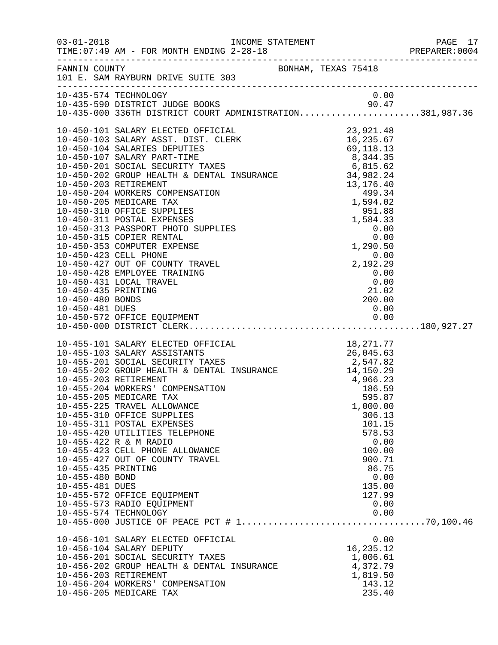| $03 - 01 - 2018$                                          | TIME: 07:49 AM - FOR MONTH ENDING 2-28-18<br>----------------------------------                                                                                                                                                                                                                                                                                                                                                                                                                                                                                 |  |                                                                                                                         |  |
|-----------------------------------------------------------|-----------------------------------------------------------------------------------------------------------------------------------------------------------------------------------------------------------------------------------------------------------------------------------------------------------------------------------------------------------------------------------------------------------------------------------------------------------------------------------------------------------------------------------------------------------------|--|-------------------------------------------------------------------------------------------------------------------------|--|
| FANNIN COUNTY                                             | 101 E. SAM RAYBURN DRIVE SUITE 303                                                                                                                                                                                                                                                                                                                                                                                                                                                                                                                              |  | BONHAM, TEXAS 75418                                                                                                     |  |
|                                                           | 10-435-574 TECHNOLOGY                                                                                                                                                                                                                                                                                                                                                                                                                                                                                                                                           |  | 0.00                                                                                                                    |  |
| 10-450-481 DUES                                           | 10-450-572 OFFICE EQUIPMENT                                                                                                                                                                                                                                                                                                                                                                                                                                                                                                                                     |  | 0.00                                                                                                                    |  |
| 10-455-435 PRINTING<br>10-455-480 BOND<br>10-455-481 DUES | 10-455-101 SALARY ELECTED OFFICIAL<br>10-455-103 SALARY ASSISTANTS<br>10-455-201 SOCIAL SECURITY TAXES<br>10-455-202 GROUP HEALTH & DENTAL INSURANCE<br>10-455-203 RETIREMENT<br>10-455-203 RETIREMENT<br>10-455-203 RETIREMENT<br>10-455-20<br>10-455-225 TRAVEL ALLOWANCE<br>10-455-310 OFFICE SUPPLIES<br>10-455-311 POSTAL EXPENSES<br>10-455-420 UTILITIES TELEPHONE<br>10-455-422 R & M RADIO<br>10-455-423 CELL PHONE ALLOWANCE<br>10-455-427 OUT OF COUNTY TRAVEL<br>10-455-572 OFFICE EQUIPMENT<br>10-455-573 RADIO EQUIPMENT<br>10-455-574 TECHNOLOGY |  | 1,000.00<br>306.13<br>101.15<br>578.53<br>0.00<br>100.00<br>900.71<br>86.75<br>0.00<br>135.00<br>127.99<br>0.00<br>0.00 |  |
|                                                           | 10-456-101 SALARY ELECTED OFFICIAL<br>10-456-104 SALARY DEPUTY<br>10-456-201 SOCIAL SECURITY TAXES<br>10-456-202 GROUP HEALTH & DENTAL INSURANCE<br>10-456-203 RETIREMENT<br>10-456-204 WORKERS' COMPENSATION<br>10-456-205 MEDICARE TAX                                                                                                                                                                                                                                                                                                                        |  | 0.00<br>16, 235. 12<br>1,006.61<br>4,372.79<br>1,819.50<br>143.12<br>235.40                                             |  |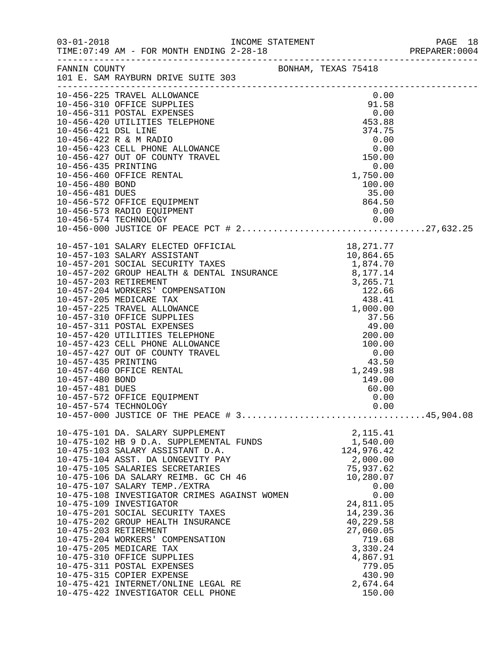|                                    |                                                                                                                                                                                                                                                                                                                                                                                                                                                                                                                                                                                                                                                                                    |                                                                             |                                                                                                                                                                                                                           | PREPARER: 0004 |
|------------------------------------|------------------------------------------------------------------------------------------------------------------------------------------------------------------------------------------------------------------------------------------------------------------------------------------------------------------------------------------------------------------------------------------------------------------------------------------------------------------------------------------------------------------------------------------------------------------------------------------------------------------------------------------------------------------------------------|-----------------------------------------------------------------------------|---------------------------------------------------------------------------------------------------------------------------------------------------------------------------------------------------------------------------|----------------|
|                                    | FANNIN COUNTY<br>101 E. SAM RAYBURN DRIVE SUITE 303                                                                                                                                                                                                                                                                                                                                                                                                                                                                                                                                                                                                                                | BONHAM, TEXAS 75418                                                         |                                                                                                                                                                                                                           |                |
| 10-456-480 BOND<br>10-456-481 DUES | 10-456-225 TRAVEL ALLOWANCE<br>0.00<br>10-456-310 OFFICE SUPPLIES<br>10-456-311 POSTAL EXPENSES<br>10-456-420 UTILITIES TELEPHONE<br>10-456-421 DSL LINE<br>10-456-422 R & M RADIO<br>10-456-423 CELL PHONE ALLOWANCE<br>10-456-427 OUT OF COUNTY TRAVEL<br>10-456-435 PRINTI<br>10-456-460 OFFICE RENTAL<br>10-456-572 OFFICE EQUIPMENT<br>10-456-573 RADIO EQUIPMENT                                                                                                                                                                                                                                                                                                             | $1,750.00$<br>0.00<br>100.00<br>100.00<br>35.00<br>864.50<br>864.50<br>0.00 | 0.00                                                                                                                                                                                                                      |                |
| 10-457-480 BOND<br>10-457-481 DUES | $10-457-101\,\,\mathrm{SALARY\,\,LSCTFD\,\,OF\,\,COMPERD\,\,SFLR-103\,\,\mathrm{SLARY\,\,ASSISTANT}\,\,SISTANT\,\,S10,864.65\,\,10-457-201\,\,\mathrm{SOCIAL\,\,SECURITY\,\,TAKES}\,\,1,874.70\,\,10-457-202\,\,\mathrm{GROUP\,\,HEALTH\,\,&\,\,DENTAL\,\,INSURANCE\,\,10-457-203\,\,RETIREMENT\,\,10-457-206\,\,WORENSETIAN\,\,10-457-20$<br>10-457-460 OFFICE RENTAL<br>10-457-572 OFFICE EQUIPMENT<br>10-457-574 TECHNOLOGY                                                                                                                                                                                                                                                     |                                                                             | 1,249.98<br>149.00<br>60.00<br>0.00<br>0.00                                                                                                                                                                               |                |
|                                    | 10-475-101 DA. SALARY SUPPLEMENT<br>10-475-102 HB 9 D.A. SUPPLEMENTAL FUNDS<br>10-475-103 SALARY ASSISTANT D.A.<br>10-475-104 ASST. DA LONGEVITY PAY<br>10-475-105 SALARIES SECRETARIES<br>10-475-106 DA SALARY REIMB. GC CH 46<br>10-475-107 SALARY TEMP./EXTRA<br>10-475-108 INVESTIGATOR CRIMES AGAINST WOMEN<br>10-475-109 INVESTIGATOR<br>10-475-201 SOCIAL SECURITY TAXES<br>10-475-202 GROUP HEALTH INSURANCE<br>10-475-203 RETIREMENT<br>10-475-204 WORKERS' COMPENSATION<br>10-475-205 MEDICARE TAX<br>10-475-310 OFFICE SUPPLIES<br>10-475-311 POSTAL EXPENSES<br>10-475-315 COPIER EXPENSE<br>10-475-421 INTERNET/ONLINE LEGAL RE<br>10-475-422 INVESTIGATOR CELL PHONE |                                                                             | 2, 115.41<br>1,540.00<br>124,976.42<br>2,000.00<br>75,937.62<br>10,280.07<br>0.00<br>0.00<br>24,811.05<br>14,239.36<br>40,229.58<br>27,060.05<br>719.68<br>3,330.24<br>4,867.91<br>779.05<br>430.90<br>2,674.64<br>150.00 |                |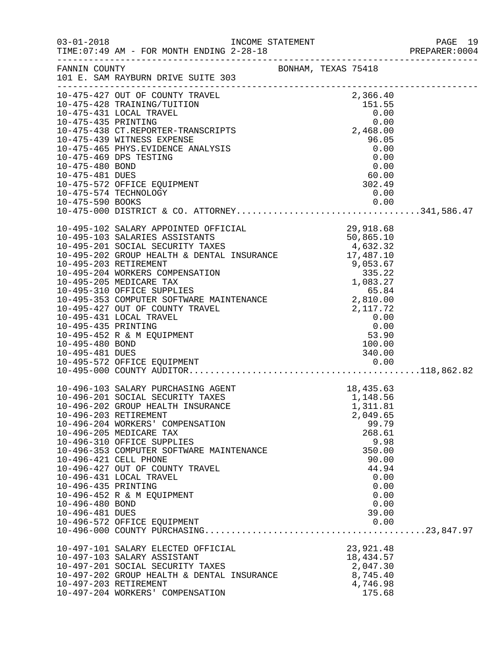|                                    |                                                                                                                                                                                                                                                                                                                                                                       |                     |  |                                                |                      | PREPARER: 0004 |
|------------------------------------|-----------------------------------------------------------------------------------------------------------------------------------------------------------------------------------------------------------------------------------------------------------------------------------------------------------------------------------------------------------------------|---------------------|--|------------------------------------------------|----------------------|----------------|
|                                    | FANNIN COUNTY<br>101 E. SAM RAYBURN DRIVE SUITE 303                                                                                                                                                                                                                                                                                                                   | BONHAM, TEXAS 75418 |  |                                                |                      |                |
|                                    | 10-475-427 OUT OF COUNTY TRAVEL<br>10-475-428 TRAINING/TUITION 151.55<br>10-475-431 LOCAL TRAVEL 0.00<br>10-475-435 PRINTING 0.00<br>10-475-438 CT.REPORTER-TRANSCRIPTS 2,468.00<br>10-475-438 CT.REPORTER-TRANSCRIPTS 2,468.00                                                                                                                                       |                     |  |                                                |                      |                |
|                                    |                                                                                                                                                                                                                                                                                                                                                                       |                     |  |                                                |                      |                |
|                                    | 10-475-439 WITNESS EXPENSE<br>10-475-465 PHYS.EVIDENCE ANALYSIS<br>10-475-469 DPS TESTING                                                                                                                                                                                                                                                                             |                     |  | 96.05<br>0.00<br>0.00                          |                      |                |
| 10-475-480 BOND<br>10-475-481 DUES |                                                                                                                                                                                                                                                                                                                                                                       |                     |  | 0.00<br>60.00                                  |                      |                |
|                                    | 10-475-572 OFFICE EQUIPMENT<br>10-475-574 TECHNOLOGY                                                                                                                                                                                                                                                                                                                  |                     |  | 302.49<br>0.00                                 |                      |                |
|                                    |                                                                                                                                                                                                                                                                                                                                                                       |                     |  |                                                |                      |                |
|                                    | $\begin{tabular}{lllllllllllllllllllllll} 10-495-102 \text{ SALARY APPOINTER OFFICIAL} & 29,918.68\\ 10-495-103 SALARIES ASSISTANTS & 50,865.10\\ 10-495-201 \text{ SOCIAL SECURITY TAXES} & 4,632.32\\ 10-495-202 \text{ GROUP HELATH & DENTAL INSURANCE} & 17,487.10\\ 10-495-203 RETIREMENT & 9,053.67\\ 10-495-204 \text{ WORKERS COMPENSATION} & 335.22\\ 10-49$ |                     |  |                                                |                      |                |
|                                    |                                                                                                                                                                                                                                                                                                                                                                       |                     |  |                                                |                      |                |
| 10-495-435 PRINTING                | 10-495-431 LOCAL TRAVEL                                                                                                                                                                                                                                                                                                                                               |                     |  | 0.00<br>$0.00$<br>53.90                        |                      |                |
| 10-495-480 BOND<br>10-495-481 DUES | 10-495-452 R & M EQUIPMENT                                                                                                                                                                                                                                                                                                                                            |                     |  | 100.00<br>340.00                               |                      |                |
|                                    | 10-496-103 SALARY PURCHASING AGENT                                                                                                                                                                                                                                                                                                                                    |                     |  | 18,435.63                                      |                      |                |
|                                    | 10-496-201 SOCIAL SECURITY TAXES<br>10-496-202 GROUP HEALTH INSURANCE<br>10-496-203 RETIREMENT<br>10-496-204 WORKERS' COMPENSATION                                                                                                                                                                                                                                    |                     |  | 1,148.56<br>1,311.81<br>2,049.65<br>99.79      |                      |                |
|                                    | 10-496-205 MEDICARE TAX<br>10-496-310 OFFICE SUPPLIES<br>10-496-353 COMPUTER SOFTWARE MAINTENANCE<br>10-496-421 CELL PHONE                                                                                                                                                                                                                                            |                     |  | 268.61<br>350.00<br>90.00                      | 9.98                 |                |
| 10-496-435 PRINTING                | 10-496-427 OUT OF COUNTY TRAVEL<br>10-496-431 LOCAL TRAVEL<br>10-496-452 R & M EQUIPMENT                                                                                                                                                                                                                                                                              |                     |  | 44.94                                          | 0.00<br>0.00<br>0.00 |                |
| 10-496-480 BOND<br>10-496-481 DUES | 10-496-572 OFFICE EQUIPMENT                                                                                                                                                                                                                                                                                                                                           |                     |  | 39.00                                          | 0.00<br>0.00         |                |
|                                    | 10-497-101 SALARY ELECTED OFFICIAL<br>10-497-103 SALARY ASSISTANT<br>10-497-201 SOCIAL SECURITY TAXES<br>10-497-202 GROUP HEALTH & DENTAL INSURANCE                                                                                                                                                                                                                   |                     |  | 23,921.48<br>18,434.57<br>2,047.30<br>8,745.40 |                      |                |
|                                    | 10-497-203 RETIREMENT<br>10-497-204 WORKERS' COMPENSATION                                                                                                                                                                                                                                                                                                             |                     |  | 4,746.98<br>175.68                             |                      |                |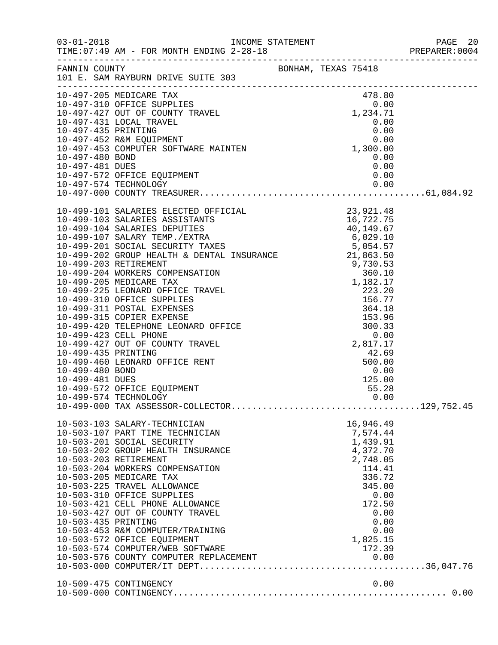|                     |                                                          |                    | PAGE 20<br>PREPARER:0004 |
|---------------------|----------------------------------------------------------|--------------------|--------------------------|
|                     | FANNIN COUNTY<br>101 E. SAM RAYBURN DRIVE SUITE 303      |                    |                          |
|                     |                                                          |                    |                          |
|                     |                                                          |                    |                          |
|                     |                                                          |                    |                          |
|                     |                                                          |                    |                          |
|                     |                                                          |                    |                          |
|                     |                                                          |                    |                          |
|                     |                                                          |                    |                          |
|                     |                                                          |                    |                          |
|                     |                                                          |                    |                          |
|                     |                                                          |                    |                          |
|                     |                                                          |                    |                          |
|                     |                                                          |                    |                          |
|                     |                                                          |                    |                          |
|                     |                                                          |                    |                          |
|                     |                                                          |                    |                          |
|                     |                                                          |                    |                          |
|                     |                                                          |                    |                          |
|                     |                                                          |                    |                          |
|                     |                                                          |                    |                          |
|                     |                                                          |                    |                          |
|                     |                                                          |                    |                          |
|                     |                                                          |                    |                          |
|                     |                                                          |                    |                          |
|                     |                                                          |                    |                          |
|                     |                                                          |                    |                          |
| 10-499-435 PRINTING |                                                          | 42.69              |                          |
|                     | 10-499-460 LEONARD OFFICE RENT                           | 500.00             |                          |
| 10-499-480 BOND     |                                                          | 0.00               |                          |
| 10-499-481 DUES     |                                                          | 125.00             |                          |
|                     | 10-499-572 OFFICE EQUIPMENT<br>10-499-574 TECHNOLOGY     | 55.28<br>0.00      |                          |
|                     |                                                          |                    |                          |
|                     | 10-503-103 SALARY-TECHNICIAN                             | 16,946.49          |                          |
|                     | 10-503-107 PART TIME TECHNICIAN                          | 7,574.44           |                          |
|                     | 10-503-201 SOCIAL SECURITY                               | 1,439.91           |                          |
|                     | 10-503-202 GROUP HEALTH INSURANCE                        | 4,372.70           |                          |
|                     | 10-503-203 RETIREMENT<br>10-503-204 WORKERS COMPENSATION | 2,748.05<br>114.41 |                          |
|                     | 10-503-205 MEDICARE TAX                                  | 336.72             |                          |
|                     | 10-503-225 TRAVEL ALLOWANCE                              | 345.00             |                          |
|                     | 10-503-310 OFFICE SUPPLIES                               | 0.00               |                          |
|                     | 10-503-421 CELL PHONE ALLOWANCE                          | 172.50             |                          |
|                     | 10-503-427 OUT OF COUNTY TRAVEL                          | 0.00               |                          |
| 10-503-435 PRINTING |                                                          | 0.00               |                          |
|                     | 10-503-453 R&M COMPUTER/TRAINING                         | 0.00               |                          |
|                     | 10-503-572 OFFICE EQUIPMENT                              | 1,825.15           |                          |
|                     | 10-503-574 COMPUTER/WEB SOFTWARE                         | 172.39             |                          |
|                     |                                                          |                    |                          |
|                     | 10-509-475 CONTINGENCY                                   | 0.00               |                          |
|                     |                                                          |                    |                          |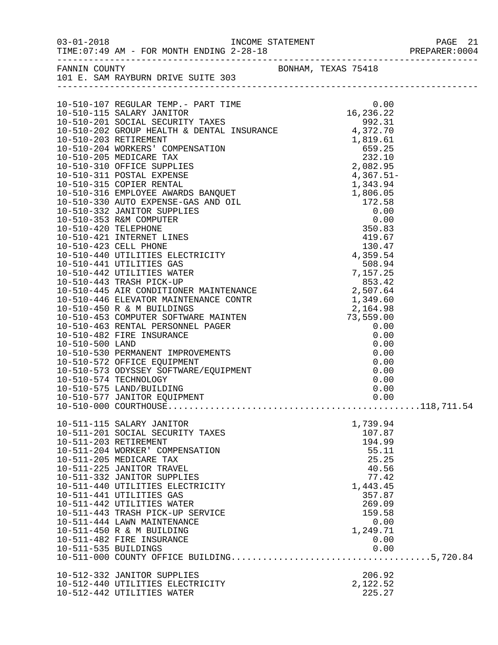| FANNIN COUNTY BONHAM, TEXAS 75418<br>101 E. SAM RAYBURN DRIVE SUITE 303                                                                                                                                                                                                                                                                                                                                                                                             |                                                                                                                                                |  |
|---------------------------------------------------------------------------------------------------------------------------------------------------------------------------------------------------------------------------------------------------------------------------------------------------------------------------------------------------------------------------------------------------------------------------------------------------------------------|------------------------------------------------------------------------------------------------------------------------------------------------|--|
| $\begin{tabular}{l c c c c} \hline \multicolumn{4}{c}{\textbf{10-510-107} \begin{tabular}{l c c} \multicolumn{4}{c}{\textbf{11-510-107} \begin{tabular}{l c} \multicolumn{4}{c}{\textbf{12-510-107} \begin{tabular}{l c} \multicolumn{4}{c}{\textbf{13-510-108} \begin{tabular}{l c} \multicolumn{4}{c}{\textbf{14-510-108} \begin{tabular}{l c} \multicolumn{4}{c}{\textbf{15-510-108} \begin{tabular$                                                             |                                                                                                                                                |  |
| 10-511-115 SALARY JANITOR<br>10-511-201 SOCIAL SECURITY TAXES<br>10-511-203 RETIREMENT<br>10-511-204 WORKER' COMPENSATION<br>10-511-205 MEDICARE TAX<br>10-511-225 JANITOR TRAVEL<br>10-511-332 JANITOR SUPPLIES<br>10-511-440 UTILITIES ELECTRICITY<br>10-511-441 UTILITIES GAS<br>10-511-442 UTILITIES WATER<br>10-511-443 TRASH PICK-UP SERVICE<br>10-511-444 LAWN MAINTENANCE<br>10-511-450 R & M BUILDING<br>10-511-482 FIRE INSURANCE<br>10-511-535 BUILDINGS | 1,739.94<br>107.87<br>194.99<br>55.11<br>25.25<br>40.56<br>77.42<br>1,443.45<br>357.87<br>269.09<br>159.58<br>0.00<br>1,249.71<br>0.00<br>0.00 |  |
| 10-512-332 JANITOR SUPPLIES<br>10-512-440 UTILITIES ELECTRICITY<br>10-512-442 UTILITIES WATER                                                                                                                                                                                                                                                                                                                                                                       | 206.92<br>2,122.52<br>225.27                                                                                                                   |  |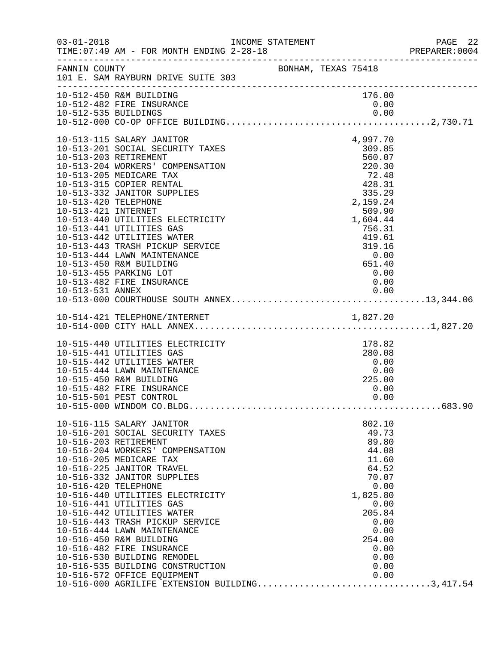| $03 - 01 - 2018$                                                | TIME: 07:49 AM - FOR MONTH ENDING 2-28-18                                                                                                                                                                                                                                                                                                                                                                                                                                                                                                                                                          |                                                                                                                |                                                             |                                                                                              |                                                      | PAGE 22<br>PREPARER: 0004 |
|-----------------------------------------------------------------|----------------------------------------------------------------------------------------------------------------------------------------------------------------------------------------------------------------------------------------------------------------------------------------------------------------------------------------------------------------------------------------------------------------------------------------------------------------------------------------------------------------------------------------------------------------------------------------------------|----------------------------------------------------------------------------------------------------------------|-------------------------------------------------------------|----------------------------------------------------------------------------------------------|------------------------------------------------------|---------------------------|
|                                                                 | FANNIN COUNTY<br>101 E. SAM RAYBURN DRIVE SUITE 303                                                                                                                                                                                                                                                                                                                                                                                                                                                                                                                                                | BONHAM, TEXAS 75418                                                                                            |                                                             |                                                                                              |                                                      |                           |
|                                                                 | 10-512-450 R&M BUILDING<br>10-512-482 FIRE INSURANCE                                                                                                                                                                                                                                                                                                                                                                                                                                                                                                                                               |                                                                                                                |                                                             | 176.00<br>0.00                                                                               |                                                      |                           |
| 10-513-420 TELEPHONE<br>10-513-421 INTERNET<br>10-513-531 ANNEX | 10-513-115 SALARY JANITOR<br>10-513-201 SOCIAL SECURITY TAXES<br>10-513-203 RETIREMENT<br>10-513-204 WORKERS' COMPENSATION<br>10-513-205 MEDICARE TAX<br>10-513-315 COPIER RENTAL<br>10-513-332 JANITOR SUPPLIES<br>10-513-440 UTILITIES ELECTRICITY<br>10-513-441 UTILITIES GAS<br>10-513-442 UTILITIES WATER<br>10-513-443 TRASH PICKUP SERVICE<br>10-513-444 LAWN MAINTENANCE<br>10-513-450 R&M BUILDING<br>10-513-455 PARKING LOT<br>10-513-482 FIRE INSURANCE                                                                                                                                 | $\begin{array}{r} 72.48 \\ 428.31 \\ 335.29 \\ 2,159.24 \end{array}$<br>$3 + 0.00$<br>651.40<br>651.40<br>0.00 | 220.30                                                      | 4,997.70<br>309.85<br>560.07<br>2,159.24<br>509.90<br>1,604.44                               | 0.00                                                 |                           |
|                                                                 |                                                                                                                                                                                                                                                                                                                                                                                                                                                                                                                                                                                                    |                                                                                                                |                                                             |                                                                                              |                                                      |                           |
|                                                                 | 10-515-440 UTILITIES ELECTRICITY<br>10-515-441 UTILITIES GAS<br>10-515-442 UTILITIES WATER<br>10-515-444 LAWN MAINTENANCE<br>10-515-450 R&M BUILDING<br>10-515-482 FIRE INSURANCE<br>10-515-501 PEST CONTROL                                                                                                                                                                                                                                                                                                                                                                                       |                                                                                                                | $\begin{array}{c} 0\, .\, 0\, 0\ 0\, .\, 0\, 0 \end{array}$ | 178.82<br>280.08<br>0.00<br>225.00                                                           | 0.00<br>0.00                                         |                           |
| 10-516-420 TELEPHONE                                            | 10-516-115 SALARY JANITOR<br>10-516-201 SOCIAL SECURITY TAXES<br>10-516-203 RETIREMENT<br>10-516-204 WORKERS' COMPENSATION<br>10-516-205 MEDICARE TAX<br>10-516-225 JANITOR TRAVEL<br>10-516-332 JANITOR SUPPLIES<br>10-516-440 UTILITIES ELECTRICITY<br>10-516-441 UTILITIES GAS<br>10-516-442 UTILITIES WATER<br>10-516-443 TRASH PICKUP SERVICE<br>10-516-444 LAWN MAINTENANCE<br>10-516-450 R&M BUILDING<br>10-516-482 FIRE INSURANCE<br>10-516-530 BUILDING REMODEL<br>10-516-535 BUILDING CONSTRUCTION<br>10-516-572 OFFICE EQUIPMENT 0.00<br>10-516-000 AGRILIFE EXTENSION BUILDING3,417.54 |                                                                                                                |                                                             | 802.10<br>49.73<br>89.80<br>44.08<br>11.60<br>64.52<br>70.07<br>1,825.80<br>205.84<br>254.00 | 0.00<br>0.00<br>0.00<br>0.00<br>0.00<br>0.00<br>0.00 |                           |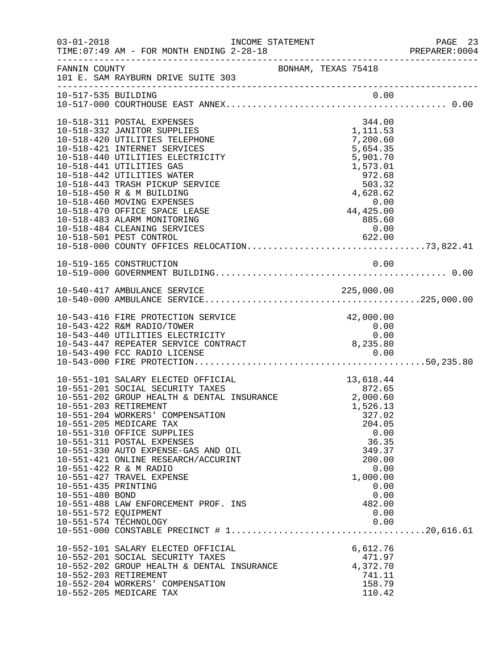| $03 - 01 - 2018$                                               | TIME: 07:49 AM - FOR MONTH ENDING 2-28-18                                                                                                                                                                                                                                                                                                                                                                                                                                                                                                                                       | INCOME STATEMENT    |                                                                                              |                                              | PAGE 23<br>PREPARER: 0004 |
|----------------------------------------------------------------|---------------------------------------------------------------------------------------------------------------------------------------------------------------------------------------------------------------------------------------------------------------------------------------------------------------------------------------------------------------------------------------------------------------------------------------------------------------------------------------------------------------------------------------------------------------------------------|---------------------|----------------------------------------------------------------------------------------------|----------------------------------------------|---------------------------|
| FANNIN COUNTY                                                  | 101 E. SAM RAYBURN DRIVE SUITE 303                                                                                                                                                                                                                                                                                                                                                                                                                                                                                                                                              | BONHAM, TEXAS 75418 |                                                                                              |                                              |                           |
|                                                                |                                                                                                                                                                                                                                                                                                                                                                                                                                                                                                                                                                                 |                     |                                                                                              |                                              |                           |
|                                                                | 10-518-311 POSTAL EXPENSES<br>10-518-332 JANITOR SUPPLIES<br>10-518-420 UTILITIES TELEPHONE<br>10-518-421 INTERNET SERVICES<br>10-518-440 UTILITIES ELECTRICITY<br>10-518-441 UTILITIES GAS<br>10-518-442 UTILITIES WATER                                                                                                                                                                                                                                                                                                                                                       |                     | 344.00<br>1,111.53<br>7,200.60<br>5,654.35<br>5,901.70<br>1,573.01<br>972.68                 |                                              |                           |
|                                                                | 10-518-443 TRASH PICKUP SERVICE<br>10-518-450 R & M BUILDING<br>10-518-460 MOVING EXPENSES<br>10-518-470 OFFICE SPACE LEASE<br>10-518-483 ALARM MONITORING<br>10-518-484 CLEANING SERVICES                                                                                                                                                                                                                                                                                                                                                                                      |                     | $972.68$<br>503.32<br>4,628.62<br>0.00<br>0.00<br>44,425.00<br>885.60<br>0.00                |                                              |                           |
|                                                                | 10-519-165 CONSTRUCTION                                                                                                                                                                                                                                                                                                                                                                                                                                                                                                                                                         |                     |                                                                                              | 0.00                                         |                           |
|                                                                |                                                                                                                                                                                                                                                                                                                                                                                                                                                                                                                                                                                 |                     |                                                                                              |                                              |                           |
|                                                                | 10-543-416 FIRE PROTECTION SERVICE<br>10-543-422 R&M RADIO/TOWER<br>10-543-440 UTILITIES ELECTRICITY<br>10-543-447 REPEATER SERVICE CONTRACT<br>10-543-490 FCC PADIO LIGENCE<br>10-543-490 FCC RADIO LICENSE                                                                                                                                                                                                                                                                                                                                                                    |                     | 42,000.00<br>0.00<br>8,235.80<br>0.00                                                        | 0.00                                         |                           |
| 10-551-435 PRINTING<br>10-551-480 BOND<br>10-551-572 EQUIPMENT | 10-551-101 SALARY ELECTED OFFICIAL<br>10-551-101 SALARY ELECTED OFFICIAL 10-551-101 SALARY ELECTED OFFICIAL 10-551-201 502.65<br>10-551-201 SOCIAL SECURITY TAXES 10-551-202 GROUP HEALTH & DENTAL INSURANCE 2,000.60<br>10-551-203 RETIREMENT<br>10-551-204 WORKERS' COMPENSATION<br>10-551-205 MEDICARE TAX<br>10-551-310 OFFICE SUPPLIES<br>10-551-311 POSTAL EXPENSES<br>10-551-330 AUTO EXPENSE-GAS AND OIL<br>10-551-421 ONLINE RESEARCH/ACCURINT<br>10-551-422 R & M RADIO<br>10-551-427 TRAVEL EXPENSE<br>10-551-488 LAW ENFORCEMENT PROF. INS<br>10-551-574 TECHNOLOGY |                     | 13,618.44<br>1,526.13<br>327.02<br>204.05<br>36.35<br>349.37<br>200.00<br>1,000.00<br>482.00 | 0.00<br>0.00<br>0.00<br>0.00<br>0.00<br>0.00 |                           |
|                                                                | 10-552-101 SALARY ELECTED OFFICIAL<br>10-552-201 SOCIAL SECURITY TAXES<br>10-552-202 GROUP HEALTH & DENTAL INSURANCE<br>10-552-203 RETIREMENT<br>10-552-204 WORKERS' COMPENSATION<br>10-552-205 MEDICARE TAX                                                                                                                                                                                                                                                                                                                                                                    |                     | 6,612.76<br>471.97<br>4,372.70<br>741.11<br>158.79<br>110.42                                 |                                              |                           |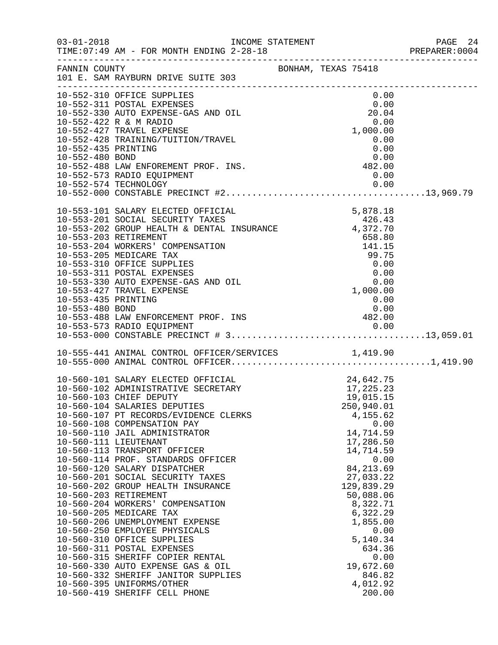|                                        | INCOME STATEMENT                                                                                                                                                |  |                                                                                                               | PREPARER: 0004 |
|----------------------------------------|-----------------------------------------------------------------------------------------------------------------------------------------------------------------|--|---------------------------------------------------------------------------------------------------------------|----------------|
| FANNIN COUNTY                          | BONHAM, TEXAS 75418<br>101 E. SAM RAYBURN DRIVE SUITE 303                                                                                                       |  |                                                                                                               |                |
|                                        | 10-552-310 OFFICE SUPPLIES<br>10-552-311 POSTAL EXPENSES<br>10-552-330 AUTO EXPENSE-GAS AND OIL                                                                 |  | 0.00<br>$\begin{array}{c} 0.00 \\ 20.04 \end{array}$                                                          |                |
|                                        | 10-552-422 R & M RADIO<br>10-552-427 TRAVEL EXPENSE<br>10-552-428 TRAINING/TUITION/TRAVEL                                                                       |  | 0.00<br>1,000.00<br>0.00                                                                                      |                |
| 10-552-435 PRINTING<br>10-552-480 BOND | 10-552-488 LAW ENFOREMENT PROF. INS.<br>10-552-573 RADIO EQUIPMENT                                                                                              |  | 0.00<br>$0.00$<br>482.00<br>0.00                                                                              |                |
|                                        |                                                                                                                                                                 |  |                                                                                                               |                |
|                                        | 10-553-101 SALARY ELECTED OFFICIAL<br>10-553-202 GROUP HEALTH & DENTAL INSURANCE 47 372.70<br>10-553-203 RETIREMENT                                             |  | 5,878.18                                                                                                      |                |
|                                        | 10-553-204 WORKERS' COMPENSATION<br>10-553-205 MEDICARE TAX<br>10-553-310 OFFICE SUPPLIES<br>10-553-311 POSTAL EXPENSES                                         |  | $\begin{array}{r} 141.15 \\ 99.75 \\ 0.00 \\ 0.00 \\ 0.00 \\ 0.00 \\ 1,000.00 \\ 0.00 \\ 0.00 \\ \end{array}$ |                |
| 10-553-435 PRINTING<br>10-553-480 BOND | 10-553-330 AUTO EXPENSE-GAS AND OIL<br>10-553-427 TRAVEL EXPENSE                                                                                                |  | 0.00                                                                                                          |                |
|                                        | 0.00 10-553-480 BOND<br>10-553-488 LAW ENFORCEMENT PROF. INS 482.00                                                                                             |  |                                                                                                               |                |
|                                        | 10-555-441 ANIMAL CONTROL OFFICER/SERVICES 1,419.90                                                                                                             |  |                                                                                                               |                |
|                                        | 10-560-101 SALARY ELECTED OFFICIAL<br>10-560-102 ADMINISTRATIVE SECRETARY<br>10-560-102 GUIEE DEDUTY<br>10-560-103 CHIEF DEPUTY<br>10-560-104 SALARIES DEPUTIES |  | 24,642.75<br>17,225.23<br>19,015.15<br>250,940.01                                                             |                |
|                                        | 10-560-107 PT RECORDS/EVIDENCE CLERKS<br>10-560-108 COMPENSATION PAY<br>10-560-110 JAIL ADMINISTRATOR<br>10-560-111 LIEUTENANT                                  |  | 4,155.62<br>0.00<br>14,714.59<br>17,286.50                                                                    |                |
|                                        | 10-560-113 TRANSPORT OFFICER<br>10-560-114 PROF. STANDARDS OFFICER<br>10-560-120 SALARY DISPATCHER<br>10-560-201 SOCIAL SECURITY TAXES                          |  | 14,714.59<br>0.00<br>84, 213.69<br>27,033.22                                                                  |                |
|                                        | 10-560-202 GROUP HEALTH INSURANCE<br>10-560-203 RETIREMENT<br>10-560-204 WORKERS' COMPENSATION                                                                  |  | 129,839.29<br>50,088.06<br>8,322.71                                                                           |                |
|                                        | 10-560-205 MEDICARE TAX<br>10-560-206 UNEMPLOYMENT EXPENSE<br>10-560-250 EMPLOYEE PHYSICALS<br>10-560-310 OFFICE SUPPLIES                                       |  | 6,322.29<br>1,855.00<br>0.00<br>5,140.34                                                                      |                |
|                                        | 10-560-311 POSTAL EXPENSES<br>10-560-315 SHERIFF COPIER RENTAL<br>10-560-330 AUTO EXPENSE GAS & OIL<br>10-560-332 SHERIFF JANITOR SUPPLIES                      |  | 634.36<br>0.00<br>19,672.60<br>846.82                                                                         |                |
|                                        | 10-560-395 UNIFORMS/OTHER<br>10-560-419 SHERIFF CELL PHONE                                                                                                      |  | 4,012.92<br>200.00                                                                                            |                |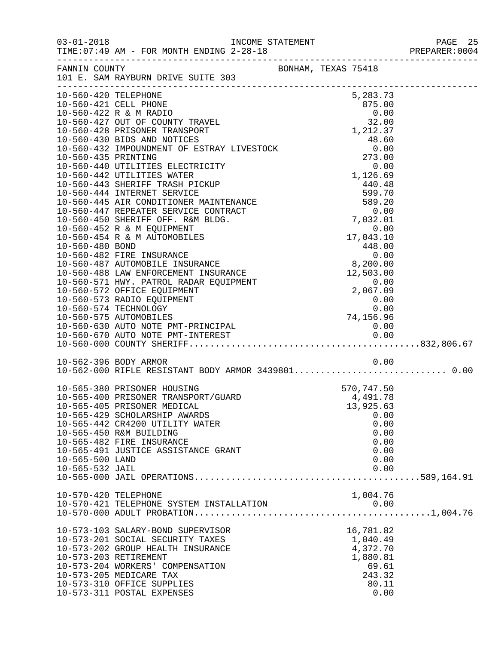|                      |                                                                         |  |                 | PREPARER: 0004 |
|----------------------|-------------------------------------------------------------------------|--|-----------------|----------------|
|                      | FANNIN COUNTY BONHAM, TEXAS 75418<br>101 E. SAM RAYBURN DRIVE SUITE 303 |  |                 |                |
|                      |                                                                         |  |                 |                |
| 10-560-420 TELEPHONE |                                                                         |  | 5,283.73        |                |
|                      |                                                                         |  |                 |                |
|                      |                                                                         |  |                 |                |
|                      |                                                                         |  |                 |                |
|                      |                                                                         |  |                 |                |
|                      |                                                                         |  |                 |                |
|                      |                                                                         |  |                 |                |
|                      |                                                                         |  |                 |                |
|                      |                                                                         |  |                 |                |
|                      |                                                                         |  |                 |                |
|                      |                                                                         |  |                 |                |
|                      |                                                                         |  |                 |                |
|                      |                                                                         |  |                 |                |
|                      |                                                                         |  |                 |                |
|                      |                                                                         |  |                 |                |
|                      |                                                                         |  |                 |                |
|                      |                                                                         |  |                 |                |
|                      |                                                                         |  |                 |                |
|                      |                                                                         |  |                 |                |
|                      |                                                                         |  |                 |                |
|                      |                                                                         |  |                 |                |
|                      |                                                                         |  |                 |                |
|                      |                                                                         |  |                 |                |
|                      |                                                                         |  |                 |                |
|                      |                                                                         |  |                 |                |
|                      |                                                                         |  |                 |                |
|                      | 10-562-396 BODY ARMOR                                                   |  | 0.00            |                |
|                      |                                                                         |  |                 |                |
|                      | 10-565-380 PRISONER HOUSING                                             |  | 570,747.50      |                |
|                      | 10-565-400 PRISONER TRANSPORT/GUARD                                     |  | 4,491.78        |                |
|                      | 10-565-405 PRISONER MEDICAL                                             |  | 13,925.63       |                |
|                      | 10-565-429 SCHOLARSHIP AWARDS<br>10-565-442 CR4200 UTILITY WATER        |  | 0.00<br>0.00    |                |
|                      | 10-565-450 R&M BUILDING                                                 |  | 0.00            |                |
|                      | 10-565-482 FIRE INSURANCE                                               |  | 0.00            |                |
|                      | 10-565-491 JUSTICE ASSISTANCE GRANT                                     |  | 0.00            |                |
| 10-565-500 LAND      |                                                                         |  | 0.00            |                |
| 10-565-532 JAIL      |                                                                         |  | 0.00            |                |
|                      |                                                                         |  |                 |                |
| 10-570-420 TELEPHONE |                                                                         |  | 1,004.76        |                |
|                      | 10-570-421 TELEPHONE SYSTEM INSTALLATION                                |  | 0.00            |                |
|                      |                                                                         |  |                 |                |
|                      | 10-573-103 SALARY-BOND SUPERVISOR                                       |  | 16,781.82       |                |
|                      | 10-573-201 SOCIAL SECURITY TAXES                                        |  | 1,040.49        |                |
|                      | 10-573-202 GROUP HEALTH INSURANCE                                       |  | 4,372.70        |                |
|                      | 10-573-203 RETIREMENT                                                   |  | 1,880.81        |                |
|                      | 10-573-204 WORKERS' COMPENSATION                                        |  | 69.61           |                |
|                      | 10-573-205 MEDICARE TAX<br>10-573-310 OFFICE SUPPLIES                   |  | 243.32<br>80.11 |                |
|                      | 10-573-311 POSTAL EXPENSES                                              |  | 0.00            |                |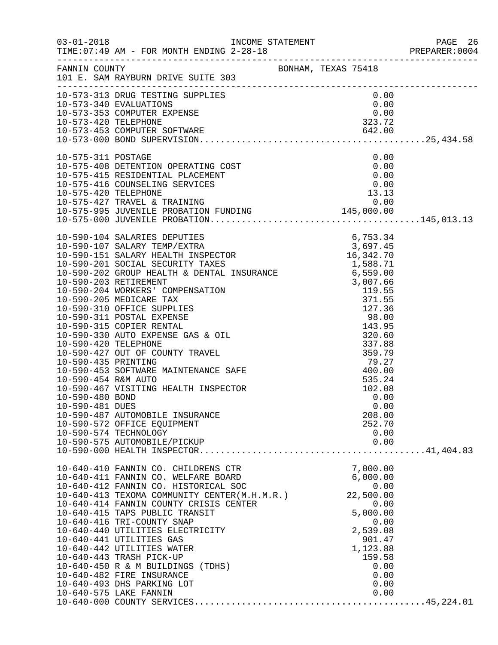|                                                                                  |                                                                                                                                                                                                                                                                                                                                                                                                                                                                                                                                                                           |                                                                                                                                                   | PREPARER:0004 |
|----------------------------------------------------------------------------------|---------------------------------------------------------------------------------------------------------------------------------------------------------------------------------------------------------------------------------------------------------------------------------------------------------------------------------------------------------------------------------------------------------------------------------------------------------------------------------------------------------------------------------------------------------------------------|---------------------------------------------------------------------------------------------------------------------------------------------------|---------------|
|                                                                                  | FANNIN COUNTY<br>101 E. SAM RAYBURN DRIVE SUITE 303                                                                                                                                                                                                                                                                                                                                                                                                                                                                                                                       |                                                                                                                                                   |               |
|                                                                                  | 10-573-313 DRUG TESTING SUPPLIES<br>10-573-340 EVALUATIONS<br>10-573-353 COMPUTER EXPENSE<br>10-573-420 TELEPHONE<br>10-573-453 COMPUTER SOFTWARE<br>10-573-453 COMPUTER SOFTWARE<br>10-573-000 BOND SUPERVISION                                                                                                                                                                                                                                                                                                                                                          |                                                                                                                                                   |               |
|                                                                                  |                                                                                                                                                                                                                                                                                                                                                                                                                                                                                                                                                                           |                                                                                                                                                   |               |
| 10-575-311 POSTAGE                                                               | 10-575-408 DETENTION OPERATING COST<br>10-575-408 DETENTION OPERATING COST<br>10-575-415 RESIDENTIAL PLACEMENT<br>10-575-416 COUNSELING SERVICES<br>10-575-420 TELEPHONE<br>10-575-427 TRAVEL & TRAINING<br>10-575-995 JUVENILE PROBATION                                                                                                                                                                                                                                                                                                                                 | 0.00                                                                                                                                              |               |
| 10-590-435 PRINTING<br>10-590-454 R&M AUTO<br>10-590-480 BOND<br>10-590-481 DUES | 10-590-453 SOFTWARE MAINTENANCE SAFE<br>10-590-467 VISITING HEALTH INSPECTOR<br>10-590-487 AUTOMOBILE INSURANCE<br>10-590-572 OFFICE EQUIPMENT<br>10-590-574 TECHNOLOGY<br>10-590-575 AUTOMOBILE/PICKUP                                                                                                                                                                                                                                                                                                                                                                   | $79.27$<br>$400.00$<br>535.24<br>102.08<br>0.00<br>0.00<br>208.00<br>252.70<br>0.00<br>0.00                                                       |               |
|                                                                                  |                                                                                                                                                                                                                                                                                                                                                                                                                                                                                                                                                                           |                                                                                                                                                   |               |
|                                                                                  | 10-640-410 FANNIN CO. CHILDRENS CTR<br>10-640-411 FANNIN CO. WELFARE BOARD<br>10-040-412 FANNIN CO. HISTORICAL SOC<br>10-640-413 TEXOMA COMMUNITY CENTER(M.H.M.R.)<br>10-640-414 FANNIN COUNTY CELESS SESSE<br>10-640-414 FANNIN COUNTY CRISIS CENTER<br>10-640-415 TAPS PUBLIC TRANSIT<br>10-640-416 TRI-COUNTY SNAP<br>10-640-440 UTILITIES ELECTRICITY<br>10-640-441 UTILITIES GAS<br>10-640-442 UTILITIES WATER<br>10-640-443 TRASH PICK-UP<br>10-640-450 R & M BUILDINGS (TDHS)<br>10-640-482 FIRE INSURANCE<br>10-640-493 DHS PARKING LOT<br>10-640-575 LAKE FANNIN | 7,000.00<br>6,000.00<br>0.00<br>22,500.00<br>0.00<br>5,000.00<br>0.00<br>2,539.08<br>901.47<br>1,123.88<br>159.58<br>0.00<br>0.00<br>0.00<br>0.00 |               |
|                                                                                  |                                                                                                                                                                                                                                                                                                                                                                                                                                                                                                                                                                           |                                                                                                                                                   |               |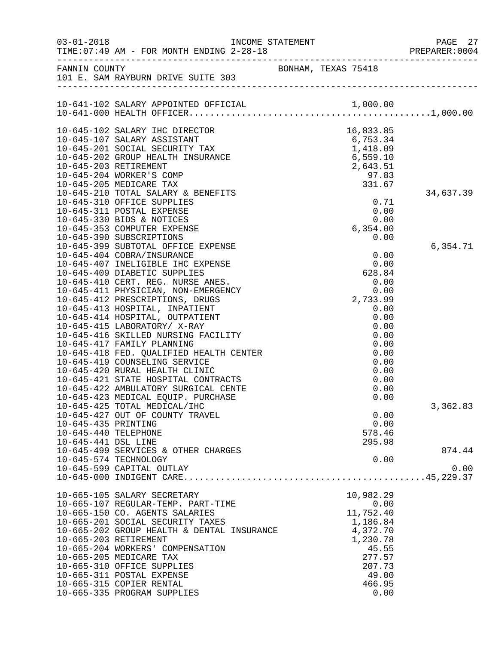| $03 - 01 - 2018$    | INCOME STATEMENT                                                               |                   | PAGE 27<br>PREPARER: 0004 |
|---------------------|--------------------------------------------------------------------------------|-------------------|---------------------------|
|                     | FANNIN COUNTY COUNTY BONHAM, TEXAS 75418<br>101 E. SAM RAYBURN DRIVE SUITE 303 |                   |                           |
|                     |                                                                                |                   |                           |
|                     | 10-645-102 SALARY IHC DIRECTOR                                                 | 16,833.85         |                           |
|                     | 10-645-107 SALARY ASSISTANT                                                    | 6,753.34          |                           |
|                     | 10-645-201 SOCIAL SECURITY TAX                                                 | 1,418.09          |                           |
|                     | 10-645-202 GROUP HEALTH INSURANCE                                              | 6,559.10          |                           |
|                     | 10-645-203 RETIREMENT                                                          | 2,643.51          |                           |
|                     | 10-645-204 WORKER'S COMP                                                       | $-7.83$<br>331.67 |                           |
|                     | 10-645-205 MEDICARE TAX                                                        |                   |                           |
|                     | 10-645-210 TOTAL SALARY & BENEFITS                                             |                   | 34,637.39                 |
|                     | 10-645-310 OFFICE SUPPLIES                                                     | 0.71              |                           |
|                     | 10-645-311 POSTAL EXPENSE                                                      | 0.00              |                           |
|                     | 10-645-330 BIDS & NOTICES                                                      | 0.00              |                           |
|                     | 10-645-353 COMPUTER EXPENSE<br>10-645-390 SUBSCRIPTIONS                        | 6, 354.00<br>0.00 |                           |
|                     | 10-645-399 SUBTOTAL OFFICE EXPENSE                                             |                   | 6,354.71                  |
|                     | 10-645-404 COBRA/INSURANCE                                                     | 0.00              |                           |
|                     | 10-645-407 INELIGIBLE IHC EXPENSE                                              | 0.00              |                           |
|                     | 10-645-409 DIABETIC SUPPLIES                                                   | 628.84            |                           |
|                     | 10-645-410 CERT. REG. NURSE ANES.                                              | 0.00              |                           |
|                     | 10-645-411 PHYSICIAN, NON-EMERGENCY                                            | 0.00              |                           |
|                     | 10-645-412 PRESCRIPTIONS, DRUGS                                                | 2,733.99          |                           |
|                     | 10-645-413 HOSPITAL, INPATIENT                                                 | 0.00              |                           |
|                     | 10-645-414 HOSPITAL, OUTPATIENT                                                | 0.00              |                           |
|                     | 10-645-415 LABORATORY/ X-RAY                                                   | 0.00              |                           |
|                     | 10-645-416 SKILLED NURSING FACILITY                                            | 0.00              |                           |
|                     | 10-645-417 FAMILY PLANNING                                                     | 0.00              |                           |
|                     | 10-645-418 FED. QUALIFIED HEALTH CENTER                                        | 0.00              |                           |
|                     | 10-645-419 COUNSELING SERVICE                                                  | 0.00              |                           |
|                     | 10-645-420 RURAL HEALTH CLINIC                                                 | 0.00              |                           |
|                     | 10-645-421 STATE HOSPITAL CONTRACTS<br>10-645-422 AMBULATORY SURGICAL CENTE    | 0.00              |                           |
|                     | 10-645-423 MEDICAL EOUIP. PURCHASE                                             | 0.00<br>0.00      |                           |
|                     | 10-645-425 TOTAL MEDICAL/IHC                                                   |                   | 3,362.83                  |
|                     | 10-645-427 OUT OF COUNTY TRAVEL                                                | 0.00              |                           |
| 10-645-435 PRINTING |                                                                                | 0.00              |                           |
|                     | 10-645-440 TELEPHONE                                                           | 578.46            |                           |
| 10-645-441 DSL LINE |                                                                                | 295.98            |                           |
|                     | 10-645-499 SERVICES & OTHER CHARGES                                            |                   | 874.44                    |
|                     | 10-645-574 TECHNOLOGY                                                          | 0.00              |                           |
|                     | 10-645-599 CAPITAL OUTLAY                                                      |                   | 0.00                      |
|                     |                                                                                |                   |                           |
|                     | 10-665-105 SALARY SECRETARY                                                    | 10,982.29         |                           |
|                     | 10-665-107 REGULAR-TEMP. PART-TIME                                             | 0.00              |                           |
|                     | 10-665-150 CO. AGENTS SALARIES                                                 | 11,752.40         |                           |
|                     | 10-665-201 SOCIAL SECURITY TAXES                                               | 1,186.84          |                           |
|                     | 10-665-202 GROUP HEALTH & DENTAL INSURANCE                                     | 4,372.70          |                           |
|                     | 10-665-203 RETIREMENT                                                          | 1,230.78          |                           |
|                     | 10-665-204 WORKERS' COMPENSATION                                               | 45.55             |                           |
|                     | 10-665-205 MEDICARE TAX                                                        | 277.57            |                           |
|                     | 10-665-310 OFFICE SUPPLIES                                                     | 207.73            |                           |
|                     | 10-665-311 POSTAL EXPENSE                                                      | 49.00             |                           |
|                     | 10-665-315 COPIER RENTAL                                                       | 466.95            |                           |
|                     | 10-665-335 PROGRAM SUPPLIES                                                    | 0.00              |                           |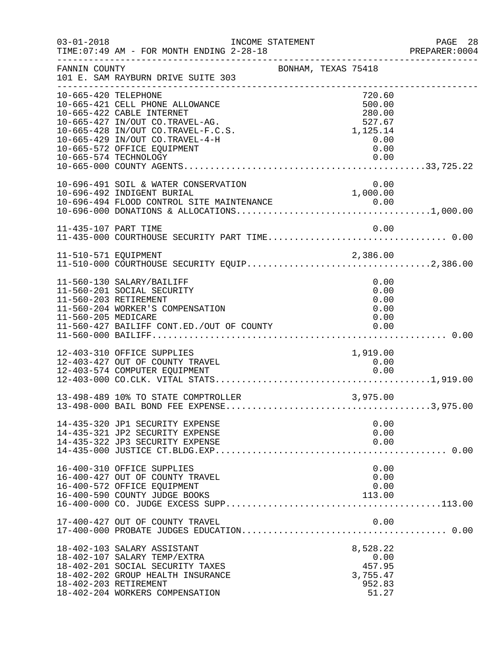| $03 - 01 - 2018$      | INCOME STATEMENT<br>TIME: 07:49 AM - FOR MONTH ENDING 2-28-18                                                                                                                                                                    |                     |                                                                          | PAGE 28<br>PREPARER:0004 |
|-----------------------|----------------------------------------------------------------------------------------------------------------------------------------------------------------------------------------------------------------------------------|---------------------|--------------------------------------------------------------------------|--------------------------|
| FANNIN COUNTY         | 101 E. SAM RAYBURN DRIVE SUITE 303                                                                                                                                                                                               | BONHAM, TEXAS 75418 |                                                                          |                          |
| 10-665-420 TELEPHONE  | 10-665-421 CELL PHONE ALLOWANCE<br>10-665-422 CABLE INTERNET<br>10-665-427 IN/OUT CO.TRAVEL-AG.<br>10-665-428 IN/OUT CO.TRAVEL-F.C.S.<br>10-665-429 IN/OUT CO.TRAVEL-4-H<br>10-665-572 OFFICE EQUIPMENT<br>10-665-574 TECHNOLOGY |                     | 720.60<br>500.00<br>280.00<br>527.67<br>1,125.14<br>0.00<br>0.00<br>0.00 |                          |
|                       | 10-696-491 SOIL & WATER CONSERVATION<br>10-696-492 INDIGENT BURIAL                                                                                                                                                               |                     | 0.00<br>1,000.00                                                         |                          |
| 11-435-107 PART TIME  |                                                                                                                                                                                                                                  |                     | 0.00                                                                     |                          |
| 11-510-571 EQUIPMENT  |                                                                                                                                                                                                                                  |                     | 2,386.00                                                                 |                          |
| 11-560-205 MEDICARE   | 11-560-130 SALARY/BAILIFF<br>11-560-201 SOCIAL SECURITY<br>11-560-203 RETIREMENT<br>11-560-204 WORKER'S COMPENSATION<br>11-560-427 BAILIFF CONT.ED./OUT OF COUNTY                                                                |                     | 0.00<br>0.00<br>0.00<br>0.00<br>0.00<br>0.00                             |                          |
|                       | 12-403-310 OFFICE SUPPLIES<br>12-403-427 OUT OF COUNTY TRAVEL<br>12-403-574 COMPUTER EQUIPMENT                                                                                                                                   |                     | 1,919.00<br>0.00<br>0.00                                                 |                          |
|                       | 13-498-489 10% TO STATE COMPTROLLER                                                                                                                                                                                              |                     | 3,975.00                                                                 |                          |
|                       | 14-435-320 JP1 SECURITY EXPENSE<br>14-435-321 JP2 SECURITY EXPENSE<br>14-435-322 JP3 SECURITY EXPENSE                                                                                                                            |                     | 0.00<br>0.00<br>0.00                                                     |                          |
|                       | 16-400-310 OFFICE SUPPLIES<br>16-400-427 OUT OF COUNTY TRAVEL<br>16-400-572 OFFICE EQUIPMENT<br>16-400-590 COUNTY JUDGE BOOKS                                                                                                    |                     | 0.00<br>0.00<br>0.00<br>113.00                                           |                          |
|                       | 17-400-427 OUT OF COUNTY TRAVEL                                                                                                                                                                                                  |                     | 0.00                                                                     |                          |
| 18-402-203 RETIREMENT | 18-402-103 SALARY ASSISTANT<br>18-402-107 SALARY TEMP/EXTRA<br>18-402-201 SOCIAL SECURITY TAXES<br>18-402-202 GROUP HEALTH INSURANCE<br>18-402-204 WORKERS COMPENSATION                                                          |                     | 8,528.22<br>0.00<br>457.95<br>3,755.47<br>952.83<br>51.27                |                          |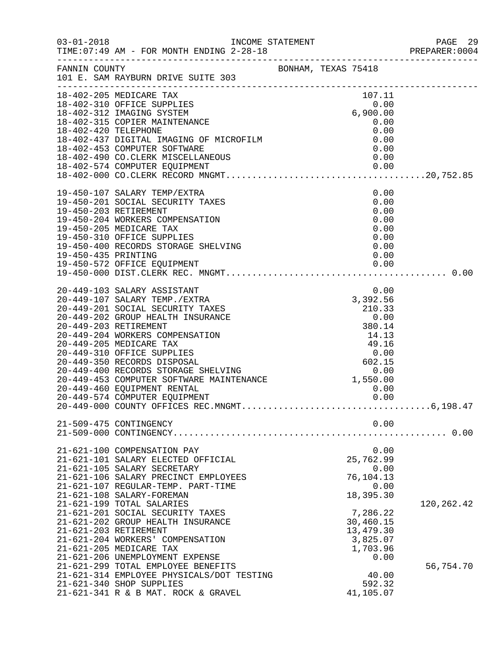| $03 - 01 - 2018$ |                                                                                                                                                                                                                                              |  |                              | PAGE 29<br>PREPARER:0004 |
|------------------|----------------------------------------------------------------------------------------------------------------------------------------------------------------------------------------------------------------------------------------------|--|------------------------------|--------------------------|
|                  | TIME: 07:49 AM - FOR MONTH ENDING 2-28-18                                                                                                                                                                                                    |  |                              |                          |
|                  | FANNIN COUNTY BONHAM, TEXAS 75418<br>101 E. SAM RAYBURN DRIVE SUITE 303                                                                                                                                                                      |  |                              |                          |
|                  |                                                                                                                                                                                                                                              |  |                              |                          |
|                  | 18-402-205 MEDICARE TAX                                                                                                                                                                                                                      |  | $107.11$<br>0.00<br>6,900.00 |                          |
|                  |                                                                                                                                                                                                                                              |  |                              |                          |
|                  |                                                                                                                                                                                                                                              |  |                              |                          |
|                  |                                                                                                                                                                                                                                              |  |                              |                          |
|                  |                                                                                                                                                                                                                                              |  |                              |                          |
|                  |                                                                                                                                                                                                                                              |  |                              |                          |
|                  |                                                                                                                                                                                                                                              |  |                              |                          |
|                  |                                                                                                                                                                                                                                              |  |                              |                          |
|                  | 18-402-205 MEDICARE TAX<br>18-402-310 OFFICE SUPPLIES<br>18-402-312 IMAGING SYSTEM<br>18-402-315 COPIER MAINTENANCE<br>18-402-315 COPIER MAINTENANCE<br>18-402-420 TELEPHONE<br>18-402-437 DIGITAL IMAGING OF MICROFILM<br>18-402-433 COMPUT |  |                              |                          |
|                  |                                                                                                                                                                                                                                              |  |                              |                          |
|                  | 19-450-107 SALARY TEMP/EXTRA<br>19-450-201 SOCIAL SECURITY TAXES<br>19-450-203 RETIREMENT<br>19-450-203 RETIREMENT<br>19-450-205 MEDICARE TAX<br>19-450-205 MEDICARE TAXES<br>19-450-310 OFFICE SUPPLIES<br>19-450-400 RECORDS STORAGE SHELV |  |                              |                          |
|                  |                                                                                                                                                                                                                                              |  |                              |                          |
|                  |                                                                                                                                                                                                                                              |  |                              |                          |
|                  |                                                                                                                                                                                                                                              |  |                              |                          |
|                  |                                                                                                                                                                                                                                              |  |                              |                          |
|                  |                                                                                                                                                                                                                                              |  |                              |                          |
|                  |                                                                                                                                                                                                                                              |  |                              |                          |
|                  |                                                                                                                                                                                                                                              |  |                              |                          |
|                  |                                                                                                                                                                                                                                              |  |                              |                          |
|                  |                                                                                                                                                                                                                                              |  |                              |                          |
|                  |                                                                                                                                                                                                                                              |  |                              |                          |
|                  |                                                                                                                                                                                                                                              |  |                              |                          |
|                  |                                                                                                                                                                                                                                              |  |                              |                          |
|                  |                                                                                                                                                                                                                                              |  |                              |                          |
|                  |                                                                                                                                                                                                                                              |  |                              |                          |
|                  |                                                                                                                                                                                                                                              |  |                              |                          |
|                  |                                                                                                                                                                                                                                              |  |                              |                          |
|                  |                                                                                                                                                                                                                                              |  |                              |                          |
|                  |                                                                                                                                                                                                                                              |  |                              |                          |
|                  |                                                                                                                                                                                                                                              |  |                              |                          |
|                  |                                                                                                                                                                                                                                              |  |                              |                          |
|                  | 20-449-574 COMPUTER EQUIPMENT                                                                                                                                                                                                                |  | 0.00                         |                          |
|                  |                                                                                                                                                                                                                                              |  |                              |                          |
|                  | 21-509-475 CONTINGENCY                                                                                                                                                                                                                       |  | 0.00                         |                          |
|                  |                                                                                                                                                                                                                                              |  |                              |                          |
|                  |                                                                                                                                                                                                                                              |  |                              |                          |
|                  | 21-621-100 COMPENSATION PAY                                                                                                                                                                                                                  |  | 0.00                         |                          |
|                  | 21-621-101 SALARY ELECTED OFFICIAL                                                                                                                                                                                                           |  | 25,762.99                    |                          |
|                  | 21-621-105 SALARY SECRETARY                                                                                                                                                                                                                  |  | 0.00                         |                          |
|                  | 21-621-106 SALARY PRECINCT EMPLOYEES<br>21-621-107 REGULAR-TEMP. PART-TIME                                                                                                                                                                   |  | 76,104.13                    |                          |
|                  | 21-621-108 SALARY-FOREMAN                                                                                                                                                                                                                    |  | 0.00<br>18,395.30            |                          |
|                  | 21-621-199 TOTAL SALARIES                                                                                                                                                                                                                    |  |                              | 120, 262. 42             |
|                  | 21-621-201 SOCIAL SECURITY TAXES                                                                                                                                                                                                             |  | 7,286.22                     |                          |
|                  | 21-621-202 GROUP HEALTH INSURANCE                                                                                                                                                                                                            |  | 30,460.15                    |                          |
|                  | 21-621-203 RETIREMENT                                                                                                                                                                                                                        |  | 13,479.30                    |                          |
|                  | 21-621-204 WORKERS' COMPENSATION                                                                                                                                                                                                             |  | 3,825.07                     |                          |
|                  | 21-621-205 MEDICARE TAX                                                                                                                                                                                                                      |  | 1,703.96                     |                          |
|                  | 21-621-206 UNEMPLOYMENT EXPENSE                                                                                                                                                                                                              |  | 0.00                         |                          |
|                  | 21-621-299 TOTAL EMPLOYEE BENEFITS                                                                                                                                                                                                           |  |                              | 56,754.70                |
|                  | 21-621-314 EMPLOYEE PHYSICALS/DOT TESTING                                                                                                                                                                                                    |  | 40.00                        |                          |
|                  | 21-621-340 SHOP SUPPLIES<br>21-621-341 R & B MAT. ROCK & GRAVEL                                                                                                                                                                              |  | 592.32<br>41,105.07          |                          |
|                  |                                                                                                                                                                                                                                              |  |                              |                          |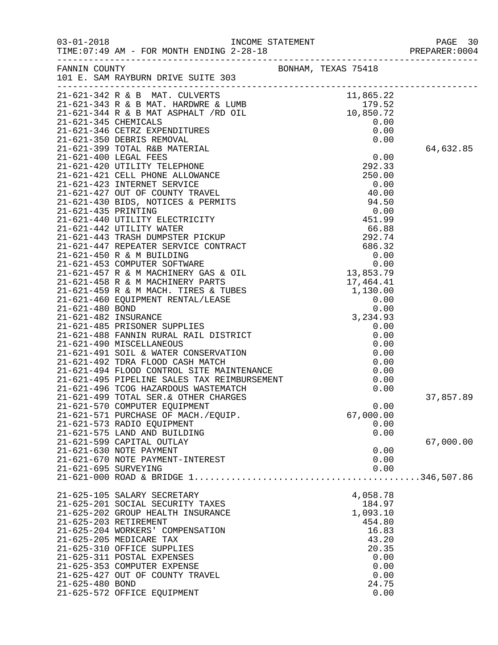|                      |                                                                                                                                     |               | PREPARER: 0004 |
|----------------------|-------------------------------------------------------------------------------------------------------------------------------------|---------------|----------------|
|                      | EXAS 75418<br>101 E. SAM RAYBURN DRIVE SUITE 303<br>-------                                                                         |               |                |
|                      | 21-621-342 R & B MAT. CULVERTS<br>21-621-343 R & B MAT. HARDWRE & LUMB (179.52)<br>21-621-344 R & B MAT ASPHALT /RD OIL (10,850.72) |               |                |
|                      |                                                                                                                                     |               |                |
| 21-621-345 CHEMICALS |                                                                                                                                     |               |                |
|                      | 21-621-346 CETRZ EXPENDITURES                                                                                                       | 0.00<br>0.00  |                |
|                      | 21-621-350 DEBRIS REMOVAL                                                                                                           | 0.00          |                |
|                      | 21-621-399 TOTAL R&B MATERIAL                                                                                                       |               | 64,632.85      |
|                      |                                                                                                                                     | 0.00          |                |
|                      |                                                                                                                                     |               |                |
|                      |                                                                                                                                     |               |                |
|                      |                                                                                                                                     |               |                |
|                      |                                                                                                                                     |               |                |
|                      |                                                                                                                                     |               |                |
|                      |                                                                                                                                     |               |                |
|                      |                                                                                                                                     |               |                |
|                      |                                                                                                                                     |               |                |
|                      |                                                                                                                                     |               |                |
|                      |                                                                                                                                     |               |                |
|                      |                                                                                                                                     |               |                |
|                      |                                                                                                                                     |               |                |
|                      |                                                                                                                                     |               |                |
|                      |                                                                                                                                     |               |                |
|                      |                                                                                                                                     |               |                |
|                      |                                                                                                                                     |               |                |
|                      |                                                                                                                                     |               |                |
|                      |                                                                                                                                     |               |                |
|                      |                                                                                                                                     |               |                |
|                      |                                                                                                                                     |               |                |
|                      |                                                                                                                                     |               |                |
|                      |                                                                                                                                     |               |                |
|                      |                                                                                                                                     |               |                |
|                      |                                                                                                                                     |               | 37,857.89      |
|                      | 21-621-570 COMPUTER EQUIPMENT                                                                                                       | 0.00          |                |
|                      | 21-621-571 PURCHASE OF MACH./EQUIP.                                                                                                 | 67,000.00     |                |
|                      | 21-621-573 RADIO EQUIPMENT                                                                                                          | 0.00          |                |
|                      | 21-621-575 LAND AND BUILDING                                                                                                        | 0.00          |                |
|                      | 21-621-599 CAPITAL OUTLAY                                                                                                           |               | 67,000.00      |
|                      | 21-621-630 NOTE PAYMENT                                                                                                             | 0.00          |                |
| 21-621-695 SURVEYING | 21-621-670 NOTE PAYMENT-INTEREST                                                                                                    | 0.00          |                |
|                      |                                                                                                                                     | 0.00          |                |
|                      | 21-625-105 SALARY SECRETARY                                                                                                         | 4,058.78      |                |
|                      | 21-625-201 SOCIAL SECURITY TAXES                                                                                                    | 184.97        |                |
|                      | 21-625-202 GROUP HEALTH INSURANCE                                                                                                   | 1,093.10      |                |
|                      | 21-625-203 RETIREMENT                                                                                                               | 454.80        |                |
|                      | 21-625-204 WORKERS' COMPENSATION                                                                                                    | 16.83         |                |
|                      | 21-625-205 MEDICARE TAX                                                                                                             | 43.20         |                |
|                      | 21-625-310 OFFICE SUPPLIES                                                                                                          | 20.35         |                |
|                      | 21-625-311 POSTAL EXPENSES                                                                                                          | 0.00          |                |
|                      | 21-625-353 COMPUTER EXPENSE                                                                                                         | 0.00          |                |
|                      | 21-625-427 OUT OF COUNTY TRAVEL                                                                                                     | 0.00          |                |
| 21-625-480 BOND      | 21-625-572 OFFICE EQUIPMENT                                                                                                         | 24.75<br>0.00 |                |
|                      |                                                                                                                                     |               |                |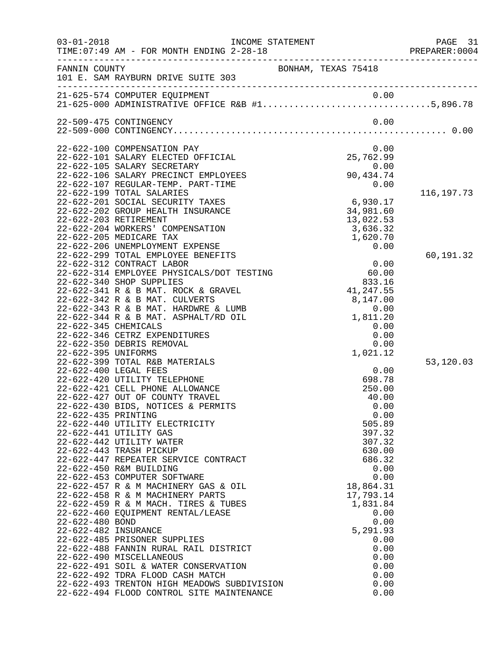| $03 - 01 - 2018$                                               | TIME: 07:49 AM - FOR MONTH ENDING 2-28-18                                                                                                                                                                                                                                                                                                                                                                                                                                                                                                                                                                                                                                                                                                                                                                                                                       | INCOME STATEMENT                                                                                                                                                                                                                              | PAGE 31<br>PREPARER: 0004 |
|----------------------------------------------------------------|-----------------------------------------------------------------------------------------------------------------------------------------------------------------------------------------------------------------------------------------------------------------------------------------------------------------------------------------------------------------------------------------------------------------------------------------------------------------------------------------------------------------------------------------------------------------------------------------------------------------------------------------------------------------------------------------------------------------------------------------------------------------------------------------------------------------------------------------------------------------|-----------------------------------------------------------------------------------------------------------------------------------------------------------------------------------------------------------------------------------------------|---------------------------|
| FANNIN COUNTY                                                  | 101 E. SAM RAYBURN DRIVE SUITE 303                                                                                                                                                                                                                                                                                                                                                                                                                                                                                                                                                                                                                                                                                                                                                                                                                              | BONHAM, TEXAS 75418                                                                                                                                                                                                                           |                           |
|                                                                |                                                                                                                                                                                                                                                                                                                                                                                                                                                                                                                                                                                                                                                                                                                                                                                                                                                                 | 21-625-574 COMPUTER EQUIPMENT 0.00<br>21-625-000 ADMINISTRATIVE OFFICE R&B $\#1$ 5,896.78                                                                                                                                                     |                           |
|                                                                | 22-509-475 CONTINGENCY                                                                                                                                                                                                                                                                                                                                                                                                                                                                                                                                                                                                                                                                                                                                                                                                                                          | 0.00                                                                                                                                                                                                                                          |                           |
|                                                                | 22-622-100 COMPENSATION PAY<br>22-622-101 SALARY ELECTED OFFICIAL<br>22-622-105 SALARY SECRETARY<br>22-622-106 SALARY PRECINCT EMPLOYEES<br>22-622-107 REGULAR-TEMP. PART-TIME<br>22-622-199 TOTAL SALARIES<br>22-622-201 SOCIAL SECURITY TAXES<br>22-622-202 GROUP HEALTH INSURANCE<br>22-622-203 RETIREMENT<br>22-622-204 WORKERS' COMPENSATION<br>22-622-205 MEDICARE TAX<br>22-622-206 UNEMPLOYMENT EXPENSE                                                                                                                                                                                                                                                                                                                                                                                                                                                 | 0.00<br>25,762.99<br>0.00<br>90, 43<br>90,434.74<br>0.00<br>6,930.17<br>34,981.60<br>13,022.53<br>3,636.32<br>1,620.70<br>0.00                                                                                                                | 116, 197. 73              |
| 22-622-345 CHEMICALS<br>22-622-395 UNIFORMS                    | 22-622-299 TOTAL EMPLOYEE BENEFITS<br>22-622-312 CONTRACT LABOR<br>22-622-314 EMPLOYEE PHYSICALS/DOT TESTING<br>22-622-340 SHOP SUPPLIES<br>22-622-341 R & B MAT. ROCK & GRAVEL<br>22-622-342 R & B MAT. CULVERTS<br>22-622-343 R & B MAT. HARDWRE & LUMB<br>22-622-344 R & B MAT. ASPHALT/RD OIL<br>22-622-346 CETRZ EXPENDITURES<br>22-622-350 DEBRIS REMOVAL                                                                                                                                                                                                                                                                                                                                                                                                                                                                                                 | 0.00<br>60.00<br>833.16<br>41,247.55<br>8,147.00<br>0.00<br>1,811.20<br>0.00<br>0.00<br>0.00<br>1,021.12                                                                                                                                      | 60,191.32                 |
| 22-622-435 PRINTING<br>22-622-480 BOND<br>22-622-482 INSURANCE | 22-622-399 TOTAL R&B MATERIALS<br>22-622-400 LEGAL FEES<br>22-622-420 UTILITY TELEPHONE<br>22-622-421 CELL PHONE ALLOWANCE<br>22-622-427 OUT OF COUNTY TRAVEL<br>22-622-430 BIDS, NOTICES & PERMITS<br>22-622-440 UTILITY ELECTRICITY<br>22-622-441 UTILITY GAS<br>22-622-442 UTILITY WATER<br>22-622-443 TRASH PICKUP<br>22-622-447 REPEATER SERVICE CONTRACT<br>22-622-450 R&M BUILDING<br>22-622-453 COMPUTER SOFTWARE<br>22-622-457 R & M MACHINERY GAS & OIL<br>22-622-458 R & M MACHINERY PARTS<br>22-622-459 R & M MACH. TIRES & TUBES<br>22-622-460 EQUIPMENT RENTAL/LEASE<br>22-622-485 PRISONER SUPPLIES<br>22-622-488 FANNIN RURAL RAIL DISTRICT<br>22-622-490 MISCELLANEOUS<br>22-622-491 SOIL & WATER CONSERVATION<br>22-622-492 TDRA FLOOD CASH MATCH<br>22-622-493 TRENTON HIGH MEADOWS SUBDIVISION<br>22-622-494 FLOOD CONTROL SITE MAINTENANCE | 0.00<br>698.78<br>250.00<br>40.00<br>0.00<br>0.00<br>505.89<br>397.32<br>307.32<br>630.00<br>686.32<br>0.00<br>0.00<br>18,864.31<br>17,793.14<br>1,831.84<br>0.00<br>0.00<br>5,291.93<br>0.00<br>0.00<br>0.00<br>0.00<br>0.00<br>0.00<br>0.00 | 53,120.03                 |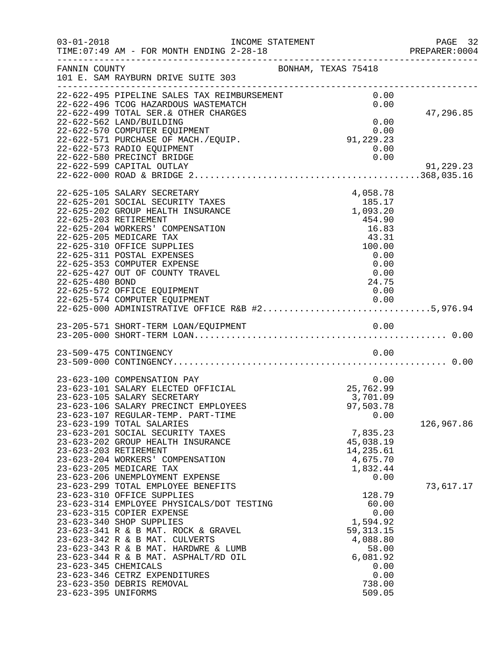| $03 - 01 - 2018$                            | INCOME STATEMENT<br>TIME: 07:49 AM - FOR MONTH ENDING 2-28-18                                                                                                                                                                                                                                                                                             | PREPARER<br>----------------------------------                                                                | PAGE 32<br>PREPARER:0004 |
|---------------------------------------------|-----------------------------------------------------------------------------------------------------------------------------------------------------------------------------------------------------------------------------------------------------------------------------------------------------------------------------------------------------------|---------------------------------------------------------------------------------------------------------------|--------------------------|
| FANNIN COUNTY                               | 101 E. SAM RAYBURN DRIVE SUITE 303                                                                                                                                                                                                                                                                                                                        | BONHAM, TEXAS 75418                                                                                           |                          |
|                                             | 22-622-495 PIPELINE SALES TAX REIMBURSEMENT<br>22-622-496 TCOG HAZARDOUS WASTEMATCH<br>22-622-499 TOTAL SER. & OTHER CHARGES<br>22-622-562 LAND/BUILDING<br>22-622-570 COMPUTER EQUIPMENT<br>22-622-571 PURCHASE OF MACH./EQUIP.<br>22-622-573 RADIO EQUIPMENT<br>22-622-580 PRECINCT BRIDGE<br>22-622-599 CAPITAL OUTLAY                                 | 0.00<br>0.00<br>0.00<br>$0.00$<br>91,229.23<br>0.00<br>0.00                                                   | 47,296.85<br>91,229.23   |
| 22-625-480 BOND                             | 22-625-105 SALARY SECRETARY<br>22-625-201 SOCIAL SECURITY TAXES<br>22-625-202 GROUP HEALTH INSURANCE<br>22-625-203 RETIREMENT<br>22-625-204 WORKERS' COMPENSATION<br>22-625-205 MEDICARE TAX<br>22-625-310 OFFICE SUPPLIES<br>22-625-311 POSTAL EXPENSES<br>22-625-353 COMPUTER EXPENSE<br>22-625-427 OUT OF COUNTY TRAVEL<br>22-625-572 OFFICE EQUIPMENT | 4,058.78<br>185.17<br>1,093.20<br>454.90<br>16.83<br>43.31<br>100.00<br>0.00<br>0.00<br>0.00<br>24.75<br>0.00 |                          |
|                                             |                                                                                                                                                                                                                                                                                                                                                           |                                                                                                               |                          |
|                                             | 23-509-475 CONTINGENCY                                                                                                                                                                                                                                                                                                                                    | 0.00                                                                                                          |                          |
|                                             | 23-623-100 COMPENSATION PAY<br>23-623-101 SALARY ELECTED OFFICIAL<br>23-623-105 SALARY SECRETARY<br>23-623-106 SALARY PRECINCT EMPLOYEES<br>23-623-107 REGULAR-TEMP. PART-TIME<br>23-623-199 TOTAL SALARIES                                                                                                                                               | 0.00<br>25,762.99<br>3,701.09<br>97,503.78<br>0.00                                                            |                          |
|                                             | 23-623-201 SOCIAL SECURITY TAXES<br>23-623-202 GROUP HEALTH INSURANCE<br>23-623-203 RETIREMENT<br>23-623-204 WORKERS' COMPENSATION<br>23-623-205 MEDICARE TAX<br>23-623-206 UNEMPLOYMENT EXPENSE<br>23-623-299 TOTAL EMPLOYEE BENEFITS<br>23-623-310 OFFICE SUPPLIES                                                                                      | 7,835.23<br>45,038.19<br>14,235.61<br>4,675.70<br>1,832.44<br>0.00<br>128.79                                  | 126,967.86<br>73,617.17  |
| 23-623-345 CHEMICALS<br>23-623-395 UNIFORMS | 23-623-314 EMPLOYEE PHYSICALS/DOT TESTING<br>23-623-315 COPIER EXPENSE<br>23-623-340 SHOP SUPPLIES<br>23-623-341 R & B MAT. ROCK & GRAVEL<br>23-623-342 R & B MAT. CULVERTS<br>23-623-343 R & B MAT. HARDWRE & LUMB<br>23-623-344 R & B MAT. ASPHALT/RD OIL<br>23-623-346 CETRZ EXPENDITURES<br>23-623-350 DEBRIS REMOVAL                                 | 60.00<br>0.00<br>1,594.92<br>59, 313. 15<br>4,088.80<br>58.00<br>6,081.92<br>0.00<br>0.00<br>738.00<br>509.05 |                          |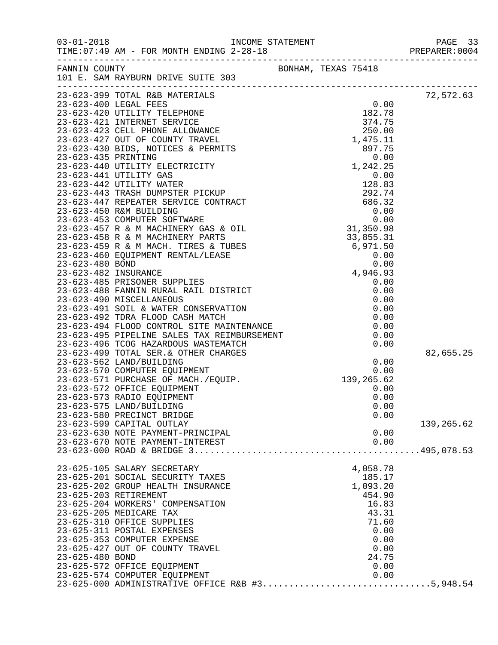|                 |                                                                                                                                                                                                                                            |  |          |      | PAGE 33<br>PREPARER: 0004 |
|-----------------|--------------------------------------------------------------------------------------------------------------------------------------------------------------------------------------------------------------------------------------------|--|----------|------|---------------------------|
|                 | --------------<br>BONHAM, TEXAS 75418<br>---------------------                                                                                                                                                                             |  |          |      |                           |
|                 |                                                                                                                                                                                                                                            |  |          |      | 72,572.63                 |
|                 |                                                                                                                                                                                                                                            |  |          |      |                           |
|                 |                                                                                                                                                                                                                                            |  |          |      |                           |
|                 |                                                                                                                                                                                                                                            |  |          |      |                           |
|                 |                                                                                                                                                                                                                                            |  |          |      |                           |
|                 |                                                                                                                                                                                                                                            |  |          |      |                           |
|                 |                                                                                                                                                                                                                                            |  |          |      |                           |
|                 |                                                                                                                                                                                                                                            |  |          |      |                           |
|                 |                                                                                                                                                                                                                                            |  |          |      |                           |
|                 |                                                                                                                                                                                                                                            |  |          |      |                           |
|                 |                                                                                                                                                                                                                                            |  |          |      |                           |
|                 |                                                                                                                                                                                                                                            |  |          |      |                           |
|                 |                                                                                                                                                                                                                                            |  |          |      |                           |
|                 |                                                                                                                                                                                                                                            |  |          |      |                           |
|                 |                                                                                                                                                                                                                                            |  |          |      |                           |
|                 |                                                                                                                                                                                                                                            |  |          |      |                           |
|                 |                                                                                                                                                                                                                                            |  |          |      |                           |
|                 |                                                                                                                                                                                                                                            |  |          |      |                           |
|                 |                                                                                                                                                                                                                                            |  |          |      |                           |
|                 |                                                                                                                                                                                                                                            |  |          |      |                           |
|                 |                                                                                                                                                                                                                                            |  |          |      |                           |
|                 |                                                                                                                                                                                                                                            |  |          |      |                           |
|                 |                                                                                                                                                                                                                                            |  |          |      |                           |
|                 |                                                                                                                                                                                                                                            |  |          |      |                           |
|                 |                                                                                                                                                                                                                                            |  |          |      |                           |
|                 |                                                                                                                                                                                                                                            |  |          |      |                           |
|                 |                                                                                                                                                                                                                                            |  |          |      |                           |
|                 | 23-623-499 TOTAL SER. & OTHER CHARGES<br>23-623-499 TOTAL SER. & OTHER CHARGES<br>23-623-570 COMPUTER EQUIPMENT<br>23-623-571 PURCHASE OF MACH./EQUIP. 139,265.62<br>23-623-572 OFFICE EQUIPMENT<br>23-623-573 RADIO EQUIPMENT<br>23-623-5 |  |          |      | 82,655.25                 |
|                 |                                                                                                                                                                                                                                            |  |          |      |                           |
|                 |                                                                                                                                                                                                                                            |  |          |      |                           |
|                 |                                                                                                                                                                                                                                            |  |          |      |                           |
|                 |                                                                                                                                                                                                                                            |  |          |      |                           |
|                 | 23-623-575 LAND/BUILDING                                                                                                                                                                                                                   |  |          | 0.00 |                           |
|                 | 23-623-580 PRECINCT BRIDGE                                                                                                                                                                                                                 |  |          | 0.00 |                           |
|                 | 23-623-599 CAPITAL OUTLAY                                                                                                                                                                                                                  |  |          |      | 139,265.62                |
|                 | 23-623-630 NOTE PAYMENT-PRINCIPAL                                                                                                                                                                                                          |  |          | 0.00 |                           |
|                 | 23-623-670 NOTE PAYMENT-INTEREST                                                                                                                                                                                                           |  |          | 0.00 |                           |
|                 |                                                                                                                                                                                                                                            |  |          |      |                           |
|                 | 23-625-105 SALARY SECRETARY                                                                                                                                                                                                                |  | 4,058.78 |      |                           |
|                 | 23-625-201 SOCIAL SECURITY TAXES                                                                                                                                                                                                           |  | 185.17   |      |                           |
|                 | 23-625-202 GROUP HEALTH INSURANCE                                                                                                                                                                                                          |  | 1,093.20 |      |                           |
|                 | 23-625-203 RETIREMENT                                                                                                                                                                                                                      |  | 454.90   |      |                           |
|                 | 23-625-204 WORKERS' COMPENSATION                                                                                                                                                                                                           |  | 16.83    |      |                           |
|                 | 23-625-205 MEDICARE TAX                                                                                                                                                                                                                    |  | 43.31    |      |                           |
|                 | 23-625-310 OFFICE SUPPLIES                                                                                                                                                                                                                 |  | 71.60    |      |                           |
|                 | 23-625-311 POSTAL EXPENSES<br>23-625-353 COMPUTER EXPENSE                                                                                                                                                                                  |  | 0.00     | 0.00 |                           |
|                 | 23-625-427 OUT OF COUNTY TRAVEL                                                                                                                                                                                                            |  |          | 0.00 |                           |
| 23-625-480 BOND |                                                                                                                                                                                                                                            |  | 24.75    |      |                           |
|                 | 23-625-572 OFFICE EQUIPMENT                                                                                                                                                                                                                |  | 0.00     |      |                           |
|                 | 23-625-574 COMPUTER EQUIPMENT                                                                                                                                                                                                              |  |          | 0.00 |                           |
|                 | 23-625-000 ADMINISTRATIVE OFFICE R&B #35,948.54                                                                                                                                                                                            |  |          |      |                           |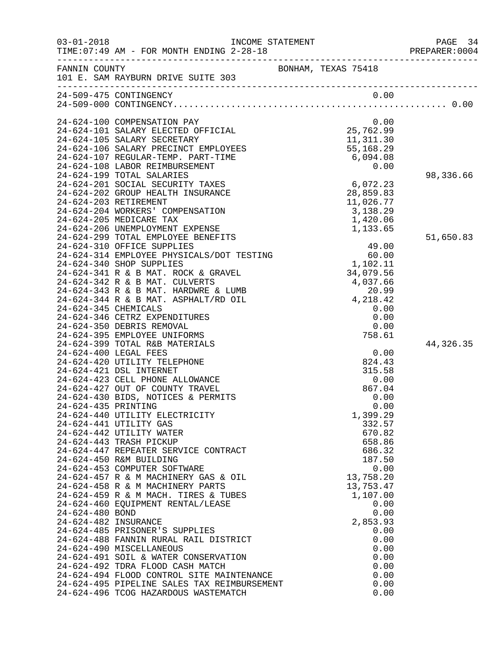| $03 - 01 - 2018$     | TIME: 07:49 AM - FOR MONTH ENDING 2-28-18                                     | INCOME STATEMENT    |                      | PAGE 34<br>PREPARER: 0004 |
|----------------------|-------------------------------------------------------------------------------|---------------------|----------------------|---------------------------|
| FANNIN COUNTY        | 101 E. SAM RAYBURN DRIVE SUITE 303                                            | BONHAM, TEXAS 75418 |                      |                           |
|                      | 24-509-475 CONTINGENCY                                                        |                     | 0.00                 |                           |
|                      |                                                                               |                     |                      |                           |
|                      | 24-624-100 COMPENSATION PAY                                                   |                     | 0.00                 |                           |
|                      | 24-624-101 SALARY ELECTED OFFICIAL                                            |                     | 25,762.99            |                           |
|                      | 24-624-105 SALARY SECRETARY                                                   |                     | 11,311.30            |                           |
|                      | 24-624-106 SALARY PRECINCT EMPLOYEES                                          |                     | 55,168.29            |                           |
|                      | 24-624-107 REGULAR-TEMP. PART-TIME                                            |                     | 6,094.08             |                           |
|                      | 24-624-108 LABOR REIMBURSEMENT                                                |                     | 0.00                 |                           |
|                      | 24-624-199 TOTAL SALARIES<br>24-624-201 SOCIAL SECURITY TAXES                 |                     | 6,072.23             | 98,336.66                 |
|                      | 24-624-202 GROUP HEALTH INSURANCE                                             |                     | 28,859.83            |                           |
|                      | 24-624-203 RETIREMENT                                                         |                     | 11,026.77            |                           |
|                      | 24-624-204 WORKERS' COMPENSATION                                              |                     | 3,138.29             |                           |
|                      | 24-624-205 MEDICARE TAX                                                       |                     | 1,420.06             |                           |
|                      | 24-624-206 UNEMPLOYMENT EXPENSE                                               |                     | 1,133.65             |                           |
|                      | 24-624-299 TOTAL EMPLOYEE BENEFITS                                            |                     |                      | 51,650.83                 |
|                      | 24-624-310 OFFICE SUPPLIES<br>24-624-314 EMPLOYEE PHYSICALS/DOT TESTING       |                     | 49.00<br>60.00       |                           |
|                      | 24-624-340 SHOP SUPPLIES                                                      |                     | 1,102.11             |                           |
|                      | 24-624-341 R & B MAT. ROCK & GRAVEL                                           |                     | 34,079.56            |                           |
|                      | 24-624-342 R & B MAT. CULVERTS                                                |                     | 4,037.66             |                           |
|                      | 24-624-343 R & B MAT. HARDWRE & LUMB                                          |                     | $20.99$<br>4, 218.42 |                           |
|                      | 24-624-344 R & B MAT. ASPHALT/RD OIL                                          |                     |                      |                           |
| 24-624-345 CHEMICALS | 24-624-346 CETRZ EXPENDITURES                                                 |                     | 0.00<br>0.00         |                           |
|                      | 24-624-350 DEBRIS REMOVAL                                                     |                     | 0.00                 |                           |
|                      | 24-624-395 EMPLOYEE UNIFORMS                                                  |                     | 758.61               |                           |
|                      | 24-624-399 TOTAL R&B MATERIALS                                                |                     |                      | 44, 326. 35               |
|                      | 24-624-400 LEGAL FEES                                                         |                     | 0.00                 |                           |
|                      | 24-624-420 UTILITY TELEPHONE                                                  |                     | 824.43               |                           |
|                      | 24-624-421 DSL INTERNET<br>24-624-423 CELL PHONE ALLOWANCE                    |                     | 315.58               |                           |
|                      | 24-624-427 OUT OF COUNTY TRAVEL                                               |                     | 0.00<br>867.04       |                           |
|                      | 24-624-430 BIDS, NOTICES & PERMITS                                            |                     | 0.00                 |                           |
| 24-624-435 PRINTING  |                                                                               |                     | 0.00                 |                           |
|                      | 24-624-440 UTILITY ELECTRICITY                                                |                     | 1,399.29             |                           |
|                      | 24-624-441 UTILITY GAS                                                        |                     | 332.57               |                           |
|                      | 24-624-442 UTILITY WATER                                                      |                     | 670.82               |                           |
|                      | 24-624-443 TRASH PICKUP<br>24-624-447 REPEATER SERVICE CONTRACT               |                     | 658.86<br>686.32     |                           |
|                      | 24-624-450 R&M BUILDING                                                       |                     | 187.50               |                           |
|                      | 24-624-453 COMPUTER SOFTWARE                                                  |                     | 0.00                 |                           |
|                      | 24-624-457 R & M MACHINERY GAS & OIL                                          |                     | 13,758.20            |                           |
|                      | 24-624-458 R & M MACHINERY PARTS                                              |                     | 13,753.47            |                           |
|                      | 24-624-459 R & M MACH. TIRES & TUBES                                          |                     | 1,107.00             |                           |
| 24-624-480 BOND      | 24-624-460 EQUIPMENT RENTAL/LEASE                                             |                     | 0.00<br>0.00         |                           |
| 24-624-482 INSURANCE |                                                                               |                     | 2,853.93             |                           |
|                      | 24-624-485 PRISONER'S SUPPLIES                                                |                     | 0.00                 |                           |
|                      | 24-624-488 FANNIN RURAL RAIL DISTRICT                                         |                     | 0.00                 |                           |
|                      | 24-624-490 MISCELLANEOUS                                                      |                     | 0.00                 |                           |
|                      | 24-624-491 SOIL & WATER CONSERVATION                                          |                     | 0.00                 |                           |
|                      | 24-624-492 TDRA FLOOD CASH MATCH<br>24-624-494 FLOOD CONTROL SITE MAINTENANCE |                     | 0.00<br>0.00         |                           |
|                      | 24-624-495 PIPELINE SALES TAX REIMBURSEMENT                                   |                     | 0.00                 |                           |
|                      | 24-624-496 TCOG HAZARDOUS WASTEMATCH                                          |                     | 0.00                 |                           |
|                      |                                                                               |                     |                      |                           |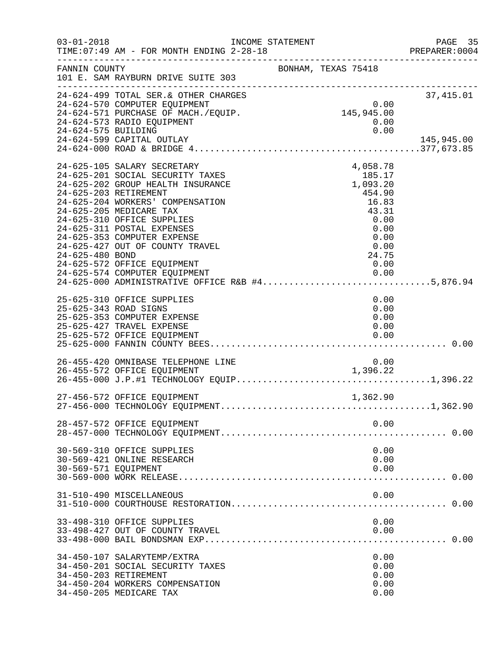| $03 - 01 - 2018$                         | INCOME STATEMENT<br>TIME: 07:49 AM - FOR MONTH ENDING 2-28-18                                                                                                                                                                                                                                                                    |                                                                                                                                                                                                   | PAGE 35<br>PREPARER:0004 |
|------------------------------------------|----------------------------------------------------------------------------------------------------------------------------------------------------------------------------------------------------------------------------------------------------------------------------------------------------------------------------------|---------------------------------------------------------------------------------------------------------------------------------------------------------------------------------------------------|--------------------------|
| FANNIN COUNTY                            | --------------------------------------<br>101 E. SAM RAYBURN DRIVE SUITE 303                                                                                                                                                                                                                                                     | BONHAM, TEXAS 75418                                                                                                                                                                               |                          |
| 24-624-575 BUILDING                      | 24-624-499 TOTAL SER. & OTHER CHARGES<br>24-624-570 COMPUTER EQUIPMENT<br>24-624-570 COMPUTER EQUIPMENT<br>24-624-571 PURCHASE OF MACH./EQUIP.<br>24-624-573 RADIO EQUIPMENT<br>24-624-599 CAPITAL OUTLAY                                                                                                                        | 0.00<br>145,945.00<br>0.00<br>0.00                                                                                                                                                                | 37,415.01<br>145,945.00  |
| 24-625-203 RETIREMENT<br>24-625-480 BOND | 24-625-105 SALARY SECRETARY<br>24-625-201 SOCIAL SECURITY TAXES<br>24-625-202 GROUP HEALTH INSURANCE<br>24-625-204 WORKERS' COMPENSATION<br>24-625-205 MEDICARE TAX<br>24-625-310 OFFICE SUPPLIES<br>24-625-311 POSTAL EXPENSES<br>24-625-353 COMPUTER EXPENSE<br>24-625-427 OUT OF COUNTY TRAVEL<br>24-625-572 OFFICE EQUIPMENT | 4,058.78<br>$185.17$<br>1,093.20<br>454.90<br>16.83<br>43.31<br>0.00<br>0.00<br>0.00<br>0.00<br>24.75<br>0.00<br>24-625-574 COMPUTER EQUIPMENT<br>24-625-000 ADMINISTRATIVE OFFICE R&B #45,876.94 |                          |
| 25-625-343 ROAD SIGNS                    | 25-625-310 OFFICE SUPPLIES<br>25-625-353 COMPUTER EXPENSE<br>25-625-427 TRAVEL EXPENSE<br>25-625-572 OFFICE EQUIPMENT                                                                                                                                                                                                            | 0.00<br>0.00<br>0.00<br>0.00<br>0.00                                                                                                                                                              |                          |
|                                          | 26-455-420 OMNIBASE TELEPHONE LINE<br>26-455-572 OFFICE EQUIPMENT                                                                                                                                                                                                                                                                | 0.00<br>1,396.22                                                                                                                                                                                  |                          |
|                                          | 27-456-572 OFFICE EQUIPMENT                                                                                                                                                                                                                                                                                                      | 1,362.90                                                                                                                                                                                          |                          |
|                                          | 28-457-572 OFFICE EQUIPMENT                                                                                                                                                                                                                                                                                                      | 0.00                                                                                                                                                                                              |                          |
| 30-569-571 EQUIPMENT                     | 30-569-310 OFFICE SUPPLIES<br>30-569-421 ONLINE RESEARCH                                                                                                                                                                                                                                                                         | 0.00<br>0.00<br>0.00                                                                                                                                                                              |                          |
|                                          | 31-510-490 MISCELLANEOUS                                                                                                                                                                                                                                                                                                         | 0.00                                                                                                                                                                                              |                          |
|                                          | 33-498-310 OFFICE SUPPLIES<br>33-498-427 OUT OF COUNTY TRAVEL                                                                                                                                                                                                                                                                    | 0.00<br>0.00                                                                                                                                                                                      |                          |
| 34-450-203 RETIREMENT                    | 34-450-107 SALARYTEMP/EXTRA<br>34-450-201 SOCIAL SECURITY TAXES<br>34-450-204 WORKERS COMPENSATION<br>34-450-205 MEDICARE TAX                                                                                                                                                                                                    | 0.00<br>0.00<br>0.00<br>0.00<br>0.00                                                                                                                                                              |                          |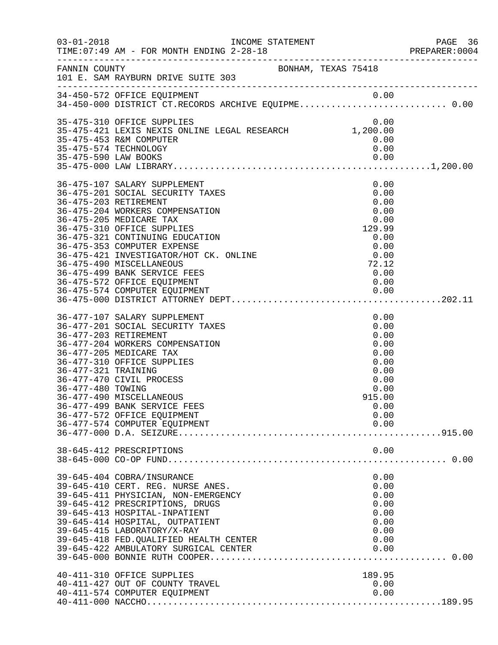| $03 - 01 - 2018$                         | TIME: 07:49 AM - FOR MONTH ENDING 2-28-18                                                                                                                                                                                                                                                                                                                                                                      |                                                                                                        | PAGE 36<br>PREPARER:0004 |
|------------------------------------------|----------------------------------------------------------------------------------------------------------------------------------------------------------------------------------------------------------------------------------------------------------------------------------------------------------------------------------------------------------------------------------------------------------------|--------------------------------------------------------------------------------------------------------|--------------------------|
|                                          | FANNIN COUNTY BONHAM, TEXAS 75418<br>101 E. SAM RAYBURN DRIVE SUITE 303                                                                                                                                                                                                                                                                                                                                        |                                                                                                        |                          |
|                                          | 0.00 0.00 A4-450-572 OFFICE EQUIPMENT<br>34-450-000 DISTRICT CT.RECORDS ARCHIVE EQUIPME0.00                                                                                                                                                                                                                                                                                                                    |                                                                                                        |                          |
|                                          | 35-475-310 OFFICE SUPPLIES<br>0.00 0.00<br>35-475-421 LEXIS NEXIS ONLINE LEGAL RESEARCH 1,200.00<br>35-475-453 R&M COMPUTER<br>35-475-574 TECHNOLOGY                                                                                                                                                                                                                                                           | 0.00<br>0.00<br>0.00                                                                                   |                          |
|                                          | 36-475-107 SALARY SUPPLEMENT<br>36-475-201 SOCIAL SECURITY TAXES<br>36-475-203 RETIREMENT<br>36-475-204 WORKERS COMPENSATION<br>36-475-205 MEDICARE TAX<br>36-475-310 OFFICE SUPPLIES<br>36-475-321 CONTINUING EDUCATION<br>36-475-353 COMPUTER EXPENSE<br>$0.00$<br>0.00<br>36-475-421 INVESTIGATOR/HOT CK. ONLINE<br>36-475-490 MISCELLANEOUS<br>36-475-499 BANK SERVICE FEES<br>36-475-572 OFFICE EQUIPMENT | 0.00<br>0.00<br>0.00<br>0.00<br>0.00<br>129.99<br>0.00<br>0.00<br>72.12<br>0.00<br>0.00                |                          |
| 36-477-321 TRAINING<br>36-477-480 TOWING | 36-477-107 SALARY SUPPLEMENT<br>36-477-201 SOCIAL SECURITY TAXES<br>36-477-203 RETIREMENT<br>36-477-204 WORKERS COMPENSATION<br>36-477-205 MEDICARE TAX<br>36-477-310 OFFICE SUPPLIES<br>36-477-470 CIVIL PROCESS<br>36-477-490 MISCELLANEOUS<br>36-477-499 BANK SERVICE FEES<br>36-477-572 OFFICE EQUIPMENT<br>36-477-574 COMPUTER EQUIPMENT                                                                  | 0.00<br>0.00<br>0.00<br>0.00<br>0.00<br>0.00<br>0.00<br>0.00<br>0.00<br>915.00<br>0.00<br>0.00<br>0.00 |                          |
|                                          | 38-645-412 PRESCRIPTIONS                                                                                                                                                                                                                                                                                                                                                                                       | 0.00                                                                                                   |                          |
|                                          | 39-645-404 COBRA/INSURANCE<br>39-645-410 CERT. REG. NURSE ANES.<br>39-645-411 PHYSICIAN, NON-EMERGENCY<br>39-645-412 PRESCRIPTIONS, DRUGS<br>39-645-413 HOSPITAL-INPATIENT<br>39-645-414 HOSPITAL, OUTPATIENT<br>39-645-415 LABORATORY/X-RAY<br>39-645-418 FED. QUALIFIED HEALTH CENTER<br>39-645-422 AMBULATORY SURGICAL CENTER                                                                               | 0.00<br>0.00<br>0.00<br>0.00<br>0.00<br>0.00<br>0.00<br>0.00<br>0.00                                   |                          |
|                                          | 40-411-310 OFFICE SUPPLIES<br>40-411-427 OUT OF COUNTY TRAVEL<br>40-411-574 COMPUTER EQUIPMENT                                                                                                                                                                                                                                                                                                                 | 189.95<br>0.00<br>0.00                                                                                 |                          |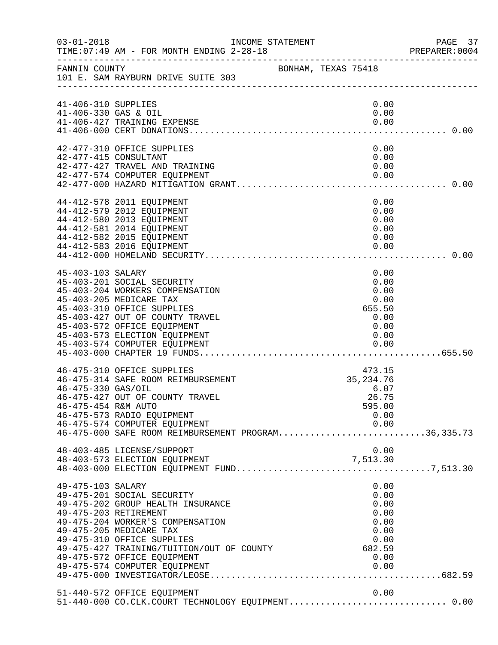| $03 - 01 - 2018$                            | INCOME STATEMENT<br>TIME: 07:49 AM - FOR MONTH ENDING 2-28-18                                                                                                                                                                                                                                      |                                                                                | PAGE 37<br>PREPARER:0004 |
|---------------------------------------------|----------------------------------------------------------------------------------------------------------------------------------------------------------------------------------------------------------------------------------------------------------------------------------------------------|--------------------------------------------------------------------------------|--------------------------|
| FANNIN COUNTY                               | BONHAM, TEXAS 75418<br>101 E. SAM RAYBURN DRIVE SUITE 303                                                                                                                                                                                                                                          |                                                                                |                          |
| 41-406-310 SUPPLIES<br>41-406-330 GAS & OIL | 41-406-427 TRAINING EXPENSE                                                                                                                                                                                                                                                                        | 0.00<br>0.00<br>0.00                                                           |                          |
|                                             | 42-477-310 OFFICE SUPPLIES<br>42-477-415 CONSULTANT<br>42-477-427 TRAVEL AND TRAINING                                                                                                                                                                                                              | 0.00<br>0.00<br>0.00<br>0.00                                                   |                          |
|                                             | 44-412-578 2011 EQUIPMENT<br>44-412-579 2012 EQUIPMENT<br>44-412-580 2013 EQUIPMENT<br>44-412-581 2014 EQUIPMENT<br>44-412-582 2015 EQUIPMENT<br>44-412-583 2016 EQUIPMENT                                                                                                                         | 0.00<br>0.00<br>0.00<br>0.00<br>0.00<br>0.00                                   |                          |
| 45-403-103 SALARY                           | 45-403-201 SOCIAL SECURITY<br>45-403-204 WORKERS COMPENSATION<br>45-403-205 MEDICARE TAX<br>45-403-310 OFFICE SUPPLIES<br>45-403-427 OUT OF COUNTY TRAVEL<br>45-403-572 OFFICE EQUIPMENT<br>45-403-573 ELECTION EQUIPMENT                                                                          | 0.00<br>0.00<br>0.00<br>0.00<br>655.50<br>0.00<br>0.00<br>0.00                 |                          |
| 46-475-330 GAS/OIL<br>46-475-454 R&M AUTO   | 46-475-310 OFFICE SUPPLIES<br>46-475-314 SAFE ROOM REIMBURSEMENT<br>46-475-427 OUT OF COUNTY TRAVEL<br>46-475-573 RADIO EQUIPMENT<br>46-475-574 COMPUTER EQUIPMENT<br>46-475-574 COMPUTER EQUIPMENT<br>46-475-000 SAFE ROOM REIMBURSEMENT PROGRAM36,335.73<br>48-403-485 LICENSE/SUPPORT           | 473.15<br>35, 234. 76<br>6.07<br>26.75<br>595.00<br>0.00<br>0.00<br>0.00       |                          |
| 49-475-103 SALARY                           | 49-475-201 SOCIAL SECURITY<br>49-475-202 GROUP HEALTH INSURANCE<br>49-475-203 RETIREMENT<br>49-475-204 WORKER'S COMPENSATION<br>49-475-205 MEDICARE TAX<br>49-475-310 OFFICE SUPPLIES<br>49-475-427 TRAINING/TUITION/OUT OF COUNTY<br>49-475-572 OFFICE EQUIPMENT<br>49-475-574 COMPUTER EQUIPMENT | 0.00<br>0.00<br>0.00<br>0.00<br>0.00<br>0.00<br>0.00<br>682.59<br>0.00<br>0.00 |                          |
|                                             | 51-440-572 OFFICE EQUIPMENT                                                                                                                                                                                                                                                                        | 0.00                                                                           |                          |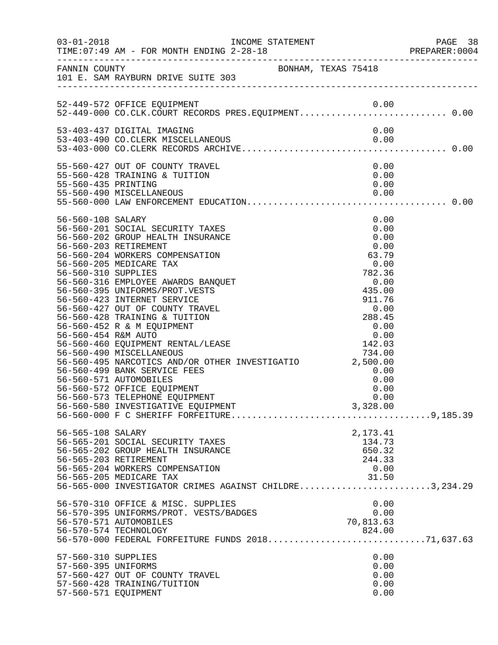|                                                                    |                                                                                                                                                                                                                                                                                                                                                                                                                                                                                                                                                                                                                              |                                                                                                                                                                                                                                                       | PREPARER: 0004 |
|--------------------------------------------------------------------|------------------------------------------------------------------------------------------------------------------------------------------------------------------------------------------------------------------------------------------------------------------------------------------------------------------------------------------------------------------------------------------------------------------------------------------------------------------------------------------------------------------------------------------------------------------------------------------------------------------------------|-------------------------------------------------------------------------------------------------------------------------------------------------------------------------------------------------------------------------------------------------------|----------------|
|                                                                    | FANNIN COUNTY<br>101 E. SAM RAYBURN DRIVE SUITE 303                                                                                                                                                                                                                                                                                                                                                                                                                                                                                                                                                                          |                                                                                                                                                                                                                                                       |                |
|                                                                    | 52-449-572 OFFICE EQUIPMENT<br>52-449-000 CO.CLK.COURT RECORDS PRES.EQUIPMENT0.00                                                                                                                                                                                                                                                                                                                                                                                                                                                                                                                                            |                                                                                                                                                                                                                                                       |                |
|                                                                    | 53-403-437 DIGITAL IMAGING                                                                                                                                                                                                                                                                                                                                                                                                                                                                                                                                                                                                   | 0.00                                                                                                                                                                                                                                                  |                |
| 55-560-435 PRINTING                                                | 55-560-427 OUT OF COUNTY TRAVEL<br>55-560-428 TRAINING & TUITION                                                                                                                                                                                                                                                                                                                                                                                                                                                                                                                                                             | 0.00<br>0.00<br>0.00                                                                                                                                                                                                                                  |                |
| 56-560-108 SALARY<br>56-560-310 SUPPLIES<br>56-560-454 R&M AUTO    | 56-560-201 SOCIAL SECURITY TAXES<br>56-560-202 GROUP HEALTH INSURANCE<br>56-560-203 RETIREMENT<br>56-560-204 WORKERS COMPENSATION<br>56-560-205 MEDICARE TAX<br>56-560-316 EMPLOYEE AWARDS BANQUET<br>56-560-395 UNIFORMS/PROT.VESTS<br>56-560-423 INTERNET SERVICE<br>56-560-427 OUT OF COUNTY TRAVEL<br>56-560-428 TRAINING & TUITION<br>56-560-452 R & M EQUIPMENT<br>56-560-460 EQUIPMENT RENTAL/LEASE<br>56-560-490 MISCELLANEOUS<br>56-560-495 NARCOTICS AND/OR OTHER INVESTIGATIO 2,500.00<br>56-560-499 BANK SERVICE FEES<br>56-560-571 AUTOMOBILES<br>56-560-572 OFFICE EQUIPMENT<br>56-560-573 TELEPHONE EQUIPMENT | 0.00<br>0.00<br>0.00<br>0.00<br>$\begin{array}{r} 63.79 \\ 0.00 \\ 782.36 \\ 0.00 \\ 435.05 \end{array}$<br>$911.76$<br>0.00<br>288.45<br>0.00<br>$\begin{array}{c} 0.00\ 0.00\ 142.03\ 734.00 \end{array}$<br>734.00<br>0.00<br>0.00<br>0.00<br>0.00 |                |
| 56-565-108 SALARY                                                  | 56-565-201 SOCIAL SECURITY TAXES<br>56-565-202 GROUP HEALTH INSURANCE<br>56-565-203 RETIREMENT<br>56-565-204 WORKERS COMPENSATION<br>56-565-205 MEDICARE TAX<br>56-565-000 INVESTIGATOR CRIMES AGAINST CHILDRE3,234.29                                                                                                                                                                                                                                                                                                                                                                                                       | 2,173.41<br>134.73<br>650.32<br>244.33<br>0.00<br>31.50                                                                                                                                                                                               |                |
|                                                                    | 56-570-310 OFFICE & MISC. SUPPLIES<br>56-570-395 UNIFORMS/PROT. VESTS/BADGES<br>56-570-571 AUTOMOBILES<br>56-570-574 TECHNOLOGY                                                                                                                                                                                                                                                                                                                                                                                                                                                                                              | 0.00<br>0.00<br>70,813.63                                                                                                                                                                                                                             |                |
| 57-560-310 SUPPLIES<br>57-560-395 UNIFORMS<br>57-560-571 EQUIPMENT | 57-560-427 OUT OF COUNTY TRAVEL<br>57-560-428 TRAINING/TUITION                                                                                                                                                                                                                                                                                                                                                                                                                                                                                                                                                               | 0.00<br>0.00<br>0.00<br>0.00<br>0.00                                                                                                                                                                                                                  |                |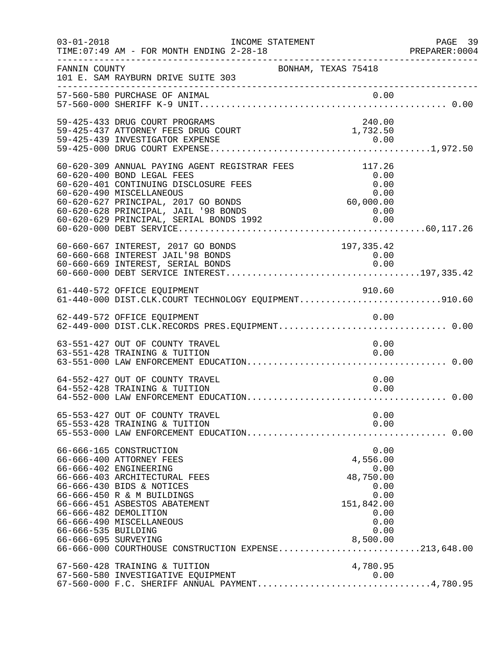| $03 - 01 - 2018$                            | INCOME STATEMENT<br>TIME: 07:49 AM - FOR MONTH ENDING 2-28-18                                                                                                                                                                                                                                                           |                                                             | PAGE 39                                      |
|---------------------------------------------|-------------------------------------------------------------------------------------------------------------------------------------------------------------------------------------------------------------------------------------------------------------------------------------------------------------------------|-------------------------------------------------------------|----------------------------------------------|
|                                             |                                                                                                                                                                                                                                                                                                                         |                                                             | PREPARER:0004                                |
| FANNIN COUNTY                               | BONHAM, TEXAS 75418<br>101 E. SAM RAYBURN DRIVE SUITE 303                                                                                                                                                                                                                                                               |                                                             |                                              |
|                                             |                                                                                                                                                                                                                                                                                                                         |                                                             |                                              |
|                                             | 59-425-433 DRUG COURT PROGRAMS<br>59-425-437 ATTORNEY FEES DRUG COURT                                                                                                                                                                                                                                                   | 240.00<br>1,732.50                                          |                                              |
|                                             | 60-620-309 ANNUAL PAYING AGENT REGISTRAR FEES<br>60-620-400 BOND LEGAL FEES<br>60-620-401 CONTINUING DISCLOSURE FEES<br>60-620-490 MISCELLANEOUS<br>60-620-627 PRINCIPAL, 2017 GO BONDS<br>55 525 526 FRINCIPAL, JAIL '98 BONDS<br>60-620-629 PRINCIPAL, SERIAL BONDS 1992<br>60-620-000 DEBT SERVICE                   | 117.26<br>0.00<br>0.00<br>0.00<br>60,000.00<br>0.00<br>0.00 |                                              |
|                                             | 60-660-667 INTEREST, 2017 GO BONDS<br>60-660-668 INTEREST JAIL'98 BONDS<br>60-660-669 INTEREST, SERIAL BONDS                                                                                                                                                                                                            | 197,335.42<br>0.00<br>0.00                                  |                                              |
|                                             | 61-440-572 OFFICE EQUIPMENT<br>61-440-000 DIST.CLK.COURT TECHNOLOGY EQUIPMENT910.60                                                                                                                                                                                                                                     | 910.60                                                      |                                              |
|                                             | 62-449-572 OFFICE EQUIPMENT<br>62-449-000 DIST.CLK.RECORDS PRES.EQUIPMENT0.00                                                                                                                                                                                                                                           |                                                             |                                              |
|                                             | 63-551-427 OUT OF COUNTY TRAVEL<br>63-551-428 TRAINING & TUITION                                                                                                                                                                                                                                                        |                                                             | 0.00<br>0.00                                 |
|                                             | 64-552-427 OUT OF COUNTY TRAVEL<br>64-552-428 TRAINING & TUITION                                                                                                                                                                                                                                                        |                                                             | 0.00<br>0.00                                 |
|                                             | 65-553-427 OUT OF COUNTY TRAVEL<br>65-553-428 TRAINING & TUITION                                                                                                                                                                                                                                                        |                                                             | 0.00<br>0.00                                 |
| 66-666-535 BUILDING<br>66-666-695 SURVEYING | 66-666-165 CONSTRUCTION<br>66-666-400 ATTORNEY FEES<br>66-666-402 ENGINEERING<br>66-666-403 ARCHITECTURAL FEES<br>66-666-430 BIDS & NOTICES<br>66-666-450 R & M BUILDINGS<br>66-666-451 ASBESTOS ABATEMENT<br>66-666-482 DEMOLITION<br>66-666-490 MISCELLANEOUS<br>66-666-000 COURTHOUSE CONSTRUCTION EXPENSE213,648.00 | 4,556.00<br>48,750.00<br>151,842.00<br>0.00<br>8,500.00     | 0.00<br>0.00<br>0.00<br>0.00<br>0.00<br>0.00 |
|                                             | 67-560-428 TRAINING & TUITION<br>67-560-580 INVESTIGATIVE EQUIPMENT<br>67-560-000 F.C. SHERIFF ANNUAL PAYMENT4,780.95                                                                                                                                                                                                   | 4,780.95<br>0.00                                            |                                              |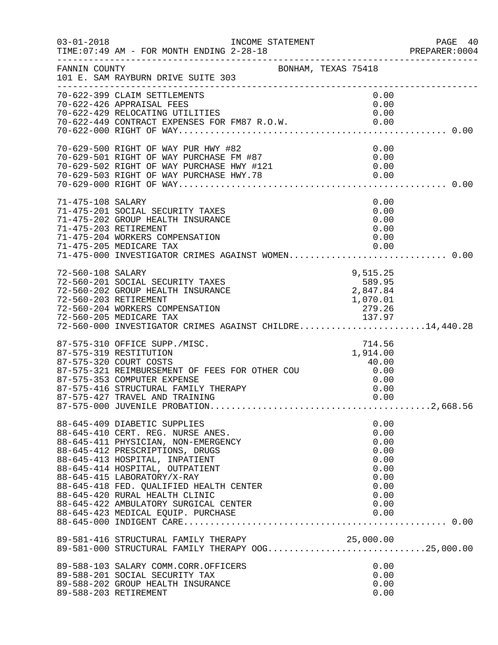| $03 - 01 - 2018$  | TIME: 07:49 AM - FOR MONTH ENDING 2-28-18                                                                                                                                                                                                                                                                                                                             |                                                                              | PAGE 40<br>PREPARER:0004 |
|-------------------|-----------------------------------------------------------------------------------------------------------------------------------------------------------------------------------------------------------------------------------------------------------------------------------------------------------------------------------------------------------------------|------------------------------------------------------------------------------|--------------------------|
| FANNIN COUNTY     | BONHAM, TEXAS 75418<br>101 E. SAM RAYBURN DRIVE SUITE 303                                                                                                                                                                                                                                                                                                             |                                                                              |                          |
|                   | 70-622-399 CLAIM SETTLEMENTS<br>70-622-426 APPRAISAL FEES                                                                                                                                                                                                                                                                                                             | 0.00<br>0.00                                                                 |                          |
|                   | 70-629-500 RIGHT OF WAY PUR HWY #82<br>70-629-501 RIGHT OF WAY PURCHASE FM #87<br>70-629-502 RIGHT OF WAY PURCHASE HWY #121 0.00<br>70-629-503 RIGHT OF WAY PURCHASE HWY .78 0.00<br>70-629-000 RIGHT OF WAY                                                                                                                                                          |                                                                              |                          |
| 71-475-108 SALARY | 71-475-201 SOCIAL SECURITY TAXES<br>71-475-202 GROUP HEALTH INSURANCE<br>71-475-203 RETIREMENT<br>71-475-204 WORKERS COMPENSATION<br>71-475-205 MEDICARE TAX<br>71-475-000 INVESTIGATOR CRIMES AGAINST WOMEN 0.00                                                                                                                                                     | 0.00<br>0.00<br>0.00<br>0.00<br>0.00<br>0.00                                 |                          |
| 72-560-108 SALARY | 72-560-108 SALARY<br>72-560-201 SOCIAL SECURITY TAXES<br>72-560-202 GROUP HEALTH INSURANCE<br>72-560-203 RETIREMENT<br>72-560-204 WORKERS COMPENSATION<br>72-560-205 MEDICARE TAX<br>72-560-000 INVESTIGATOR CRIMES AGAINST CHILDRE                                                                                                                                   | 9,515.25                                                                     |                          |
|                   | 87-575-310 OFFICE SUPP./MISC.<br>87-575-319 RESTITUTION<br>87-575-320 COURT COSTS<br>87-575-321 REIMBURSEMENT OF FEES FOR OTHER COU $0.00$<br>87-575-353 COMPUTER EXPENSE<br>87 FTE 116 STELLER<br>87-575-416 STRUCTURAL FAMILY THERAPY<br>87-575-427 TRAVEL AND TRAINING                                                                                             | 714.56<br>1,914.00<br>40.00<br>0.00<br>0.00                                  |                          |
|                   | 88-645-409 DIABETIC SUPPLIES<br>88-645-410 CERT. REG. NURSE ANES.<br>88-645-411 PHYSICIAN, NON-EMERGENCY<br>88-645-412 PRESCRIPTIONS, DRUGS<br>88-645-413 HOSPITAL, INPATIENT<br>88-645-414 HOSPITAL, OUTPATIENT<br>88-645-415 LABORATORY/X-RAY<br>88-645-418 FED. QUALIFIED HEALTH CENTER<br>88-645-420 RURAL HEALTH CLINIC<br>88-645-422 AMBULATORY SURGICAL CENTER | 0.00<br>0.00<br>0.00<br>0.00<br>0.00<br>0.00<br>0.00<br>0.00<br>0.00<br>0.00 |                          |
|                   | 89-581-416 STRUCTURAL FAMILY THERAPY 25,000.00<br>89-581-000 STRUCTURAL FAMILY THERAPY OOG25,000.00                                                                                                                                                                                                                                                                   |                                                                              |                          |
|                   | 89-588-103 SALARY COMM.CORR.OFFICERS<br>89-588-201 SOCIAL SECURITY TAX<br>89-588-202 GROUP HEALTH INSURANCE<br>89-588-203 RETIREMENT                                                                                                                                                                                                                                  | 0.00<br>0.00<br>0.00<br>0.00                                                 |                          |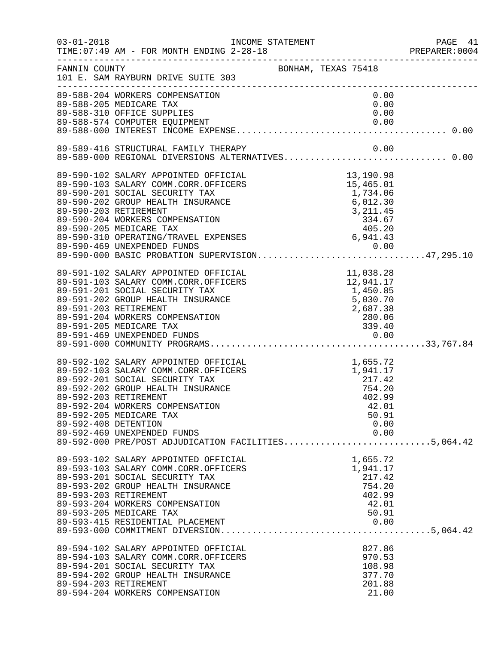| $03 - 01 - 2018$      | TIME: 07:49 AM - FOR MONTH ENDING 2-28-18                                                                                                                                                                                                                                                                                                                                        |                                                                                                        | PAGE 41<br>PREPARER:0004 |
|-----------------------|----------------------------------------------------------------------------------------------------------------------------------------------------------------------------------------------------------------------------------------------------------------------------------------------------------------------------------------------------------------------------------|--------------------------------------------------------------------------------------------------------|--------------------------|
| FANNIN COUNTY         | 101 E. SAM RAYBURN DRIVE SUITE 303<br>_______________________                                                                                                                                                                                                                                                                                                                    | BONHAM, TEXAS 75418                                                                                    |                          |
|                       | 89-588-204 WORKERS COMPENSATION<br>89-588-205 MEDICARE TAX<br>89-588-310 OFFICE SUPPLIES                                                                                                                                                                                                                                                                                         | 0.00<br>0.00<br>0.00                                                                                   |                          |
|                       | 89-589-416 STRUCTURAL FAMILY THERAPY<br>89-589-000 REGIONAL DIVERSIONS ALTERNATIVES 0.00                                                                                                                                                                                                                                                                                         | 0.00                                                                                                   |                          |
|                       |                                                                                                                                                                                                                                                                                                                                                                                  |                                                                                                        |                          |
|                       | 89-591-102 SALARY APPOINTED OFFICIAL<br>89-591-103 SALARY COMM.CORR.OFFICERS<br>89-591-201 SOCIAL SECURITY TAX<br>89-591-202 GROUP HEALTH INSURANCE<br>89-591-203 RETIREMENT<br>89-591-204 WORKERS COMPENSATION<br>89-591-205 MEDICARE TAX                                                                                                                                       | CIAL<br>CERS<br>11,038.28<br>12,941.17<br>1,450.85<br>5,030.70<br>2,687.38<br>280.06<br>339.40<br>0.00 |                          |
| 89-592-408 DETENTION  | 89-592-102 SALARY APPOINTED OFFICIAL<br>89-592-103 SALARY COMM.CORR.OFFICERS 1,941.17<br>89-592-201 SOCIAL SECURITY TAX 217.42<br>89-592-202 GROUP HEALTH INSURANCE 754.20<br>89-592-202 BETIDEMENT<br>89-592-203 RETIREMENT<br>89-592-204 WORKERS COMPENSATION<br>89-592-205 MEDICARE TAX<br>89-592-469 UNEXPENDED FUNDS<br>89-592-000 PRE/POST ADJUDICATION FACILITIES5,064.42 | 402.99<br>42.01<br>50.91<br>0.00<br>0.00                                                               |                          |
| 89-593-203 RETIREMENT | 89-593-102 SALARY APPOINTED OFFICIAL<br>89-593-103 SALARY COMM.CORR.OFFICERS<br>89-593-201 SOCIAL SECURITY TAX<br>89-593-202 GROUP HEALTH INSURANCE<br>89-593-204 WORKERS COMPENSATION<br>89-593-205 MEDICARE TAX                                                                                                                                                                | 1,655.72<br>1,941.17<br>217.42<br>754.20<br>402.99<br>42.01<br>50.91                                   |                          |
|                       | 89-594-102 SALARY APPOINTED OFFICIAL<br>89-594-103 SALARY COMM.CORR.OFFICERS<br>89-594-201 SOCIAL SECURITY TAX<br>89-594-202 GROUP HEALTH INSURANCE<br>89-594-203 RETIREMENT<br>89-594-204 WORKERS COMPENSATION                                                                                                                                                                  | 827.86<br>970.53<br>108.98<br>377.70<br>201.88<br>21.00                                                |                          |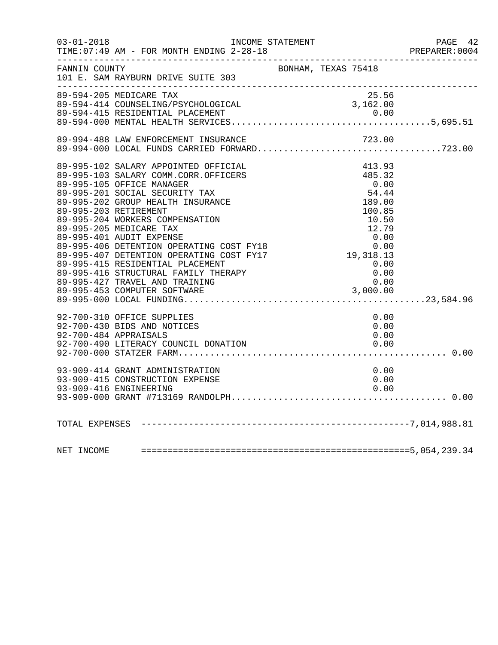| $03 - 01 - 2018$ | INCOME STATEMENT<br>TIME: 07:49 AM - FOR MONTH ENDING 2-28-18                                                                                                                                                                                                                                                                                                                                                                                                                                    |                                                                | PAGE 42              |
|------------------|--------------------------------------------------------------------------------------------------------------------------------------------------------------------------------------------------------------------------------------------------------------------------------------------------------------------------------------------------------------------------------------------------------------------------------------------------------------------------------------------------|----------------------------------------------------------------|----------------------|
| FANNIN COUNTY    | 101 E. SAM RAYBURN DRIVE SUITE 303                                                                                                                                                                                                                                                                                                                                                                                                                                                               | BONHAM, TEXAS 75418                                            |                      |
|                  | 89-594-205 MEDICARE TAX<br>89-594-414 COUNSELING/PSYCHOLOGICAL<br>89-594-415 RESIDENTIAL PLACEMENT<br>89-594-000 MENTRAL URALITY CERTIFIC                                                                                                                                                                                                                                                                                                                                                        | 25.56                                                          |                      |
|                  |                                                                                                                                                                                                                                                                                                                                                                                                                                                                                                  |                                                                |                      |
|                  |                                                                                                                                                                                                                                                                                                                                                                                                                                                                                                  |                                                                |                      |
|                  | 89-995-102 SALARY APPOINTED OFFICIAL<br>89-995-103 SALARY COMM.CORR.OFFICERS<br>89-995-105 OFFICE MANAGER<br>89-995-201 SOCIAL SECURITY TAX<br>89-995-202 GROUP HEALTH INSURANCE<br>89-995-203 RETIREMENT<br>89-995-204 WORKERS COMPENSATION<br>10.50<br>12.79<br>0.00<br>89-995-415 RESIDENTIAL PLACEMENT<br>89-995-416 STRUCTURAL FAMILY THERAPY<br>89-995-427 TRAVEL AND TRAINING<br>89-995-427 TRAVEL AND TRAINING<br>89-995-427 TRAVEL AND TRAINING<br>89-995-453 COMPUTER SOFTWARE<br>89-9 | 413.93<br>485.32<br>0.00<br>54.44<br>189.00<br>100.85<br>10.50 |                      |
|                  | 92-700-430 BIDS AND NOTICES<br>92-700-484 APPRAISALS<br>92-700-490 LITERACY COUNCIL DONATION                                                                                                                                                                                                                                                                                                                                                                                                     | 0.00                                                           | 0.00<br>0.00         |
|                  | 93-909-414 GRANT ADMINISTRATION<br>93-909-415 CONSTRUCTION EXPENSE<br>93-909-416 ENGINEERING                                                                                                                                                                                                                                                                                                                                                                                                     |                                                                | 0.00<br>0.00<br>0.00 |
|                  |                                                                                                                                                                                                                                                                                                                                                                                                                                                                                                  |                                                                |                      |
|                  |                                                                                                                                                                                                                                                                                                                                                                                                                                                                                                  |                                                                |                      |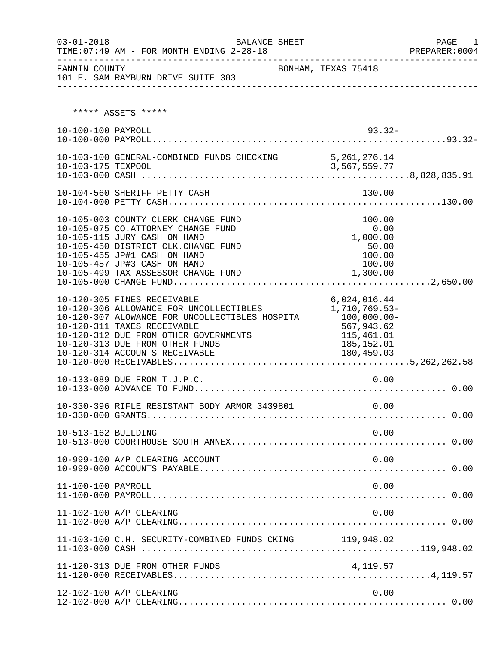| $03 - 01 - 2018$    | TIME: 07:49 AM - FOR MONTH ENDING 2-28-18<br>-----------------------------                                                                                                                                                                                                                           | BALANCE SHEET       | ____________________________________                                                                   | PAGE<br>$\blacksquare$<br>PREPARER: 0004 |
|---------------------|------------------------------------------------------------------------------------------------------------------------------------------------------------------------------------------------------------------------------------------------------------------------------------------------------|---------------------|--------------------------------------------------------------------------------------------------------|------------------------------------------|
| FANNIN COUNTY       | 101 E. SAM RAYBURN DRIVE SUITE 303                                                                                                                                                                                                                                                                   | BONHAM, TEXAS 75418 |                                                                                                        |                                          |
|                     | ***** ASSETS *****                                                                                                                                                                                                                                                                                   |                     |                                                                                                        |                                          |
| 10-100-100 PAYROLL  |                                                                                                                                                                                                                                                                                                      |                     | $93.32 -$                                                                                              |                                          |
|                     | 10-103-100 GENERAL-COMBINED FUNDS CHECKING 5,261,276.14                                                                                                                                                                                                                                              |                     |                                                                                                        |                                          |
|                     | 10-104-560 SHERIFF PETTY CASH                                                                                                                                                                                                                                                                        |                     | 130.00                                                                                                 |                                          |
|                     | 10-105-003 COUNTY CLERK CHANGE FUND<br>10-105-075 CO.ATTORNEY CHANGE FUND<br>10-105-115 JURY CASH ON HAND<br>10-105-450 DISTRICT CLK.CHANGE FUND<br>10-105-455 JP#1 CASH ON HAND<br>10-105-457 JP#3 CASH ON HAND<br>10-105-499 TAX ASSESSOR CHANGE FUND                                              |                     | 100.00<br>0.00<br>1,000.00<br>50.00<br>100.00<br>100.00<br>1,300.00                                    |                                          |
|                     | 10-120-305 FINES RECEIVABLE<br>10-120-303 FINES RECEIVABLE<br>10-120-306 ALLOWANCE FOR UNCOLLECTIBLES<br>10-120-307 ALOWANCE FOR UNCOLLECTIBLES HOSPITA<br>10-120-311 TAXES RECEIVABLE<br>10-120-312 DUE FROM OTHER GOVERNMENTS<br>10-120-313 DUE FROM OTHER FUNDS<br>10-120-314 ACCOUNTS RECEIVABLE |                     | 6,024,016.44<br>1,710,769.53-<br>$100,000.00-$<br>567,943.62<br>115,461.01<br>185,152.01<br>180,459.03 |                                          |
|                     | 10-133-089 DUE FROM T.J.P.C.                                                                                                                                                                                                                                                                         |                     | 0.00                                                                                                   |                                          |
|                     | 10-330-396 RIFLE RESISTANT BODY ARMOR 3439801                                                                                                                                                                                                                                                        |                     | 0.00                                                                                                   |                                          |
| 10-513-162 BUILDING |                                                                                                                                                                                                                                                                                                      |                     | 0.00                                                                                                   |                                          |
|                     | 10-999-100 A/P CLEARING ACCOUNT                                                                                                                                                                                                                                                                      |                     | 0.00                                                                                                   |                                          |
| 11-100-100 PAYROLL  |                                                                                                                                                                                                                                                                                                      |                     | 0.00                                                                                                   |                                          |
|                     | 11-102-100 A/P CLEARING                                                                                                                                                                                                                                                                              |                     | 0.00                                                                                                   |                                          |
|                     | 11-103-100 C.H. SECURITY-COMBINED FUNDS CKING 119,948.02                                                                                                                                                                                                                                             |                     |                                                                                                        |                                          |
|                     | 11-120-313 DUE FROM OTHER FUNDS                                                                                                                                                                                                                                                                      |                     | 4,119.57                                                                                               |                                          |
|                     | 12-102-100 A/P CLEARING                                                                                                                                                                                                                                                                              |                     | 0.00                                                                                                   |                                          |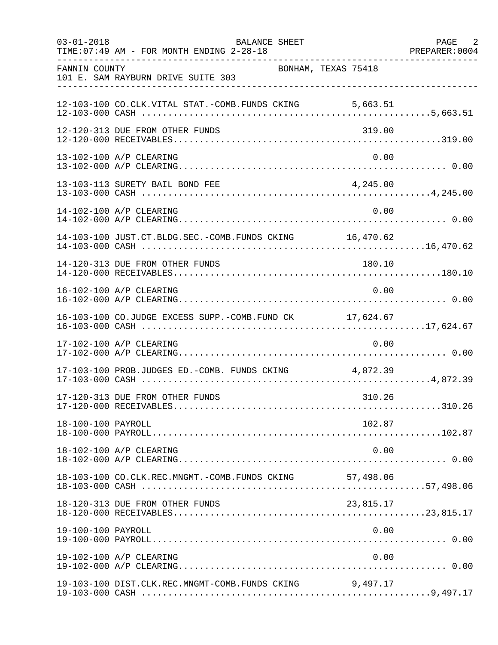| $03 - 01 - 2018$   | BALANCE SHEET<br>TIME: 07:49 AM - FOR MONTH ENDING 2-28-18 |                     | PAGE 2<br>PREPARER: 0004 |
|--------------------|------------------------------------------------------------|---------------------|--------------------------|
| FANNIN COUNTY      | 101 E. SAM RAYBURN DRIVE SUITE 303                         | BONHAM, TEXAS 75418 |                          |
|                    | 12-103-100 CO.CLK.VITAL STAT.-COMB.FUNDS CKING 5,663.51    |                     |                          |
|                    | 12-120-313 DUE FROM OTHER FUNDS                            | 319.00              |                          |
|                    | 13-102-100 A/P CLEARING                                    | 0.00                |                          |
|                    | 13-103-113 SURETY BAIL BOND FEE                            | 4,245.00            |                          |
|                    | 14-102-100 A/P CLEARING                                    | 0.00                |                          |
|                    | 14-103-100 JUST.CT.BLDG.SEC.-COMB.FUNDS CKING 16,470.62    |                     |                          |
|                    | 14-120-313 DUE FROM OTHER FUNDS                            | 180.10              |                          |
|                    | 16-102-100 A/P CLEARING                                    | 0.00                |                          |
|                    | 16-103-100 CO.JUDGE EXCESS SUPP.-COMB.FUND CK 17,624.67    |                     |                          |
|                    | 17-102-100 A/P CLEARING                                    | 0.00                |                          |
|                    | 17-103-100 PROB.JUDGES ED.-COMB. FUNDS CKING 4,872.39      |                     |                          |
|                    | 17-120-313 DUE FROM OTHER FUNDS                            | 310.26              |                          |
| 18-100-100 PAYROLL |                                                            | 102.87              |                          |
|                    | 18-102-100 A/P CLEARING                                    | 0.00                |                          |
|                    | 18-103-100 CO.CLK.REC.MNGMT.-COMB.FUNDS CKING 57,498.06    |                     |                          |
|                    | 18-120-313 DUE FROM OTHER FUNDS                            | 23,815.17           |                          |
| 19-100-100 PAYROLL |                                                            | 0.00                |                          |
|                    | 19-102-100 A/P CLEARING                                    | 0.00                |                          |
|                    | 19-103-100 DIST.CLK.REC.MNGMT-COMB.FUNDS CKING             | 9,497.17            |                          |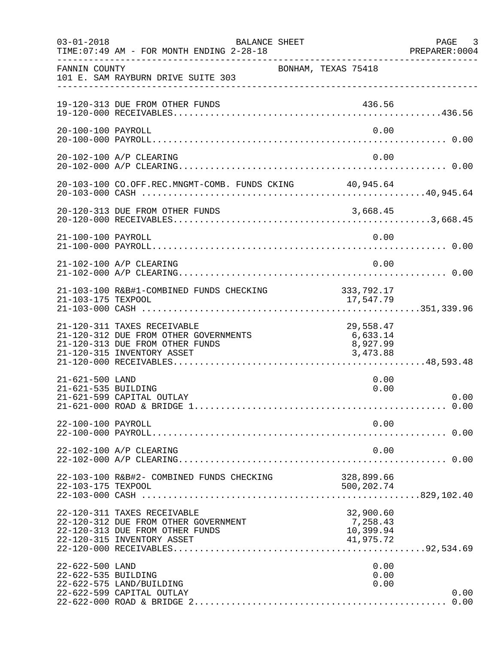| $03 - 01 - 2018$                       | <b>BALANCE SHEET</b><br>TIME: 07:49 AM - FOR MONTH ENDING 2-28-18                                                                     |                                                 | PAGE 3<br>PREPARER:0004 |
|----------------------------------------|---------------------------------------------------------------------------------------------------------------------------------------|-------------------------------------------------|-------------------------|
| FANNIN COUNTY                          | BONHAM, TEXAS 75418<br>101 E. SAM RAYBURN DRIVE SUITE 303                                                                             |                                                 |                         |
|                                        | 19-120-313 DUE FROM OTHER FUNDS                                                                                                       | 436.56                                          |                         |
| 20-100-100 PAYROLL                     |                                                                                                                                       | 0.00                                            |                         |
|                                        | 20-102-100 A/P CLEARING                                                                                                               | 0.00                                            |                         |
|                                        | 20-103-100 CO.OFF.REC.MNGMT-COMB. FUNDS CKING 40,945.64                                                                               |                                                 |                         |
|                                        | 20-120-313 DUE FROM OTHER FUNDS                                                                                                       |                                                 |                         |
| 21-100-100 PAYROLL                     |                                                                                                                                       | 0.00                                            |                         |
|                                        | 21-102-100 A/P CLEARING                                                                                                               | 0.00                                            |                         |
| 21-103-175 TEXPOOL                     | 21-103-100 R&B#1-COMBINED FUNDS CHECKING                                                                                              | 333, 792.17<br>17,547.79                        |                         |
|                                        | 21-120-311 TAXES RECEIVABLE<br>21-120-312 DUE FROM OTHER GOVERNMENTS<br>21-120-313 DUE FROM OTHER FUNDS<br>21-120-315 INVENTORY ASSET | 29,558.47<br>6,633.14<br>8,927.99<br>3,473.88   |                         |
| 21-621-500 LAND<br>21-621-535 BUILDING | 21-621-599 CAPITAL OUTLAY                                                                                                             | 0.00<br>0.00                                    | 0.00                    |
| 22-100-100 PAYROLL                     |                                                                                                                                       | 0.00                                            |                         |
|                                        | 22-102-100 A/P CLEARING                                                                                                               | 0.00                                            |                         |
| 22-103-175 TEXPOOL                     | 22-103-100 R&B#2- COMBINED FUNDS CHECKING                                                                                             | 328,899.66<br>500, 202. 74                      |                         |
|                                        | 22-120-311 TAXES RECEIVABLE<br>22-120-312 DUE FROM OTHER GOVERNMENT<br>22-120-313 DUE FROM OTHER FUNDS<br>22-120-315 INVENTORY ASSET  | 32,900.60<br>7,258.43<br>10,399.94<br>41,975.72 |                         |
| 22-622-500 LAND<br>22-622-535 BUILDING | 22-622-575 LAND/BUILDING<br>22-622-599 CAPITAL OUTLAY                                                                                 | 0.00<br>0.00<br>0.00                            | 0.00<br>0.00            |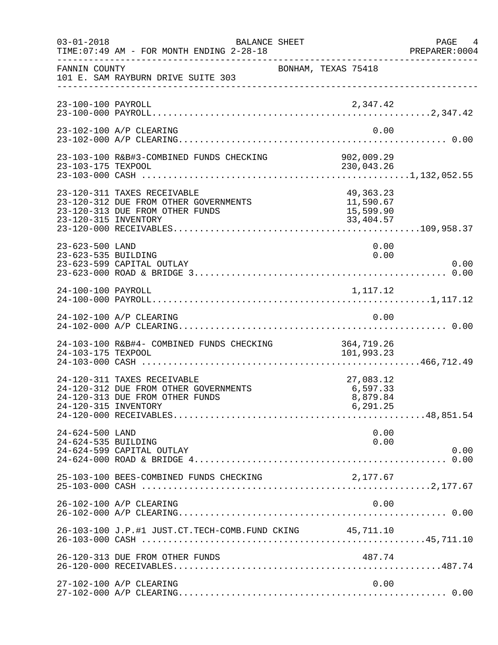| $03 - 01 - 2018$                       | BALANCE SHEET<br>TIME: 07:49 AM - FOR MONTH ENDING 2-28-18                                              |                                                  | PAGE 4<br>PREPARER:0004 |
|----------------------------------------|---------------------------------------------------------------------------------------------------------|--------------------------------------------------|-------------------------|
| FANNIN COUNTY                          | 101 E. SAM RAYBURN DRIVE SUITE 303                                                                      | BONHAM, TEXAS 75418                              |                         |
| 23-100-100 PAYROLL                     |                                                                                                         | 2,347.42                                         |                         |
|                                        | 23-102-100 A/P CLEARING                                                                                 | 0.00                                             |                         |
|                                        |                                                                                                         |                                                  |                         |
| 23-120-315 INVENTORY                   | 23-120-311 TAXES RECEIVABLE<br>23-120-312 DUE FROM OTHER GOVERNMENTS<br>23-120-313 DUE FROM OTHER FUNDS | 49,363.23<br>11,590.67<br>15,599.90<br>33,404.57 |                         |
| 23-623-500 LAND<br>23-623-535 BUILDING | 23-623-599 CAPITAL OUTLAY                                                                               | 0.00<br>0.00                                     | 0.00                    |
| 24-100-100 PAYROLL                     |                                                                                                         | 1,117.12                                         |                         |
|                                        | 24-102-100 A/P CLEARING                                                                                 | 0.00                                             |                         |
| 24-103-175 TEXPOOL                     | 24-103-100 R&B#4- COMBINED FUNDS CHECKING                                                               | 364,719.26<br>101,993.23                         |                         |
| 24-120-315 INVENTORY                   | 24-120-311 TAXES RECEIVABLE<br>24-120-312 DUE FROM OTHER GOVERNMENTS<br>24-120-313 DUE FROM OTHER FUNDS | 27,083.12<br>6,597.33<br>8,879.84<br>6,291.25    |                         |
| 24-624-500 LAND<br>24-624-535 BUILDING | 24-624-599 CAPITAL OUTLAY                                                                               | 0.00<br>0.00                                     | 0.00                    |
|                                        | 25-103-100 BEES-COMBINED FUNDS CHECKING                                                                 | 2,177.67                                         |                         |
|                                        | 26-102-100 A/P CLEARING                                                                                 | 0.00                                             |                         |
|                                        | 26-103-100 J.P.#1 JUST.CT.TECH-COMB.FUND CKING 45,711.10                                                |                                                  |                         |
|                                        | 26-120-313 DUE FROM OTHER FUNDS                                                                         | 487.74                                           |                         |
|                                        | 27-102-100 A/P CLEARING                                                                                 | 0.00                                             |                         |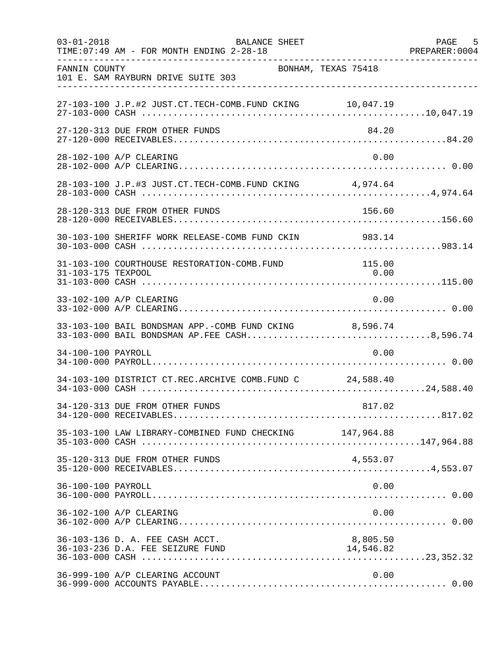| $03 - 01 - 2018$   | <b>BALANCE SHEET</b><br>TIME: 07:49 AM - FOR MONTH ENDING 2-28-18                                       |                       | 5<br>PAGE<br>PREPARER: 0004 |
|--------------------|---------------------------------------------------------------------------------------------------------|-----------------------|-----------------------------|
| FANNIN COUNTY      | BONHAM, TEXAS 75418<br>101 E. SAM RAYBURN DRIVE SUITE 303                                               |                       |                             |
|                    | 27-103-100 J.P.#2 JUST.CT.TECH-COMB.FUND CKING 10,047.19                                                |                       |                             |
|                    | 27-120-313 DUE FROM OTHER FUNDS                                                                         | 84.20                 |                             |
|                    | 28-102-100 A/P CLEARING                                                                                 | 0.00                  |                             |
|                    | 28-103-100 J.P.#3 JUST.CT.TECH-COMB.FUND CKING 4,974.64                                                 |                       |                             |
|                    | 28-120-313 DUE FROM OTHER FUNDS                                                                         | 156.60                |                             |
|                    | 30-103-100 SHERIFF WORK RELEASE-COMB FUND CKIN 983.14                                                   |                       |                             |
| 31-103-175 TEXPOOL | 31-103-100 COURTHOUSE RESTORATION-COMB.FUND                                                             | 115.00<br>0.00        |                             |
|                    | 33-102-100 A/P CLEARING                                                                                 | 0.00                  |                             |
|                    | 33-103-100 BAIL BONDSMAN APP.-COMB FUND CKING 8,596.74<br>33-103-000 BAIL BONDSMAN AP. FEE CASH8,596.74 |                       |                             |
| 34-100-100 PAYROLL |                                                                                                         | 0.00                  |                             |
|                    | 34-103-100 DISTRICT CT.REC.ARCHIVE COMB.FUND C 24,588.40                                                |                       |                             |
|                    | 34-120-313 DUE FROM OTHER FUNDS                                                                         | 817.02                |                             |
|                    | 35-103-100 LAW LIBRARY-COMBINED FUND CHECKING 147,964.88                                                |                       |                             |
|                    | 35-120-313 DUE FROM OTHER FUNDS                                                                         | 4,553.07              |                             |
| 36-100-100 PAYROLL |                                                                                                         | 0.00                  |                             |
|                    | 36-102-100 A/P CLEARING                                                                                 | 0.00                  |                             |
|                    | 36-103-136 D. A. FEE CASH ACCT.<br>36-103-236 D.A. FEE SEIZURE FUND                                     | 8,805.50<br>14,546.82 |                             |
|                    | 36-999-100 A/P CLEARING ACCOUNT                                                                         | 0.00                  |                             |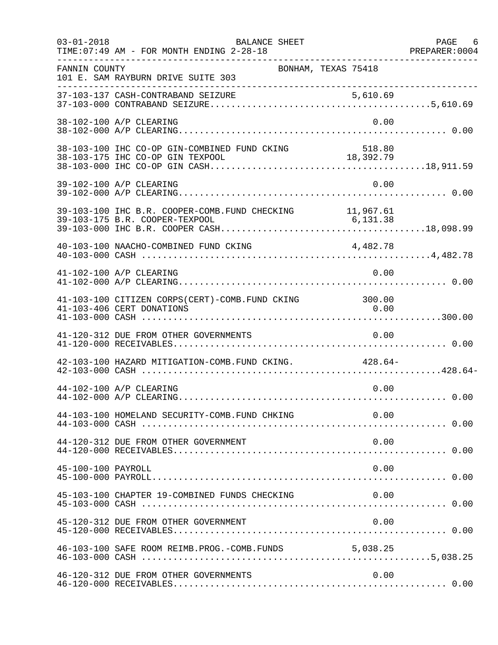| $03 - 01 - 2018$   | BALANCE SHEET<br>TIME: 07:49 AM - FOR MONTH ENDING 2-28-18<br>. _ _ _ _ _ _ _ _ _ _ _ _ _ _ _ |                       | PAGE 6 |
|--------------------|-----------------------------------------------------------------------------------------------|-----------------------|--------|
| FANNIN COUNTY      | BONHAM, TEXAS 75418<br>101 E. SAM RAYBURN DRIVE SUITE 303                                     |                       |        |
|                    |                                                                                               |                       |        |
|                    | 38-102-100 A/P CLEARING                                                                       | 0.00                  |        |
|                    | 38-103-100 IHC CO-OP GIN-COMBINED FUND CKING<br>38-103-175 IHC CO-OP GIN TEXPOOL              | 518.80<br>18, 392. 79 |        |
|                    | 39-102-100 A/P CLEARING                                                                       | 0.00                  |        |
|                    | 39-103-100 IHC B.R. COOPER-COMB. FUND CHECKING 11,967.61                                      |                       |        |
|                    |                                                                                               |                       |        |
|                    | 41-102-100 A/P CLEARING                                                                       | 0.00                  |        |
|                    | 41-103-100 CITIZEN CORPS(CERT)-COMB. FUND CKING 300.00<br>41-103-406 CERT DONATIONS           | 0.00                  |        |
|                    | 41-120-312 DUE FROM OTHER GOVERNMENTS                                                         | 0.00                  |        |
|                    | 42-103-100 HAZARD MITIGATION-COMB. FUND CKING. 428.64-                                        |                       |        |
|                    | 44-102-100 A/P CLEARING                                                                       | 0.00                  |        |
|                    | 44-103-100 HOMELAND SECURITY-COMB.FUND CHKING                                                 | 0.00                  |        |
|                    | 44-120-312 DUE FROM OTHER GOVERNMENT                                                          | 0.00                  |        |
| 45-100-100 PAYROLL |                                                                                               | 0.00                  |        |
|                    | 45-103-100 CHAPTER 19-COMBINED FUNDS CHECKING                                                 | 0.00                  |        |
|                    | 45-120-312 DUE FROM OTHER GOVERNMENT                                                          | 0.00                  |        |
|                    | 46-103-100 SAFE ROOM REIMB. PROG. - COMB. FUNDS 5,038.25                                      |                       |        |
|                    | 46-120-312 DUE FROM OTHER GOVERNMENTS                                                         | 0.00                  |        |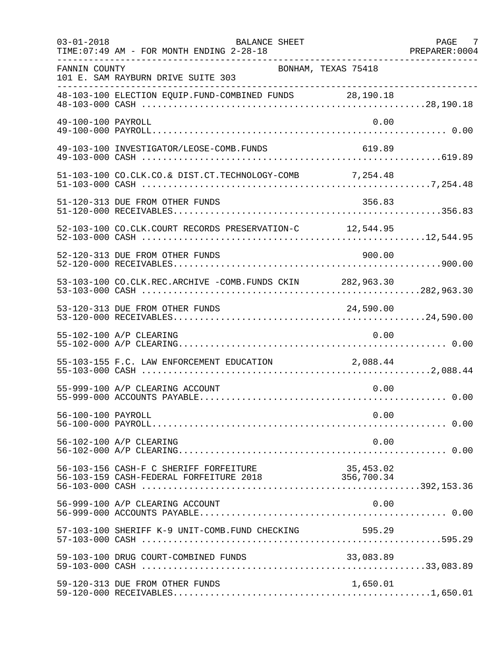| $03 - 01 - 2018$   | BALANCE SHEET<br>TIME: 07:49 AM - FOR MONTH ENDING 2-28-18                                   |                     | PAGE 7<br>PREPARER: 0004 |
|--------------------|----------------------------------------------------------------------------------------------|---------------------|--------------------------|
| FANNIN COUNTY      | 101 E. SAM RAYBURN DRIVE SUITE 303                                                           | BONHAM, TEXAS 75418 |                          |
|                    | 48-103-100 ELECTION EQUIP.FUND-COMBINED FUNDS 28,190.18                                      |                     |                          |
| 49-100-100 PAYROLL |                                                                                              | 0.00                |                          |
|                    | 49-103-100 INVESTIGATOR/LEOSE-COMB.FUNDS                                                     | 619.89              |                          |
|                    | 51-103-100 CO.CLK.CO.& DIST.CT.TECHNOLOGY-COMB 7,254.48                                      |                     |                          |
|                    | 51-120-313 DUE FROM OTHER FUNDS                                                              | 356.83              |                          |
|                    | 52-103-100 CO.CLK.COURT RECORDS PRESERVATION-C 12,544.95                                     |                     |                          |
|                    | 52-120-313 DUE FROM OTHER FUNDS                                                              | 900.00              |                          |
|                    | 53-103-100 CO.CLK.REC.ARCHIVE -COMB.FUNDS CKIN 282,963.30                                    |                     |                          |
|                    | 53-120-313 DUE FROM OTHER FUNDS                                                              | 24,590.00           |                          |
|                    | 55-102-100 A/P CLEARING                                                                      | 0.00                |                          |
|                    |                                                                                              |                     |                          |
|                    | 55-999-100 A/P CLEARING ACCOUNT                                                              | 0.00                |                          |
| 56-100-100 PAYROLL |                                                                                              | 0.00                |                          |
|                    | 56-102-100 A/P CLEARING                                                                      | 0.00                |                          |
|                    | 56-103-156 CASH-F C SHERIFF FORFEITURE<br>56-103-159 CASH-FEDERAL FORFEITURE 2018 356,700.34 | 35,453.02           |                          |
|                    | 56-999-100 A/P CLEARING ACCOUNT                                                              | 0.00                |                          |
|                    | 57-103-100 SHERIFF K-9 UNIT-COMB.FUND CHECKING 595.29                                        |                     |                          |
|                    | 59-103-100 DRUG COURT-COMBINED FUNDS                                                         | 33,083.89           |                          |
|                    | 59-120-313 DUE FROM OTHER FUNDS                                                              | 1,650.01            |                          |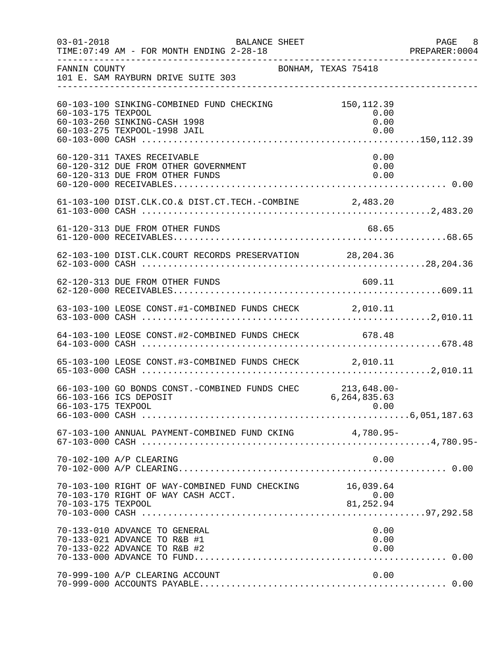| $03 - 01 - 2018$   | <b>BALANCE SHEET</b><br>TIME: 07:49 AM - FOR MONTH ENDING 2-28-18                                         |                                     | PAGE 8<br>PREPARER:0004 |
|--------------------|-----------------------------------------------------------------------------------------------------------|-------------------------------------|-------------------------|
| FANNIN COUNTY      | BONHAM, TEXAS 75418<br>101 E. SAM RAYBURN DRIVE SUITE 303                                                 |                                     |                         |
| 60-103-175 TEXPOOL | 60-103-100 SINKING-COMBINED FUND CHECKING<br>60-103-260 SINKING-CASH 1998<br>60-103-275 TEXPOOL-1998 JAIL | 150,112.39<br>0.00<br>0.00<br>0.00  |                         |
|                    | 60-120-311 TAXES RECEIVABLE<br>60-120-312 DUE FROM OTHER GOVERNMENT<br>60-120-313 DUE FROM OTHER FUNDS    | 0.00<br>0.00<br>0.00                |                         |
|                    | 61-103-100 DIST.CLK.CO.& DIST.CT.TECH.-COMBINE 2,483.20                                                   |                                     |                         |
|                    | 61-120-313 DUE FROM OTHER FUNDS                                                                           | 68.65                               |                         |
|                    | 62-103-100 DIST.CLK.COURT RECORDS PRESERVATION 28,204.36                                                  |                                     |                         |
|                    |                                                                                                           |                                     |                         |
|                    |                                                                                                           |                                     |                         |
|                    | 64-103-100 LEOSE CONST.#2-COMBINED FUNDS CHECK 678.48                                                     |                                     |                         |
|                    | 65-103-100 LEOSE CONST.#3-COMBINED FUNDS CHECK 2,010.11                                                   |                                     |                         |
| 66-103-175 TEXPOOL | 66-103-100 GO BONDS CONST.-COMBINED FUNDS CHEC 213,648.00-<br>66-103-166 ICS DEPOSIT                      | 6,264,835.63<br>0.00                |                         |
|                    | 67-103-100 ANNUAL PAYMENT-COMBINED FUND CKING 4,780.95-                                                   |                                     |                         |
|                    | 70-102-100 A/P CLEARING                                                                                   | 0.00                                |                         |
| 70-103-175 TEXPOOL | 70-103-100 RIGHT OF WAY-COMBINED FUND CHECKING<br>70-103-170 RIGHT OF WAY CASH ACCT.                      | 16,039.64<br>$64$ , $60.00$<br>0.00 |                         |
|                    | 70-133-010 ADVANCE TO GENERAL<br>70-133-021 ADVANCE TO R&B #1<br>70-133-022 ADVANCE TO R&B #2             | 0.00<br>0.00<br>0.00                |                         |
|                    | 70-999-100 A/P CLEARING ACCOUNT                                                                           | 0.00                                |                         |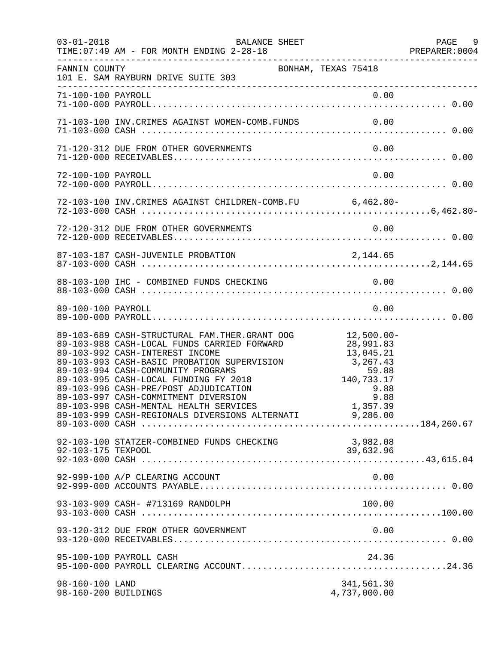| $03 - 01 - 2018$                        | BALANCE SHEET<br>TIME: 07:49 AM - FOR MONTH ENDING 2-28-18                                                                                                                                                                                                                                                                                                                                                                                                                              |                                        | PAGE 9<br>PREPARER: 0004 |
|-----------------------------------------|-----------------------------------------------------------------------------------------------------------------------------------------------------------------------------------------------------------------------------------------------------------------------------------------------------------------------------------------------------------------------------------------------------------------------------------------------------------------------------------------|----------------------------------------|--------------------------|
| FANNIN COUNTY                           | 101 E. SAM RAYBURN DRIVE SUITE 303                                                                                                                                                                                                                                                                                                                                                                                                                                                      | BONHAM, TEXAS 75418                    |                          |
|                                         |                                                                                                                                                                                                                                                                                                                                                                                                                                                                                         |                                        |                          |
|                                         | 71-103-100 INV.CRIMES AGAINST WOMEN-COMB.FUNDS 0.00                                                                                                                                                                                                                                                                                                                                                                                                                                     |                                        |                          |
|                                         | 71-120-312 DUE FROM OTHER GOVERNMENTS                                                                                                                                                                                                                                                                                                                                                                                                                                                   | 0.00                                   |                          |
| 72-100-100 PAYROLL                      |                                                                                                                                                                                                                                                                                                                                                                                                                                                                                         | 0.00                                   |                          |
|                                         | 72-103-100 INV. CRIMES AGAINST CHILDREN-COMB. FU 6,462.80-                                                                                                                                                                                                                                                                                                                                                                                                                              |                                        |                          |
|                                         |                                                                                                                                                                                                                                                                                                                                                                                                                                                                                         |                                        |                          |
|                                         |                                                                                                                                                                                                                                                                                                                                                                                                                                                                                         |                                        |                          |
|                                         | 88-103-100 IHC - COMBINED FUNDS CHECKING                                                                                                                                                                                                                                                                                                                                                                                                                                                | 0.00                                   |                          |
| 89-100-100 PAYROLL                      |                                                                                                                                                                                                                                                                                                                                                                                                                                                                                         | 0.00                                   |                          |
|                                         | 89-103-689 CASH-STRUCTURAL FAM.THER.GRANT OOG 12,500.00-<br>89-103-988 CASH-LOCAL FUNDS CARRIED FORWARD 28,991.83<br>89-103-992 CASH-INTEREST INCOME<br>89-103-993 CASH-BASIC PROBATION SUPERVISION 3,267.43<br>89-103-994 CASH-COMMUNITY PROGRAMS 59.88<br>89-103-995 CASH-LOCAL FUNDING FY 2018<br>89-103-996 CASH-PRE/POST ADJUDICATION<br>89-103-997 CASH-COMMITMENT DIVERSION<br>89-103-998 CASH-MENTAL HEALTH SERVICES<br>89-103-999 CASH-REGIONALS DIVERSIONS ALTERNATI 9,286.00 | 140,733.17<br>9.88<br>9.88<br>1,357.39 |                          |
| 92-103-175 TEXPOOL                      | 92-103-100 STATZER-COMBINED FUNDS CHECKING                                                                                                                                                                                                                                                                                                                                                                                                                                              | 3,982.08<br>39,632.96                  |                          |
|                                         | 92-999-100 A/P CLEARING ACCOUNT                                                                                                                                                                                                                                                                                                                                                                                                                                                         | 0.00                                   |                          |
|                                         | 93-103-909 CASH- #713169 RANDOLPH                                                                                                                                                                                                                                                                                                                                                                                                                                                       | 100.00                                 |                          |
|                                         | 93-120-312 DUE FROM OTHER GOVERNMENT                                                                                                                                                                                                                                                                                                                                                                                                                                                    | 0.00                                   |                          |
|                                         | 95-100-100 PAYROLL CASH                                                                                                                                                                                                                                                                                                                                                                                                                                                                 | 24.36                                  |                          |
| 98-160-100 LAND<br>98-160-200 BUILDINGS |                                                                                                                                                                                                                                                                                                                                                                                                                                                                                         | 341,561.30<br>4,737,000.00             |                          |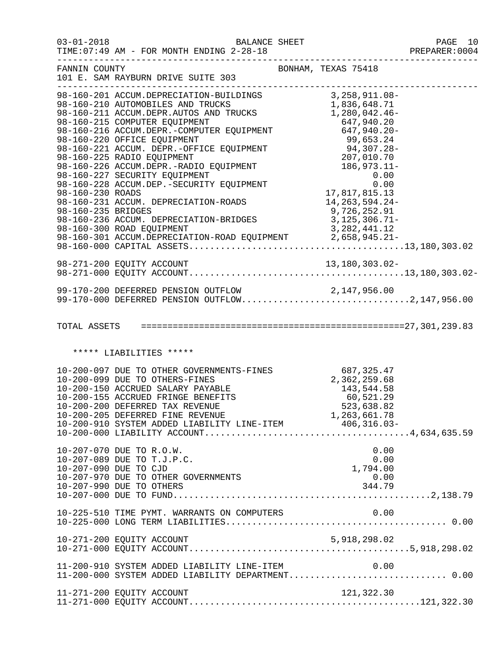| $03 - 01 - 2018$   | TIME: 07:49 AM - FOR MONTH ENDING 2-28-18                                                                                                                                                                                                              |                                                       | PAGE 10<br>PREPARER: 0004 |
|--------------------|--------------------------------------------------------------------------------------------------------------------------------------------------------------------------------------------------------------------------------------------------------|-------------------------------------------------------|---------------------------|
| FANNIN COUNTY      | 101 E. SAM RAYBURN DRIVE SUITE 303                                                                                                                                                                                                                     | BONHAM, TEXAS 75418                                   | _____________________     |
|                    |                                                                                                                                                                                                                                                        |                                                       |                           |
| 98-160-235 BRIDGES | 98-160-231 ACCUM. DEPRECIATION-ROADS<br>98-160-236 ACCUM. DEPRECIATION-BRIDGES                                                                                                                                                                         | 14, 263, 594. 24-<br>9,726,252.91<br>3, 125, 306. 71- |                           |
|                    |                                                                                                                                                                                                                                                        |                                                       |                           |
|                    | 99-170-200 DEFERRED PENSION OUTFLOW 2,147,956.00<br>99-170-000 DEFERRED PENSION OUTFLOW2,147,956.00                                                                                                                                                    |                                                       |                           |
|                    |                                                                                                                                                                                                                                                        |                                                       |                           |
|                    | ***** LIABILITIES *****                                                                                                                                                                                                                                |                                                       |                           |
|                    | 10-200-097 DUE TO OTHER GOVERNMENTS-FINES 687,325.47<br>10-200-099 DUE TO OTHERS-FINES 2,362,259.68<br>10-200-150 ACCRUED SALARY PAYABLE 143,544.58<br>143,544.58<br>160,521.29<br>10-200-200 DEFERRED TAX REVENUE<br>10-200-205 DEFERRED FINE REVENUE | 523,638.82<br>1,263,661.78                            |                           |
|                    | 10-207-070 DUE TO R.O.W.<br>10-207-089 DUE TO T.J.P.C.<br>10-207-090 DUE TO CJD<br>10-207-970 DUE TO OTHER GOVERNMENTS<br>10-207-990 DUE TO OTHERS                                                                                                     | 0.00<br>0.00<br>1,794.00<br>0.00<br>344.79            |                           |
|                    | 10-225-510 TIME PYMT. WARRANTS ON COMPUTERS                                                                                                                                                                                                            | 0.00                                                  |                           |
|                    | 10-271-200 EQUITY ACCOUNT                                                                                                                                                                                                                              | 5,918,298.02                                          |                           |
|                    | 11-200-910 SYSTEM ADDED LIABILITY LINE-ITEM<br>11-200-000 SYSTEM ADDED LIABILITY DEPARTMENT 0.00                                                                                                                                                       | 0.00                                                  |                           |
|                    | 11-271-200 EQUITY ACCOUNT                                                                                                                                                                                                                              | 121,322.30                                            |                           |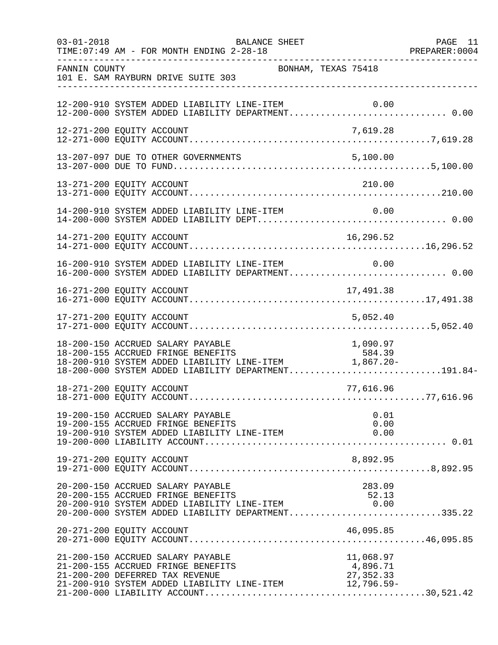| $03 - 01 - 2018$ | BALANCE SHEET<br>TIME: 07:49 AM - FOR MONTH ENDING 2-28-18                                                                                                                                                                                   | PAGE 11 |
|------------------|----------------------------------------------------------------------------------------------------------------------------------------------------------------------------------------------------------------------------------------------|---------|
| FANNIN COUNTY    | BONHAM, TEXAS 75418<br>101 E. SAM RAYBURN DRIVE SUITE 303                                                                                                                                                                                    |         |
|                  | 12-200-910 SYSTEM ADDED LIABILITY LINE-ITEM<br>12-200-910 SYSTEM ADDED LIABILITY LINE-ITEM 0.00<br>12-200-000 SYSTEM ADDED LIABILITY DEPARTMENT 0.00                                                                                         |         |
|                  | 12-271-200 EQUITY ACCOUNT<br>7,619.28                                                                                                                                                                                                        |         |
|                  | 13-207-097 DUE TO OTHER GOVERNMENTS<br>5,100.00                                                                                                                                                                                              |         |
|                  | 210.00<br>13-271-200 EQUITY ACCOUNT                                                                                                                                                                                                          |         |
|                  |                                                                                                                                                                                                                                              |         |
|                  |                                                                                                                                                                                                                                              |         |
|                  | 16-200-910 SYSTEM ADDED LIABILITY LINE-ITEM<br>0.00<br>16-200-000 SYSTEM ADDED LIABILITY DEPARTMENT 0.00                                                                                                                                     |         |
|                  | 16-271-200 EQUITY ACCOUNT<br>17,491.38                                                                                                                                                                                                       |         |
|                  | 17-271-200 EQUITY ACCOUNT<br>5,052.40                                                                                                                                                                                                        |         |
|                  | 18-200-150 ACCRUED SALARY PAYABLE<br>1,090.97 18-200-150 ACCRUED SALARY PAYABLE<br>18-200-155 ACCRUED FRINGE BENEFITS 584.39<br>18-200-910 SYSTEM ADDED LIABILITY LINE-ITEM 1,867.20-<br>18-200-000 SYSTEM ADDED LIABILITY DEPARTMENT191.84- |         |
|                  | 18-271-200 EQUITY ACCOUNT<br>77,616.96                                                                                                                                                                                                       |         |
|                  | 19-200-150 ACCRUED SALARY PAYABLE<br>0.01<br>19-200-155 ACCRUED FRINGE BENEFITS<br>0.00                                                                                                                                                      |         |
|                  |                                                                                                                                                                                                                                              |         |
|                  | 20-200-150 ACCRUED SALARY PAYABLE<br>283.09<br>20-200-155 ACCRUED FRINGE BENEFITS<br>52.13<br>20-200-155 ACCRUED FRINGE BENEFITS<br>20-200-910 SYSTEM ADDED LIABILITY LINE-ITEM 6.00<br>20-200-000 SYSTEM ADDED LIABILITY DEPARTMENT335.22   |         |
|                  | 20-271-200 EQUITY ACCOUNT<br>46,095.85                                                                                                                                                                                                       |         |
|                  | 21-200-150 ACCRUED SALARY PAYABLE<br>11,068.97<br>21-200-155 ACCRUED FRINGE BENEFITS<br>4,896.71<br>21-200-200 DEFERRED TAX REVENUE<br>27, 352.33<br>21-200-910 SYSTEM ADDED LIABILITY LINE-ITEM 12,796.59-                                  |         |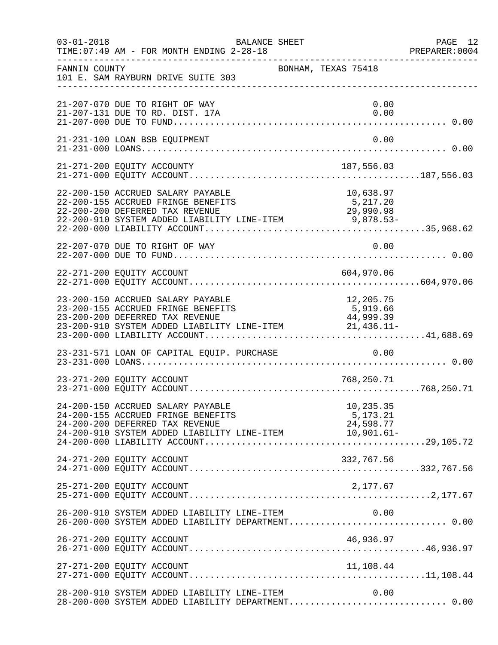| $03 - 01 - 2018$ | BALANCE SHEET<br>TIME: 07:49 AM - FOR MONTH ENDING 2-28-18                                                                                                                                                  |                                    | PAGE 12<br>PREPARER: 0004 |
|------------------|-------------------------------------------------------------------------------------------------------------------------------------------------------------------------------------------------------------|------------------------------------|---------------------------|
| FANNIN COUNTY    | 101 E. SAM RAYBURN DRIVE SUITE 303                                                                                                                                                                          | BONHAM, TEXAS 75418                |                           |
|                  | 21-207-070 DUE TO RIGHT OF WAY<br>21-207-131 DUE TO RD. DIST. 17A                                                                                                                                           | 0.00<br>0.00                       |                           |
|                  | 21-231-100 LOAN BSB EQUIPMENT                                                                                                                                                                               | 0.00                               |                           |
|                  | 21-271-200 EQUITY ACCOUNTY                                                                                                                                                                                  | 187,556.03                         |                           |
|                  | 22-200-150 ACCRUED SALARY PAYABLE<br>22-200-155 ACCRUED FRINGE BENEFITS<br>22-200-200 DEFERRED TAX REVENUE<br>22-200-910 SYSTEM ADDED LIABILITY LINE-ITEM 9,878.53-                                         | 10,638.97<br>5,217.20              |                           |
|                  | 22-207-070 DUE TO RIGHT OF WAY                                                                                                                                                                              | 0.00                               |                           |
|                  | 22-271-200 EQUITY ACCOUNT                                                                                                                                                                                   | 604,970.06                         |                           |
|                  | 23-200-150 ACCRUED SALARY PAYABLE<br>23-200-155 ACCRUED FRINGE BENEFITS<br>23-200-200 DEFERRED TAX REVENUE<br>23-200-200 DEFERRED TAX REVENUE<br>23-200-910 SYSTEM ADDED LIABILITY LINE-ITEM 21,436.11-     | 12,205.75<br>5,919.66<br>44,999.39 |                           |
|                  | 23-231-571 LOAN OF CAPITAL EQUIP. PURCHASE 0.00                                                                                                                                                             |                                    |                           |
|                  | 23-271-200 EQUITY ACCOUNT                                                                                                                                                                                   | 768,250.71                         |                           |
|                  | 24-200-150 ACCRUED SALARY PAYABLE<br>24-200-155 ACCRUED FRINGE BENEFITS<br>24-200-200 DEFERRED TAX REVENUE<br>$24-200-200$ DEFERRED TAA REVENUE<br>24-200-910 SYSTEM ADDED LIABILITY LINE-ITEM $10,901.61-$ | 10,235.35<br>5,173.21<br>24,598.77 |                           |
|                  | 24-271-200 EQUITY ACCOUNT                                                                                                                                                                                   | 332,767.56                         |                           |
|                  | 25-271-200 EQUITY ACCOUNT                                                                                                                                                                                   | 2,177.67                           |                           |
|                  | 26-200-910 SYSTEM ADDED LIABILITY LINE-ITEM 0.00<br>26-200-000 SYSTEM ADDED LIABILITY DEPARTMENT 0.00                                                                                                       |                                    |                           |
|                  | 26-271-200 EQUITY ACCOUNT                                                                                                                                                                                   | 46,936.97                          |                           |
|                  | 27-271-200 EQUITY ACCOUNT                                                                                                                                                                                   | 11,108.44                          |                           |
|                  | 28-200-910 SYSTEM ADDED LIABILITY LINE-ITEM<br>28-200-000 SYSTEM ADDED LIABILITY DEPARTMENT 0.00                                                                                                            | 0.00                               |                           |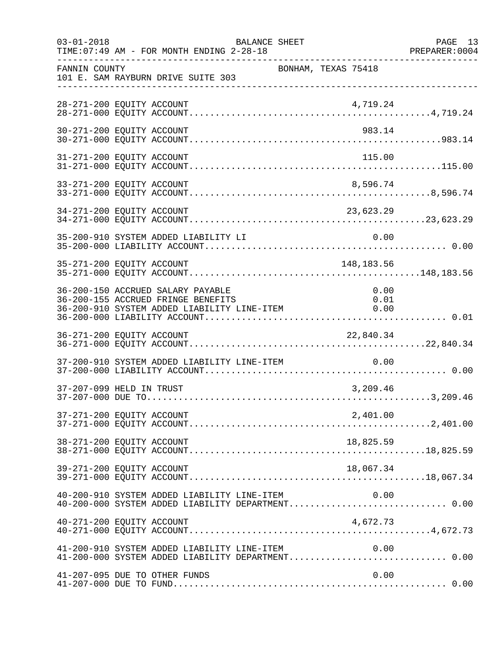| $03 - 01 - 2018$ | BALANCE SHEET<br>TIME: 07:49 AM - FOR MONTH ENDING 2-28-18                                                             | ------------------------------------ | PAGE 13<br>PREPARER: 0004 |
|------------------|------------------------------------------------------------------------------------------------------------------------|--------------------------------------|---------------------------|
| FANNIN COUNTY    | 101 E. SAM RAYBURN DRIVE SUITE 303                                                                                     | BONHAM, TEXAS 75418                  |                           |
|                  | 28-271-200 EQUITY ACCOUNT                                                                                              | 4,719.24                             |                           |
|                  | 30-271-200 EQUITY ACCOUNT                                                                                              | 983.14                               |                           |
|                  | 31-271-200 EQUITY ACCOUNT                                                                                              | 115.00                               |                           |
|                  | 33-271-200 EQUITY ACCOUNT                                                                                              | 8,596.74                             |                           |
|                  | 34-271-200 EQUITY ACCOUNT                                                                                              | 23,623.29                            |                           |
|                  | 35-200-910 SYSTEM ADDED LIABILITY LI                                                                                   | 0.00                                 |                           |
|                  | 35-271-200 EQUITY ACCOUNT                                                                                              | 148,183.56                           |                           |
|                  | 36-200-150 ACCRUED SALARY PAYABLE<br>36-200-155 ACCRUED FRINGE BENEFITS<br>36-200-910 SYSTEM ADDED LIABILITY LINE-ITEM | 0.00<br>0.01<br>0.00                 |                           |
|                  | 36-271-200 EQUITY ACCOUNT                                                                                              | 22,840.34                            |                           |
|                  | 37-200-910 SYSTEM ADDED LIABILITY LINE-ITEM                                                                            | 0.00                                 |                           |
|                  | 37-207-099 HELD IN TRUST                                                                                               | 3,209.46                             |                           |
|                  | 37-271-200 EQUITY ACCOUNT                                                                                              | 2,401.00                             |                           |
|                  | 38-271-200 EQUITY ACCOUNT                                                                                              | 18,825.59                            |                           |
|                  | 39-271-200 EQUITY ACCOUNT                                                                                              | 18,067.34                            |                           |
|                  | 40-200-910 SYSTEM ADDED LIABILITY LINE-ITEM<br>40-200-000 SYSTEM ADDED LIABILITY DEPARTMENT 0.00                       | 0.00                                 |                           |
|                  | 40-271-200 EQUITY ACCOUNT                                                                                              | 4,672.73                             |                           |
|                  | 41-200-910 SYSTEM ADDED LIABILITY LINE-ITEM $0.00$<br>41-200-000 SYSTEM ADDED LIABILITY DEPARTMENT0.00                 |                                      |                           |
|                  | 41-207-095 DUE TO OTHER FUNDS                                                                                          | 0.00                                 |                           |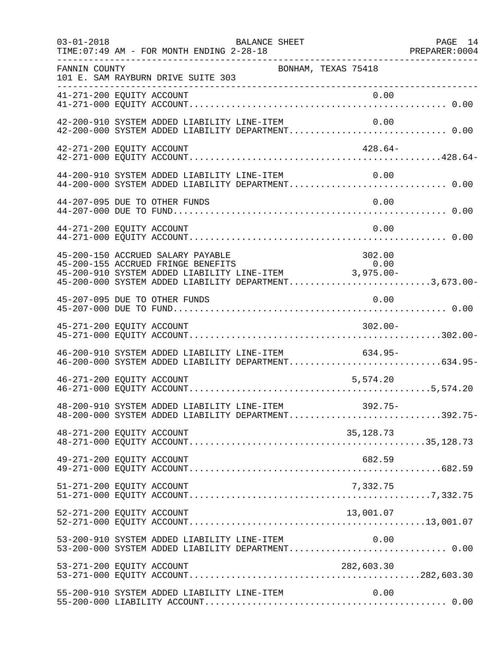| $03 - 01 - 2018$ | BALANCE SHEET<br>TIME: 07:49 AM - FOR MONTH ENDING 2-28-18                                                                                                                                                                                        | PAGE 14 |
|------------------|---------------------------------------------------------------------------------------------------------------------------------------------------------------------------------------------------------------------------------------------------|---------|
| FANNIN COUNTY    | BONHAM, TEXAS 75418<br>101 E. SAM RAYBURN DRIVE SUITE 303<br>___________________________________                                                                                                                                                  |         |
|                  |                                                                                                                                                                                                                                                   |         |
|                  | 42-200-910 SYSTEM ADDED LIABILITY LINE-ITEM<br>0.00                                                                                                                                                                                               |         |
|                  | 42-271-200 EQUITY ACCOUNT<br>$428.64-$                                                                                                                                                                                                            |         |
|                  | 44-200-910 SYSTEM ADDED LIABILITY LINE-ITEM<br>0.00<br>44-200-000 SYSTEM ADDED LIABILITY DEPARTMENT 0.00                                                                                                                                          |         |
|                  | 0.00<br>44-207-095 DUE TO OTHER FUNDS                                                                                                                                                                                                             |         |
|                  | 44-271-200 EQUITY ACCOUNT<br>0.00                                                                                                                                                                                                                 |         |
|                  | 45-200-150 ACCRUED SALARY PAYABLE<br>302.00<br>45-200-155 ACCRUED FRINGE BENEFITS<br>0.00<br>95-200-155 ACCROLD PRINGE BENEFITS<br>45-200-910 SYSTEM ADDED LIABILITY LINE-ITEM 3,975.00-<br>45-200-000 SYSTEM ADDED LIABILITY DEPARTMENT3,673.00- |         |
|                  | 0.00<br>45-207-095 DUE TO OTHER FUNDS                                                                                                                                                                                                             |         |
|                  | 45-271-200 EQUITY ACCOUNT<br>$302.00 -$                                                                                                                                                                                                           |         |
|                  | 46-200-910 SYSTEM ADDED LIABILITY LINE-ITEM<br>$634.95-$<br>46-200-000 SYSTEM ADDED LIABILITY DEPARTMENT634.95-                                                                                                                                   |         |
|                  | 46-271-200 EQUITY ACCOUNT<br>5,574.20                                                                                                                                                                                                             |         |
|                  | 48-200-910 SYSTEM ADDED LIABILITY LINE-ITEM<br>392.75-<br>48-200-000 SYSTEM ADDED LIABILITY DEPARTMENT392.75-                                                                                                                                     |         |
|                  | 35, 128. 73<br>48-271-200 EQUITY ACCOUNT                                                                                                                                                                                                          |         |
|                  | 49-271-200 EQUITY ACCOUNT<br>682.59                                                                                                                                                                                                               |         |
|                  | 51-271-200 EQUITY ACCOUNT<br>7,332.75                                                                                                                                                                                                             |         |
|                  | 52-271-200 EQUITY ACCOUNT<br>13,001.07                                                                                                                                                                                                            |         |
|                  | 53-200-910 SYSTEM ADDED LIABILITY LINE-ITEM 0.00<br>53-200-000 SYSTEM ADDED LIABILITY DEPARTMENT 0.00                                                                                                                                             |         |
|                  | 53-271-200 EQUITY ACCOUNT<br>282,603.30                                                                                                                                                                                                           |         |
|                  | 55-200-910 SYSTEM ADDED LIABILITY LINE-ITEM<br>0.00                                                                                                                                                                                               |         |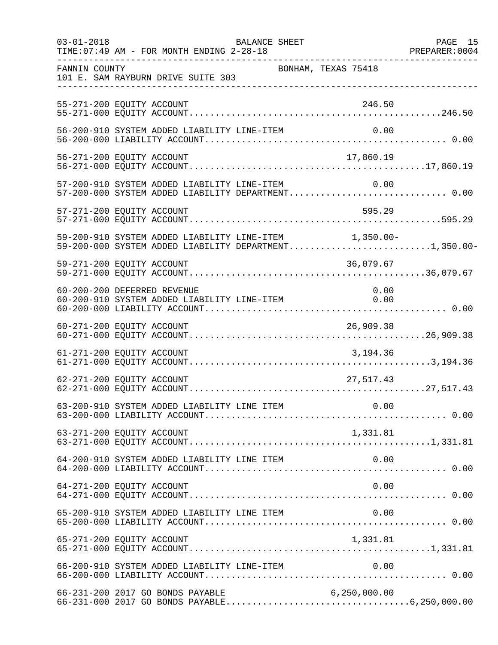| $03 - 01 - 2018$<br>___________________ | TIME: 07:49 AM - FOR MONTH ENDING 2-28-18                                                                      | BALANCE SHEET |                     | PAGE 15<br>PREPARER: 0004 |
|-----------------------------------------|----------------------------------------------------------------------------------------------------------------|---------------|---------------------|---------------------------|
| FANNIN COUNTY                           | 101 E. SAM RAYBURN DRIVE SUITE 303<br>____________________________________                                     |               | BONHAM, TEXAS 75418 |                           |
|                                         | 55-271-200 EQUITY ACCOUNT                                                                                      |               | 246.50              |                           |
|                                         | 56-200-910 SYSTEM ADDED LIABILITY LINE-ITEM                                                                    |               | 0.00                |                           |
|                                         | 56-271-200 EQUITY ACCOUNT                                                                                      |               | 17,860.19           |                           |
|                                         | 57-200-910 SYSTEM ADDED LIABILITY LINE-ITEM 0.00<br>57-200-000 SYSTEM ADDED LIABILITY DEPARTMENT 0.00          |               |                     |                           |
|                                         | 57-271-200 EQUITY ACCOUNT                                                                                      |               | 595.29              |                           |
|                                         | 59-200-910 SYSTEM ADDED LIABILITY LINE-ITEM 1,350.00-<br>59-200-000 SYSTEM ADDED LIABILITY DEPARTMENT1,350.00- |               |                     |                           |
|                                         | 59-271-200 EQUITY ACCOUNT                                                                                      |               | 36,079.67           |                           |
|                                         | 60-200-200 DEFERRED REVENUE                                                                                    |               | 0.00                |                           |
|                                         |                                                                                                                |               |                     |                           |
|                                         | 61-271-200 EQUITY ACCOUNT                                                                                      |               | 3,194.36            |                           |
|                                         | 62-271-200 EQUITY ACCOUNT                                                                                      |               | 27,517.43           |                           |
|                                         | 63-200-910 SYSTEM ADDED LIABILITY LINE ITEM 0.00                                                               |               |                     |                           |
|                                         | 63-271-200 EQUITY ACCOUNT                                                                                      |               | 1,331.81            |                           |
|                                         | 64-200-910 SYSTEM ADDED LIABILITY LINE ITEM                                                                    |               | 0.00                |                           |
|                                         | 64-271-200 EQUITY ACCOUNT                                                                                      |               | 0.00                |                           |
|                                         |                                                                                                                |               | 0.00                |                           |
|                                         | 65-271-200 EQUITY ACCOUNT                                                                                      |               | 1,331.81            |                           |
|                                         | 66-200-910 SYSTEM ADDED LIABILITY LINE-ITEM                                                                    |               | 0.00                |                           |
|                                         | 66-231-200 2017 GO BONDS PAYABLE                                                                               |               | 6, 250, 000.00      |                           |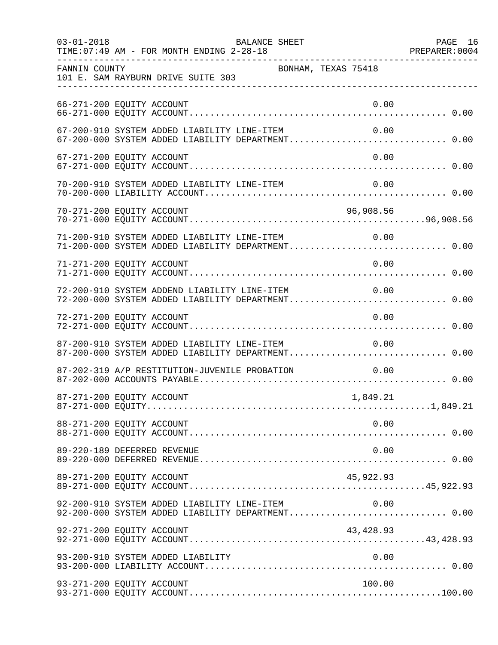| $03 - 01 - 2018$ | BALANCE SHEET<br>TIME: 07:49 AM - FOR MONTH ENDING 2-28-18                                                 | PAGE 16 |
|------------------|------------------------------------------------------------------------------------------------------------|---------|
| FANNIN COUNTY    | BONHAM, TEXAS 75418<br>101 E. SAM RAYBURN DRIVE SUITE 303                                                  |         |
|                  | 66-271-200 EQUITY ACCOUNT<br>0.00                                                                          |         |
|                  | 67-200-910 SYSTEM ADDED LIABILITY LINE-ITEM<br>0.00<br>67-200-000 SYSTEM ADDED LIABILITY DEPARTMENT 0.00   |         |
|                  | 0.00<br>67-271-200 EQUITY ACCOUNT                                                                          |         |
|                  | 70-200-910 SYSTEM ADDED LIABILITY LINE-ITEM<br>0.00                                                        |         |
|                  |                                                                                                            |         |
|                  | 71-200-910 SYSTEM ADDED LIABILITY LINE-ITEM<br>0.00<br>71-200-000 SYSTEM ADDED LIABILITY DEPARTMENT 0.00   |         |
|                  | 0.00<br>71-271-200 EQUITY ACCOUNT                                                                          |         |
|                  | 0.00 T2-200-910 SYSTEM ADDEND LIABILITY LINE-ITEM 0.00<br>72-200-000 SYSTEM ADDED LIABILITY DEPARTMENT0.00 |         |
|                  | 72-271-200 EQUITY ACCOUNT<br>0.00                                                                          |         |
|                  | 87-200-910 SYSTEM ADDED LIABILITY LINE-ITEM<br>0.00<br>87-200-000 SYSTEM ADDED LIABILITY DEPARTMENT 0.00   |         |
|                  | 87-202-319 A/P RESTITUTION-JUVENILE PROBATION<br>0.00                                                      |         |
|                  | 87-271-200 EQUITY ACCOUNT<br>1,849.21                                                                      |         |
|                  | 0.00<br>88-271-200 EQUITY ACCOUNT                                                                          |         |
|                  | 89-220-189 DEFERRED REVENUE<br>0.00                                                                        |         |
|                  | 89-271-200 EQUITY ACCOUNT<br>45,922.93                                                                     |         |
|                  | 92-200-910 SYSTEM ADDED LIABILITY LINE-ITEM<br>0.00<br>92-200-000 SYSTEM ADDED LIABILITY DEPARTMENT 0.00   |         |
|                  | 43, 428.93<br>92-271-200 EQUITY ACCOUNT                                                                    |         |
|                  | 93-200-910 SYSTEM ADDED LIABILITY<br>0.00                                                                  |         |
|                  | 93-271-200 EQUITY ACCOUNT<br>100.00                                                                        |         |